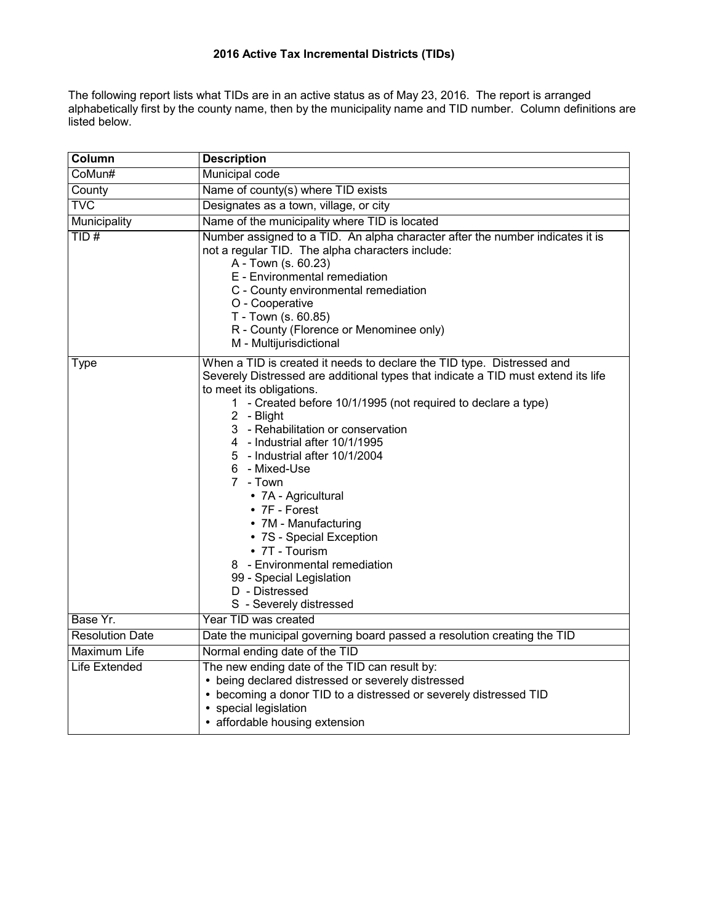The following report lists what TIDs are in an active status as of May 23, 2016. The report is arranged alphabetically first by the county name, then by the municipality name and TID number. Column definitions are listed below.

| Column                 | <b>Description</b>                                                                                                                                                                                                                                                                                                                                                                                                                                                                                                                                                                                                                    |
|------------------------|---------------------------------------------------------------------------------------------------------------------------------------------------------------------------------------------------------------------------------------------------------------------------------------------------------------------------------------------------------------------------------------------------------------------------------------------------------------------------------------------------------------------------------------------------------------------------------------------------------------------------------------|
| CoMun#                 | Municipal code                                                                                                                                                                                                                                                                                                                                                                                                                                                                                                                                                                                                                        |
| County                 | Name of county(s) where TID exists                                                                                                                                                                                                                                                                                                                                                                                                                                                                                                                                                                                                    |
| <b>TVC</b>             | Designates as a town, village, or city                                                                                                                                                                                                                                                                                                                                                                                                                                                                                                                                                                                                |
| Municipality           | Name of the municipality where TID is located                                                                                                                                                                                                                                                                                                                                                                                                                                                                                                                                                                                         |
| TID#                   | Number assigned to a TID. An alpha character after the number indicates it is<br>not a regular TID. The alpha characters include:<br>A - Town (s. 60.23)<br>E - Environmental remediation<br>C - County environmental remediation<br>O - Cooperative<br>T - Town (s. 60.85)<br>R - County (Florence or Menominee only)<br>M - Multijurisdictional                                                                                                                                                                                                                                                                                     |
| Type                   | When a TID is created it needs to declare the TID type. Distressed and<br>Severely Distressed are additional types that indicate a TID must extend its life<br>to meet its obligations.<br>1 - Created before 10/1/1995 (not required to declare a type)<br>2 - Blight<br>3 - Rehabilitation or conservation<br>4 - Industrial after 10/1/1995<br>5 - Industrial after 10/1/2004<br>6 - Mixed-Use<br>7 - Town<br>• 7A - Agricultural<br>• 7F - Forest<br>• 7M - Manufacturing<br>• 7S - Special Exception<br>• 7T - Tourism<br>8 - Environmental remediation<br>99 - Special Legislation<br>D - Distressed<br>S - Severely distressed |
| Base Yr.               | Year TID was created                                                                                                                                                                                                                                                                                                                                                                                                                                                                                                                                                                                                                  |
| <b>Resolution Date</b> | Date the municipal governing board passed a resolution creating the TID                                                                                                                                                                                                                                                                                                                                                                                                                                                                                                                                                               |
| <b>Maximum Life</b>    | Normal ending date of the TID                                                                                                                                                                                                                                                                                                                                                                                                                                                                                                                                                                                                         |
| Life Extended          | The new ending date of the TID can result by:<br>• being declared distressed or severely distressed<br>• becoming a donor TID to a distressed or severely distressed TID<br>• special legislation<br>• affordable housing extension                                                                                                                                                                                                                                                                                                                                                                                                   |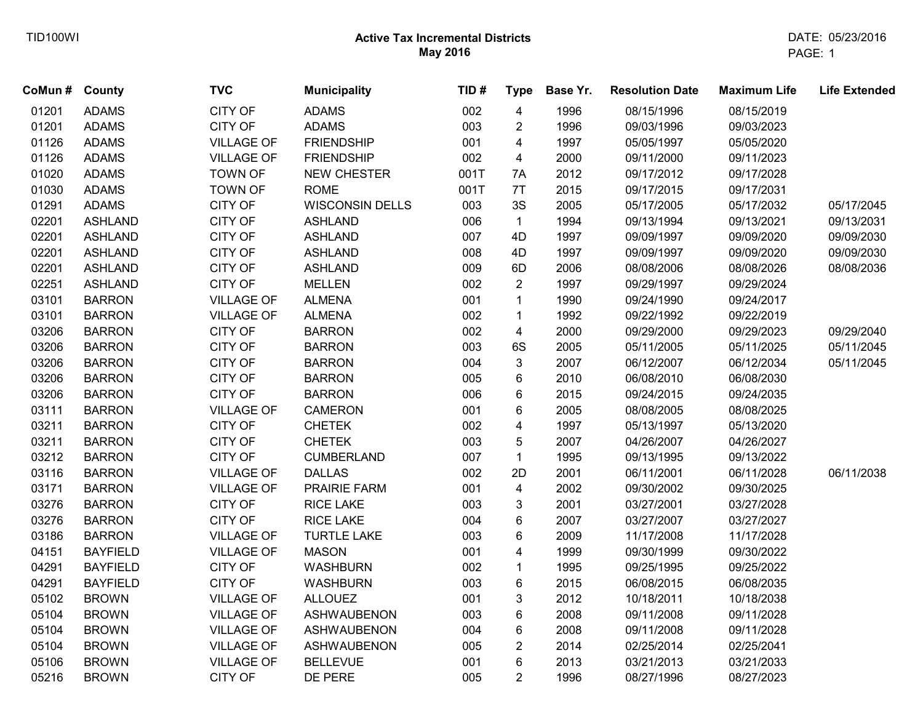| CoMun# | County          | <b>TVC</b>        | <b>Municipality</b>    | TID# | <b>Type</b>             | Base Yr. | <b>Resolution Date</b> | <b>Maximum Life</b> | <b>Life Extended</b> |
|--------|-----------------|-------------------|------------------------|------|-------------------------|----------|------------------------|---------------------|----------------------|
| 01201  | <b>ADAMS</b>    | <b>CITY OF</b>    | <b>ADAMS</b>           | 002  | $\overline{\mathbf{4}}$ | 1996     | 08/15/1996             | 08/15/2019          |                      |
| 01201  | <b>ADAMS</b>    | CITY OF           | <b>ADAMS</b>           | 003  | $\overline{c}$          | 1996     | 09/03/1996             | 09/03/2023          |                      |
| 01126  | <b>ADAMS</b>    | <b>VILLAGE OF</b> | <b>FRIENDSHIP</b>      | 001  | 4                       | 1997     | 05/05/1997             | 05/05/2020          |                      |
| 01126  | <b>ADAMS</b>    | <b>VILLAGE OF</b> | <b>FRIENDSHIP</b>      | 002  | 4                       | 2000     | 09/11/2000             | 09/11/2023          |                      |
| 01020  | <b>ADAMS</b>    | <b>TOWN OF</b>    | <b>NEW CHESTER</b>     | 001T | 7A                      | 2012     | 09/17/2012             | 09/17/2028          |                      |
| 01030  | <b>ADAMS</b>    | <b>TOWN OF</b>    | <b>ROME</b>            | 001T | 7T                      | 2015     | 09/17/2015             | 09/17/2031          |                      |
| 01291  | <b>ADAMS</b>    | CITY OF           | <b>WISCONSIN DELLS</b> | 003  | 3S                      | 2005     | 05/17/2005             | 05/17/2032          | 05/17/2045           |
| 02201  | <b>ASHLAND</b>  | CITY OF           | <b>ASHLAND</b>         | 006  | $\mathbf{1}$            | 1994     | 09/13/1994             | 09/13/2021          | 09/13/2031           |
| 02201  | <b>ASHLAND</b>  | CITY OF           | <b>ASHLAND</b>         | 007  | 4D                      | 1997     | 09/09/1997             | 09/09/2020          | 09/09/2030           |
| 02201  | <b>ASHLAND</b>  | CITY OF           | <b>ASHLAND</b>         | 008  | 4D                      | 1997     | 09/09/1997             | 09/09/2020          | 09/09/2030           |
| 02201  | <b>ASHLAND</b>  | CITY OF           | <b>ASHLAND</b>         | 009  | 6D                      | 2006     | 08/08/2006             | 08/08/2026          | 08/08/2036           |
| 02251  | <b>ASHLAND</b>  | CITY OF           | <b>MELLEN</b>          | 002  | $\overline{2}$          | 1997     | 09/29/1997             | 09/29/2024          |                      |
| 03101  | <b>BARRON</b>   | <b>VILLAGE OF</b> | <b>ALMENA</b>          | 001  | $\mathbf{1}$            | 1990     | 09/24/1990             | 09/24/2017          |                      |
| 03101  | <b>BARRON</b>   | <b>VILLAGE OF</b> | <b>ALMENA</b>          | 002  | $\mathbf{1}$            | 1992     | 09/22/1992             | 09/22/2019          |                      |
| 03206  | <b>BARRON</b>   | CITY OF           | <b>BARRON</b>          | 002  | $\overline{\mathbf{4}}$ | 2000     | 09/29/2000             | 09/29/2023          | 09/29/2040           |
| 03206  | <b>BARRON</b>   | CITY OF           | <b>BARRON</b>          | 003  | 6S                      | 2005     | 05/11/2005             | 05/11/2025          | 05/11/2045           |
| 03206  | <b>BARRON</b>   | CITY OF           | <b>BARRON</b>          | 004  | 3                       | 2007     | 06/12/2007             | 06/12/2034          | 05/11/2045           |
| 03206  | <b>BARRON</b>   | CITY OF           | <b>BARRON</b>          | 005  | 6                       | 2010     | 06/08/2010             | 06/08/2030          |                      |
| 03206  | <b>BARRON</b>   | CITY OF           | <b>BARRON</b>          | 006  | 6                       | 2015     | 09/24/2015             | 09/24/2035          |                      |
| 03111  | <b>BARRON</b>   | <b>VILLAGE OF</b> | <b>CAMERON</b>         | 001  | 6                       | 2005     | 08/08/2005             | 08/08/2025          |                      |
| 03211  | <b>BARRON</b>   | CITY OF           | <b>CHETEK</b>          | 002  | 4                       | 1997     | 05/13/1997             | 05/13/2020          |                      |
| 03211  | <b>BARRON</b>   | CITY OF           | <b>CHETEK</b>          | 003  | 5                       | 2007     | 04/26/2007             | 04/26/2027          |                      |
| 03212  | <b>BARRON</b>   | CITY OF           | <b>CUMBERLAND</b>      | 007  | $\mathbf{1}$            | 1995     | 09/13/1995             | 09/13/2022          |                      |
| 03116  | <b>BARRON</b>   | <b>VILLAGE OF</b> | <b>DALLAS</b>          | 002  | 2D                      | 2001     | 06/11/2001             | 06/11/2028          | 06/11/2038           |
| 03171  | <b>BARRON</b>   | <b>VILLAGE OF</b> | PRAIRIE FARM           | 001  | $\overline{\mathbf{4}}$ | 2002     | 09/30/2002             | 09/30/2025          |                      |
| 03276  | <b>BARRON</b>   | CITY OF           | <b>RICE LAKE</b>       | 003  | 3                       | 2001     | 03/27/2001             | 03/27/2028          |                      |
| 03276  | <b>BARRON</b>   | CITY OF           | <b>RICE LAKE</b>       | 004  | 6                       | 2007     | 03/27/2007             | 03/27/2027          |                      |
| 03186  | <b>BARRON</b>   | <b>VILLAGE OF</b> | <b>TURTLE LAKE</b>     | 003  | 6                       | 2009     | 11/17/2008             | 11/17/2028          |                      |
| 04151  | <b>BAYFIELD</b> | <b>VILLAGE OF</b> | <b>MASON</b>           | 001  | 4                       | 1999     | 09/30/1999             | 09/30/2022          |                      |
| 04291  | <b>BAYFIELD</b> | CITY OF           | <b>WASHBURN</b>        | 002  | 1                       | 1995     | 09/25/1995             | 09/25/2022          |                      |
| 04291  | <b>BAYFIELD</b> | CITY OF           | <b>WASHBURN</b>        | 003  | 6                       | 2015     | 06/08/2015             | 06/08/2035          |                      |
| 05102  | <b>BROWN</b>    | <b>VILLAGE OF</b> | <b>ALLOUEZ</b>         | 001  | 3                       | 2012     | 10/18/2011             | 10/18/2038          |                      |
| 05104  | <b>BROWN</b>    | <b>VILLAGE OF</b> | <b>ASHWAUBENON</b>     | 003  | 6                       | 2008     | 09/11/2008             | 09/11/2028          |                      |
| 05104  | <b>BROWN</b>    | <b>VILLAGE OF</b> | <b>ASHWAUBENON</b>     | 004  | 6                       | 2008     | 09/11/2008             | 09/11/2028          |                      |
| 05104  | <b>BROWN</b>    | <b>VILLAGE OF</b> | <b>ASHWAUBENON</b>     | 005  | $\overline{c}$          | 2014     | 02/25/2014             | 02/25/2041          |                      |
| 05106  | <b>BROWN</b>    | <b>VILLAGE OF</b> | <b>BELLEVUE</b>        | 001  | 6                       | 2013     | 03/21/2013             | 03/21/2033          |                      |
| 05216  | <b>BROWN</b>    | CITY OF           | DE PERE                | 005  | $\overline{2}$          | 1996     | 08/27/1996             | 08/27/2023          |                      |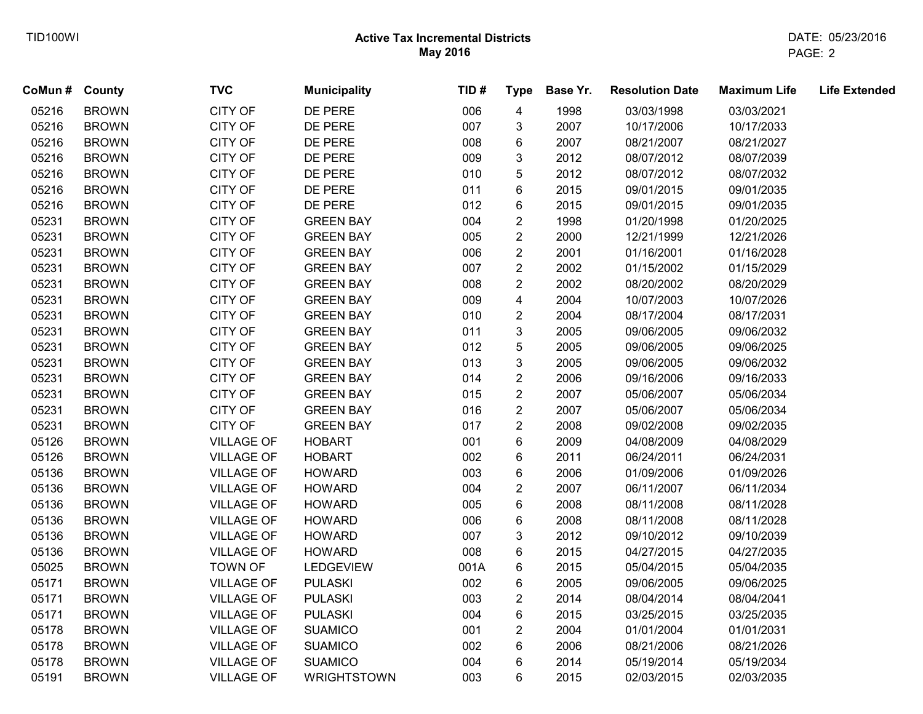| CoMun # County |              | <b>TVC</b>        | <b>Municipality</b> | TID# | <b>Type</b>             | Base Yr. | <b>Resolution Date</b> | <b>Maximum Life</b> | <b>Life Extended</b> |
|----------------|--------------|-------------------|---------------------|------|-------------------------|----------|------------------------|---------------------|----------------------|
| 05216          | <b>BROWN</b> | CITY OF           | DE PERE             | 006  | $\overline{\mathbf{4}}$ | 1998     | 03/03/1998             | 03/03/2021          |                      |
| 05216          | <b>BROWN</b> | CITY OF           | DE PERE             | 007  | 3                       | 2007     | 10/17/2006             | 10/17/2033          |                      |
| 05216          | <b>BROWN</b> | CITY OF           | DE PERE             | 008  | 6                       | 2007     | 08/21/2007             | 08/21/2027          |                      |
| 05216          | <b>BROWN</b> | CITY OF           | DE PERE             | 009  | 3                       | 2012     | 08/07/2012             | 08/07/2039          |                      |
| 05216          | <b>BROWN</b> | CITY OF           | DE PERE             | 010  | 5                       | 2012     | 08/07/2012             | 08/07/2032          |                      |
| 05216          | <b>BROWN</b> | CITY OF           | DE PERE             | 011  | 6                       | 2015     | 09/01/2015             | 09/01/2035          |                      |
| 05216          | <b>BROWN</b> | CITY OF           | DE PERE             | 012  | 6                       | 2015     | 09/01/2015             | 09/01/2035          |                      |
| 05231          | <b>BROWN</b> | CITY OF           | <b>GREEN BAY</b>    | 004  | $\overline{2}$          | 1998     | 01/20/1998             | 01/20/2025          |                      |
| 05231          | <b>BROWN</b> | CITY OF           | <b>GREEN BAY</b>    | 005  | $\overline{2}$          | 2000     | 12/21/1999             | 12/21/2026          |                      |
| 05231          | <b>BROWN</b> | CITY OF           | <b>GREEN BAY</b>    | 006  | $\overline{2}$          | 2001     | 01/16/2001             | 01/16/2028          |                      |
| 05231          | <b>BROWN</b> | <b>CITY OF</b>    | <b>GREEN BAY</b>    | 007  | $\boldsymbol{2}$        | 2002     | 01/15/2002             | 01/15/2029          |                      |
| 05231          | <b>BROWN</b> | CITY OF           | <b>GREEN BAY</b>    | 008  | $\overline{c}$          | 2002     | 08/20/2002             | 08/20/2029          |                      |
| 05231          | <b>BROWN</b> | CITY OF           | <b>GREEN BAY</b>    | 009  | 4                       | 2004     | 10/07/2003             | 10/07/2026          |                      |
| 05231          | <b>BROWN</b> | CITY OF           | <b>GREEN BAY</b>    | 010  | $\overline{2}$          | 2004     | 08/17/2004             | 08/17/2031          |                      |
| 05231          | <b>BROWN</b> | CITY OF           | <b>GREEN BAY</b>    | 011  | 3                       | 2005     | 09/06/2005             | 09/06/2032          |                      |
| 05231          | <b>BROWN</b> | <b>CITY OF</b>    | <b>GREEN BAY</b>    | 012  | 5                       | 2005     | 09/06/2005             | 09/06/2025          |                      |
| 05231          | <b>BROWN</b> | CITY OF           | <b>GREEN BAY</b>    | 013  | 3                       | 2005     | 09/06/2005             | 09/06/2032          |                      |
| 05231          | <b>BROWN</b> | CITY OF           | <b>GREEN BAY</b>    | 014  | $\overline{2}$          | 2006     | 09/16/2006             | 09/16/2033          |                      |
| 05231          | <b>BROWN</b> | CITY OF           | <b>GREEN BAY</b>    | 015  | $\overline{2}$          | 2007     | 05/06/2007             | 05/06/2034          |                      |
| 05231          | <b>BROWN</b> | CITY OF           | <b>GREEN BAY</b>    | 016  | $\overline{c}$          | 2007     | 05/06/2007             | 05/06/2034          |                      |
| 05231          | <b>BROWN</b> | <b>CITY OF</b>    | <b>GREEN BAY</b>    | 017  | 2                       | 2008     | 09/02/2008             | 09/02/2035          |                      |
| 05126          | <b>BROWN</b> | <b>VILLAGE OF</b> | <b>HOBART</b>       | 001  | 6                       | 2009     | 04/08/2009             | 04/08/2029          |                      |
| 05126          | <b>BROWN</b> | <b>VILLAGE OF</b> | <b>HOBART</b>       | 002  | 6                       | 2011     | 06/24/2011             | 06/24/2031          |                      |
| 05136          | <b>BROWN</b> | <b>VILLAGE OF</b> | <b>HOWARD</b>       | 003  | 6                       | 2006     | 01/09/2006             | 01/09/2026          |                      |
| 05136          | <b>BROWN</b> | <b>VILLAGE OF</b> | <b>HOWARD</b>       | 004  | $\overline{2}$          | 2007     | 06/11/2007             | 06/11/2034          |                      |
| 05136          | <b>BROWN</b> | <b>VILLAGE OF</b> | <b>HOWARD</b>       | 005  | 6                       | 2008     | 08/11/2008             | 08/11/2028          |                      |
| 05136          | <b>BROWN</b> | <b>VILLAGE OF</b> | <b>HOWARD</b>       | 006  | 6                       | 2008     | 08/11/2008             | 08/11/2028          |                      |
| 05136          | <b>BROWN</b> | <b>VILLAGE OF</b> | <b>HOWARD</b>       | 007  | 3                       | 2012     | 09/10/2012             | 09/10/2039          |                      |
| 05136          | <b>BROWN</b> | <b>VILLAGE OF</b> | <b>HOWARD</b>       | 008  | 6                       | 2015     | 04/27/2015             | 04/27/2035          |                      |
| 05025          | <b>BROWN</b> | <b>TOWN OF</b>    | <b>LEDGEVIEW</b>    | 001A | 6                       | 2015     | 05/04/2015             | 05/04/2035          |                      |
| 05171          | <b>BROWN</b> | <b>VILLAGE OF</b> | <b>PULASKI</b>      | 002  | 6                       | 2005     | 09/06/2005             | 09/06/2025          |                      |
| 05171          | <b>BROWN</b> | <b>VILLAGE OF</b> | <b>PULASKI</b>      | 003  | $\overline{2}$          | 2014     | 08/04/2014             | 08/04/2041          |                      |
| 05171          | <b>BROWN</b> | <b>VILLAGE OF</b> | <b>PULASKI</b>      | 004  | 6                       | 2015     | 03/25/2015             | 03/25/2035          |                      |
| 05178          | <b>BROWN</b> | <b>VILLAGE OF</b> | <b>SUAMICO</b>      | 001  | $\overline{2}$          | 2004     | 01/01/2004             | 01/01/2031          |                      |
| 05178          | <b>BROWN</b> | <b>VILLAGE OF</b> | <b>SUAMICO</b>      | 002  | 6                       | 2006     | 08/21/2006             | 08/21/2026          |                      |
| 05178          | <b>BROWN</b> | <b>VILLAGE OF</b> | <b>SUAMICO</b>      | 004  | 6                       | 2014     | 05/19/2014             | 05/19/2034          |                      |
| 05191          | <b>BROWN</b> | <b>VILLAGE OF</b> | <b>WRIGHTSTOWN</b>  | 003  | 6                       | 2015     | 02/03/2015             | 02/03/2035          |                      |
|                |              |                   |                     |      |                         |          |                        |                     |                      |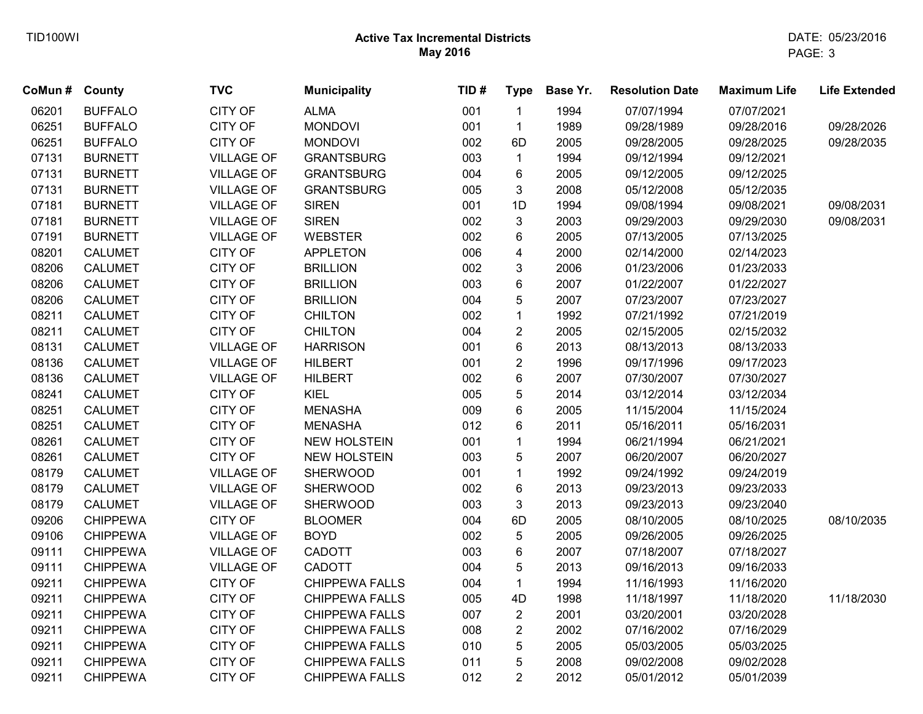| CoMun # | County          | <b>TVC</b>        | <b>Municipality</b>   | TID# | <b>Type</b>             | Base Yr. | <b>Resolution Date</b> | <b>Maximum Life</b> | <b>Life Extended</b> |
|---------|-----------------|-------------------|-----------------------|------|-------------------------|----------|------------------------|---------------------|----------------------|
| 06201   | <b>BUFFALO</b>  | <b>CITY OF</b>    | <b>ALMA</b>           | 001  | $\mathbf{1}$            | 1994     | 07/07/1994             | 07/07/2021          |                      |
| 06251   | <b>BUFFALO</b>  | CITY OF           | <b>MONDOVI</b>        | 001  | $\mathbf{1}$            | 1989     | 09/28/1989             | 09/28/2016          | 09/28/2026           |
| 06251   | <b>BUFFALO</b>  | <b>CITY OF</b>    | <b>MONDOVI</b>        | 002  | 6D                      | 2005     | 09/28/2005             | 09/28/2025          | 09/28/2035           |
| 07131   | <b>BURNETT</b>  | <b>VILLAGE OF</b> | <b>GRANTSBURG</b>     | 003  | $\mathbf{1}$            | 1994     | 09/12/1994             | 09/12/2021          |                      |
| 07131   | <b>BURNETT</b>  | <b>VILLAGE OF</b> | <b>GRANTSBURG</b>     | 004  | 6                       | 2005     | 09/12/2005             | 09/12/2025          |                      |
| 07131   | <b>BURNETT</b>  | <b>VILLAGE OF</b> | <b>GRANTSBURG</b>     | 005  | 3                       | 2008     | 05/12/2008             | 05/12/2035          |                      |
| 07181   | <b>BURNETT</b>  | <b>VILLAGE OF</b> | <b>SIREN</b>          | 001  | 1D                      | 1994     | 09/08/1994             | 09/08/2021          | 09/08/2031           |
| 07181   | <b>BURNETT</b>  | <b>VILLAGE OF</b> | <b>SIREN</b>          | 002  | 3                       | 2003     | 09/29/2003             | 09/29/2030          | 09/08/2031           |
| 07191   | <b>BURNETT</b>  | <b>VILLAGE OF</b> | <b>WEBSTER</b>        | 002  | 6                       | 2005     | 07/13/2005             | 07/13/2025          |                      |
| 08201   | <b>CALUMET</b>  | <b>CITY OF</b>    | <b>APPLETON</b>       | 006  | $\overline{\mathbf{4}}$ | 2000     | 02/14/2000             | 02/14/2023          |                      |
| 08206   | <b>CALUMET</b>  | <b>CITY OF</b>    | <b>BRILLION</b>       | 002  | $\sqrt{3}$              | 2006     | 01/23/2006             | 01/23/2033          |                      |
| 08206   | <b>CALUMET</b>  | <b>CITY OF</b>    | <b>BRILLION</b>       | 003  | 6                       | 2007     | 01/22/2007             | 01/22/2027          |                      |
| 08206   | <b>CALUMET</b>  | CITY OF           | <b>BRILLION</b>       | 004  | 5                       | 2007     | 07/23/2007             | 07/23/2027          |                      |
| 08211   | <b>CALUMET</b>  | CITY OF           | <b>CHILTON</b>        | 002  | $\mathbf{1}$            | 1992     | 07/21/1992             | 07/21/2019          |                      |
| 08211   | <b>CALUMET</b>  | <b>CITY OF</b>    | <b>CHILTON</b>        | 004  | $\boldsymbol{2}$        | 2005     | 02/15/2005             | 02/15/2032          |                      |
| 08131   | <b>CALUMET</b>  | <b>VILLAGE OF</b> | <b>HARRISON</b>       | 001  | 6                       | 2013     | 08/13/2013             | 08/13/2033          |                      |
| 08136   | <b>CALUMET</b>  | <b>VILLAGE OF</b> | <b>HILBERT</b>        | 001  | $\overline{c}$          | 1996     | 09/17/1996             | 09/17/2023          |                      |
| 08136   | <b>CALUMET</b>  | <b>VILLAGE OF</b> | <b>HILBERT</b>        | 002  | 6                       | 2007     | 07/30/2007             | 07/30/2027          |                      |
| 08241   | <b>CALUMET</b>  | <b>CITY OF</b>    | <b>KIEL</b>           | 005  | 5                       | 2014     | 03/12/2014             | 03/12/2034          |                      |
| 08251   | <b>CALUMET</b>  | <b>CITY OF</b>    | <b>MENASHA</b>        | 009  | 6                       | 2005     | 11/15/2004             | 11/15/2024          |                      |
| 08251   | <b>CALUMET</b>  | <b>CITY OF</b>    | <b>MENASHA</b>        | 012  | 6                       | 2011     | 05/16/2011             | 05/16/2031          |                      |
| 08261   | <b>CALUMET</b>  | <b>CITY OF</b>    | <b>NEW HOLSTEIN</b>   | 001  | $\mathbf{1}$            | 1994     | 06/21/1994             | 06/21/2021          |                      |
| 08261   | <b>CALUMET</b>  | CITY OF           | <b>NEW HOLSTEIN</b>   | 003  | 5                       | 2007     | 06/20/2007             | 06/20/2027          |                      |
| 08179   | <b>CALUMET</b>  | <b>VILLAGE OF</b> | <b>SHERWOOD</b>       | 001  | $\mathbf{1}$            | 1992     | 09/24/1992             | 09/24/2019          |                      |
| 08179   | <b>CALUMET</b>  | <b>VILLAGE OF</b> | <b>SHERWOOD</b>       | 002  | 6                       | 2013     | 09/23/2013             | 09/23/2033          |                      |
| 08179   | <b>CALUMET</b>  | <b>VILLAGE OF</b> | <b>SHERWOOD</b>       | 003  | $\mathfrak{Z}$          | 2013     | 09/23/2013             | 09/23/2040          |                      |
| 09206   | <b>CHIPPEWA</b> | <b>CITY OF</b>    | <b>BLOOMER</b>        | 004  | 6D                      | 2005     | 08/10/2005             | 08/10/2025          | 08/10/2035           |
| 09106   | <b>CHIPPEWA</b> | <b>VILLAGE OF</b> | <b>BOYD</b>           | 002  | $\sqrt{5}$              | 2005     | 09/26/2005             | 09/26/2025          |                      |
| 09111   | <b>CHIPPEWA</b> | <b>VILLAGE OF</b> | CADOTT                | 003  | $\,6\,$                 | 2007     | 07/18/2007             | 07/18/2027          |                      |
| 09111   | <b>CHIPPEWA</b> | <b>VILLAGE OF</b> | <b>CADOTT</b>         | 004  | 5                       | 2013     | 09/16/2013             | 09/16/2033          |                      |
| 09211   | <b>CHIPPEWA</b> | <b>CITY OF</b>    | <b>CHIPPEWA FALLS</b> | 004  | $\mathbf{1}$            | 1994     | 11/16/1993             | 11/16/2020          |                      |
| 09211   | <b>CHIPPEWA</b> | CITY OF           | <b>CHIPPEWA FALLS</b> | 005  | 4D                      | 1998     | 11/18/1997             | 11/18/2020          | 11/18/2030           |
| 09211   | <b>CHIPPEWA</b> | <b>CITY OF</b>    | <b>CHIPPEWA FALLS</b> | 007  | $\overline{2}$          | 2001     | 03/20/2001             | 03/20/2028          |                      |
| 09211   | <b>CHIPPEWA</b> | CITY OF           | <b>CHIPPEWA FALLS</b> | 008  | $\overline{2}$          | 2002     | 07/16/2002             | 07/16/2029          |                      |
| 09211   | <b>CHIPPEWA</b> | <b>CITY OF</b>    | <b>CHIPPEWA FALLS</b> | 010  | 5                       | 2005     | 05/03/2005             | 05/03/2025          |                      |
| 09211   | <b>CHIPPEWA</b> | <b>CITY OF</b>    | <b>CHIPPEWA FALLS</b> | 011  | 5                       | 2008     | 09/02/2008             | 09/02/2028          |                      |
| 09211   | <b>CHIPPEWA</b> | <b>CITY OF</b>    | <b>CHIPPEWA FALLS</b> | 012  | $\overline{2}$          | 2012     | 05/01/2012             | 05/01/2039          |                      |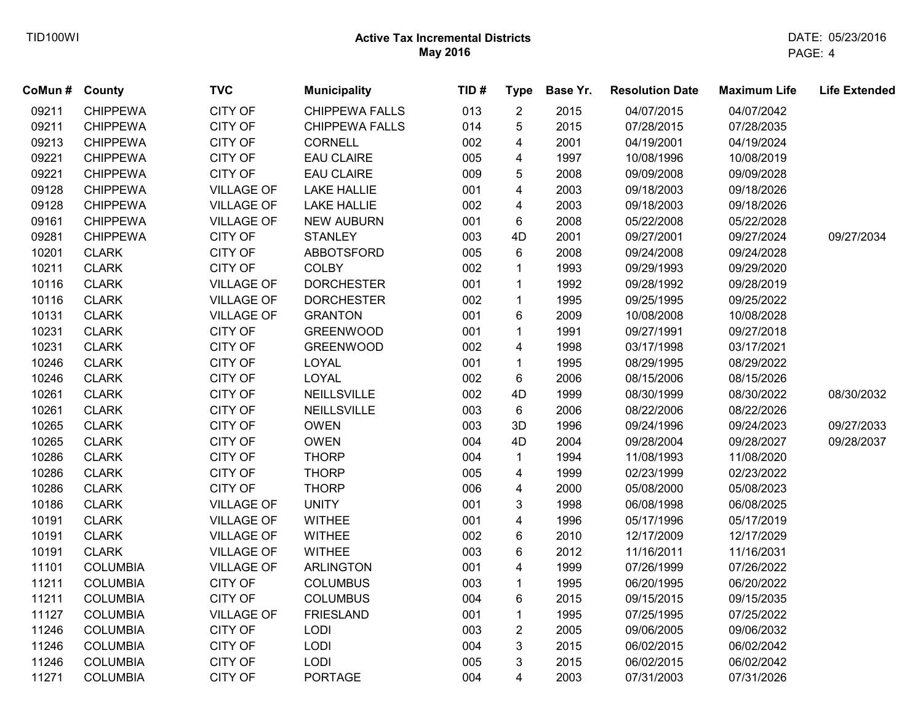| CoMun # County |                 | <b>TVC</b>        | <b>Municipality</b>   | TID# | <b>Type</b>             | Base Yr. | <b>Resolution Date</b> | <b>Maximum Life</b> | <b>Life Extended</b> |
|----------------|-----------------|-------------------|-----------------------|------|-------------------------|----------|------------------------|---------------------|----------------------|
| 09211          | <b>CHIPPEWA</b> | <b>CITY OF</b>    | <b>CHIPPEWA FALLS</b> | 013  | $\overline{2}$          | 2015     | 04/07/2015             | 04/07/2042          |                      |
| 09211          | <b>CHIPPEWA</b> | <b>CITY OF</b>    | <b>CHIPPEWA FALLS</b> | 014  | 5                       | 2015     | 07/28/2015             | 07/28/2035          |                      |
| 09213          | <b>CHIPPEWA</b> | <b>CITY OF</b>    | <b>CORNELL</b>        | 002  | 4                       | 2001     | 04/19/2001             | 04/19/2024          |                      |
| 09221          | <b>CHIPPEWA</b> | CITY OF           | <b>EAU CLAIRE</b>     | 005  | 4                       | 1997     | 10/08/1996             | 10/08/2019          |                      |
| 09221          | <b>CHIPPEWA</b> | CITY OF           | <b>EAU CLAIRE</b>     | 009  | 5                       | 2008     | 09/09/2008             | 09/09/2028          |                      |
| 09128          | <b>CHIPPEWA</b> | <b>VILLAGE OF</b> | <b>LAKE HALLIE</b>    | 001  | 4                       | 2003     | 09/18/2003             | 09/18/2026          |                      |
| 09128          | <b>CHIPPEWA</b> | <b>VILLAGE OF</b> | <b>LAKE HALLIE</b>    | 002  | 4                       | 2003     | 09/18/2003             | 09/18/2026          |                      |
| 09161          | <b>CHIPPEWA</b> | <b>VILLAGE OF</b> | <b>NEW AUBURN</b>     | 001  | 6                       | 2008     | 05/22/2008             | 05/22/2028          |                      |
| 09281          | <b>CHIPPEWA</b> | CITY OF           | <b>STANLEY</b>        | 003  | 4D                      | 2001     | 09/27/2001             | 09/27/2024          | 09/27/2034           |
| 10201          | <b>CLARK</b>    | CITY OF           | <b>ABBOTSFORD</b>     | 005  | 6                       | 2008     | 09/24/2008             | 09/24/2028          |                      |
| 10211          | <b>CLARK</b>    | CITY OF           | <b>COLBY</b>          | 002  | $\mathbf{1}$            | 1993     | 09/29/1993             | 09/29/2020          |                      |
| 10116          | <b>CLARK</b>    | <b>VILLAGE OF</b> | <b>DORCHESTER</b>     | 001  | 1                       | 1992     | 09/28/1992             | 09/28/2019          |                      |
| 10116          | <b>CLARK</b>    | <b>VILLAGE OF</b> | <b>DORCHESTER</b>     | 002  | $\mathbf{1}$            | 1995     | 09/25/1995             | 09/25/2022          |                      |
| 10131          | <b>CLARK</b>    | <b>VILLAGE OF</b> | <b>GRANTON</b>        | 001  | 6                       | 2009     | 10/08/2008             | 10/08/2028          |                      |
| 10231          | <b>CLARK</b>    | CITY OF           | <b>GREENWOOD</b>      | 001  | $\mathbf{1}$            | 1991     | 09/27/1991             | 09/27/2018          |                      |
| 10231          | <b>CLARK</b>    | CITY OF           | <b>GREENWOOD</b>      | 002  | $\overline{\mathbf{4}}$ | 1998     | 03/17/1998             | 03/17/2021          |                      |
| 10246          | <b>CLARK</b>    | CITY OF           | <b>LOYAL</b>          | 001  | $\mathbf{1}$            | 1995     | 08/29/1995             | 08/29/2022          |                      |
| 10246          | <b>CLARK</b>    | <b>CITY OF</b>    | LOYAL                 | 002  | 6                       | 2006     | 08/15/2006             | 08/15/2026          |                      |
| 10261          | <b>CLARK</b>    | CITY OF           | <b>NEILLSVILLE</b>    | 002  | 4D                      | 1999     | 08/30/1999             | 08/30/2022          | 08/30/2032           |
| 10261          | <b>CLARK</b>    | CITY OF           | NEILLSVILLE           | 003  | 6                       | 2006     | 08/22/2006             | 08/22/2026          |                      |
| 10265          | <b>CLARK</b>    | <b>CITY OF</b>    | <b>OWEN</b>           | 003  | 3D                      | 1996     | 09/24/1996             | 09/24/2023          | 09/27/2033           |
| 10265          | <b>CLARK</b>    | <b>CITY OF</b>    | <b>OWEN</b>           | 004  | 4D                      | 2004     | 09/28/2004             | 09/28/2027          | 09/28/2037           |
| 10286          | <b>CLARK</b>    | <b>CITY OF</b>    | <b>THORP</b>          | 004  | $\mathbf{1}$            | 1994     | 11/08/1993             | 11/08/2020          |                      |
| 10286          | <b>CLARK</b>    | CITY OF           | <b>THORP</b>          | 005  | 4                       | 1999     | 02/23/1999             | 02/23/2022          |                      |
| 10286          | <b>CLARK</b>    | CITY OF           | <b>THORP</b>          | 006  | 4                       | 2000     | 05/08/2000             | 05/08/2023          |                      |
| 10186          | <b>CLARK</b>    | <b>VILLAGE OF</b> | <b>UNITY</b>          | 001  | 3                       | 1998     | 06/08/1998             | 06/08/2025          |                      |
| 10191          | <b>CLARK</b>    | <b>VILLAGE OF</b> | <b>WITHEE</b>         | 001  | 4                       | 1996     | 05/17/1996             | 05/17/2019          |                      |
| 10191          | <b>CLARK</b>    | <b>VILLAGE OF</b> | <b>WITHEE</b>         | 002  | 6                       | 2010     | 12/17/2009             | 12/17/2029          |                      |
| 10191          | <b>CLARK</b>    | <b>VILLAGE OF</b> | <b>WITHEE</b>         | 003  | 6                       | 2012     | 11/16/2011             | 11/16/2031          |                      |
| 11101          | <b>COLUMBIA</b> | <b>VILLAGE OF</b> | <b>ARLINGTON</b>      | 001  | 4                       | 1999     | 07/26/1999             | 07/26/2022          |                      |
| 11211          | <b>COLUMBIA</b> | <b>CITY OF</b>    | <b>COLUMBUS</b>       | 003  | 1                       | 1995     | 06/20/1995             | 06/20/2022          |                      |
| 11211          | <b>COLUMBIA</b> | <b>CITY OF</b>    | <b>COLUMBUS</b>       | 004  | 6                       | 2015     | 09/15/2015             | 09/15/2035          |                      |
| 11127          | <b>COLUMBIA</b> | <b>VILLAGE OF</b> | <b>FRIESLAND</b>      | 001  | $\mathbf 1$             | 1995     | 07/25/1995             | 07/25/2022          |                      |
| 11246          | <b>COLUMBIA</b> | <b>CITY OF</b>    | LODI                  | 003  | $\overline{2}$          | 2005     | 09/06/2005             | 09/06/2032          |                      |
| 11246          | <b>COLUMBIA</b> | CITY OF           | LODI                  | 004  | 3                       | 2015     | 06/02/2015             | 06/02/2042          |                      |
| 11246          | <b>COLUMBIA</b> | <b>CITY OF</b>    | LODI                  | 005  | 3                       | 2015     | 06/02/2015             | 06/02/2042          |                      |
| 11271          | <b>COLUMBIA</b> | <b>CITY OF</b>    | <b>PORTAGE</b>        | 004  | 4                       | 2003     | 07/31/2003             | 07/31/2026          |                      |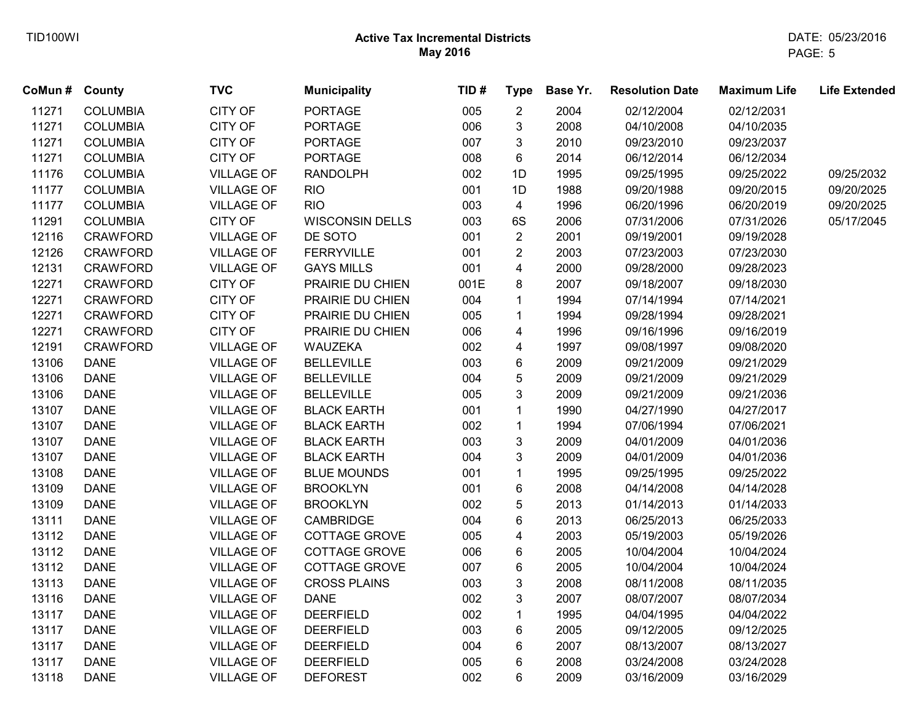| CoMun# | <b>County</b>   | <b>TVC</b>        | <b>Municipality</b>    | TID# | <b>Type</b>             | Base Yr. | <b>Resolution Date</b> | <b>Maximum Life</b> | <b>Life Extended</b> |
|--------|-----------------|-------------------|------------------------|------|-------------------------|----------|------------------------|---------------------|----------------------|
| 11271  | <b>COLUMBIA</b> | CITY OF           | <b>PORTAGE</b>         | 005  | $\overline{2}$          | 2004     | 02/12/2004             | 02/12/2031          |                      |
| 11271  | <b>COLUMBIA</b> | CITY OF           | <b>PORTAGE</b>         | 006  | 3                       | 2008     | 04/10/2008             | 04/10/2035          |                      |
| 11271  | <b>COLUMBIA</b> | CITY OF           | <b>PORTAGE</b>         | 007  | 3                       | 2010     | 09/23/2010             | 09/23/2037          |                      |
| 11271  | <b>COLUMBIA</b> | CITY OF           | <b>PORTAGE</b>         | 008  | 6                       | 2014     | 06/12/2014             | 06/12/2034          |                      |
| 11176  | <b>COLUMBIA</b> | <b>VILLAGE OF</b> | <b>RANDOLPH</b>        | 002  | 1D                      | 1995     | 09/25/1995             | 09/25/2022          | 09/25/2032           |
| 11177  | <b>COLUMBIA</b> | <b>VILLAGE OF</b> | <b>RIO</b>             | 001  | 1D                      | 1988     | 09/20/1988             | 09/20/2015          | 09/20/2025           |
| 11177  | <b>COLUMBIA</b> | <b>VILLAGE OF</b> | <b>RIO</b>             | 003  | $\overline{\mathbf{4}}$ | 1996     | 06/20/1996             | 06/20/2019          | 09/20/2025           |
| 11291  | <b>COLUMBIA</b> | CITY OF           | <b>WISCONSIN DELLS</b> | 003  | 6S                      | 2006     | 07/31/2006             | 07/31/2026          | 05/17/2045           |
| 12116  | <b>CRAWFORD</b> | <b>VILLAGE OF</b> | DE SOTO                | 001  | $\overline{2}$          | 2001     | 09/19/2001             | 09/19/2028          |                      |
| 12126  | <b>CRAWFORD</b> | <b>VILLAGE OF</b> | <b>FERRYVILLE</b>      | 001  | $\overline{2}$          | 2003     | 07/23/2003             | 07/23/2030          |                      |
| 12131  | <b>CRAWFORD</b> | <b>VILLAGE OF</b> | <b>GAYS MILLS</b>      | 001  | 4                       | 2000     | 09/28/2000             | 09/28/2023          |                      |
| 12271  | <b>CRAWFORD</b> | CITY OF           | PRAIRIE DU CHIEN       | 001E | 8                       | 2007     | 09/18/2007             | 09/18/2030          |                      |
| 12271  | <b>CRAWFORD</b> | CITY OF           | PRAIRIE DU CHIEN       | 004  | $\mathbf{1}$            | 1994     | 07/14/1994             | 07/14/2021          |                      |
| 12271  | <b>CRAWFORD</b> | CITY OF           | PRAIRIE DU CHIEN       | 005  | 1                       | 1994     | 09/28/1994             | 09/28/2021          |                      |
| 12271  | <b>CRAWFORD</b> | CITY OF           | PRAIRIE DU CHIEN       | 006  | 4                       | 1996     | 09/16/1996             | 09/16/2019          |                      |
| 12191  | <b>CRAWFORD</b> | <b>VILLAGE OF</b> | WAUZEKA                | 002  | 4                       | 1997     | 09/08/1997             | 09/08/2020          |                      |
| 13106  | <b>DANE</b>     | <b>VILLAGE OF</b> | <b>BELLEVILLE</b>      | 003  | 6                       | 2009     | 09/21/2009             | 09/21/2029          |                      |
| 13106  | <b>DANE</b>     | <b>VILLAGE OF</b> | <b>BELLEVILLE</b>      | 004  | 5                       | 2009     | 09/21/2009             | 09/21/2029          |                      |
| 13106  | <b>DANE</b>     | <b>VILLAGE OF</b> | <b>BELLEVILLE</b>      | 005  | 3                       | 2009     | 09/21/2009             | 09/21/2036          |                      |
| 13107  | <b>DANE</b>     | <b>VILLAGE OF</b> | <b>BLACK EARTH</b>     | 001  | 1                       | 1990     | 04/27/1990             | 04/27/2017          |                      |
| 13107  | <b>DANE</b>     | <b>VILLAGE OF</b> | <b>BLACK EARTH</b>     | 002  | 1                       | 1994     | 07/06/1994             | 07/06/2021          |                      |
| 13107  | <b>DANE</b>     | <b>VILLAGE OF</b> | <b>BLACK EARTH</b>     | 003  | 3                       | 2009     | 04/01/2009             | 04/01/2036          |                      |
| 13107  | <b>DANE</b>     | <b>VILLAGE OF</b> | <b>BLACK EARTH</b>     | 004  | 3                       | 2009     | 04/01/2009             | 04/01/2036          |                      |
| 13108  | <b>DANE</b>     | <b>VILLAGE OF</b> | <b>BLUE MOUNDS</b>     | 001  | 1                       | 1995     | 09/25/1995             | 09/25/2022          |                      |
| 13109  | <b>DANE</b>     | <b>VILLAGE OF</b> | <b>BROOKLYN</b>        | 001  | 6                       | 2008     | 04/14/2008             | 04/14/2028          |                      |
| 13109  | <b>DANE</b>     | <b>VILLAGE OF</b> | <b>BROOKLYN</b>        | 002  | 5                       | 2013     | 01/14/2013             | 01/14/2033          |                      |
| 13111  | <b>DANE</b>     | <b>VILLAGE OF</b> | <b>CAMBRIDGE</b>       | 004  | 6                       | 2013     | 06/25/2013             | 06/25/2033          |                      |
| 13112  | <b>DANE</b>     | <b>VILLAGE OF</b> | COTTAGE GROVE          | 005  | $\overline{\mathbf{4}}$ | 2003     | 05/19/2003             | 05/19/2026          |                      |
| 13112  | <b>DANE</b>     | <b>VILLAGE OF</b> | COTTAGE GROVE          | 006  | 6                       | 2005     | 10/04/2004             | 10/04/2024          |                      |
| 13112  | <b>DANE</b>     | <b>VILLAGE OF</b> | COTTAGE GROVE          | 007  | 6                       | 2005     | 10/04/2004             | 10/04/2024          |                      |
| 13113  | <b>DANE</b>     | <b>VILLAGE OF</b> | <b>CROSS PLAINS</b>    | 003  | 3                       | 2008     | 08/11/2008             | 08/11/2035          |                      |
| 13116  | <b>DANE</b>     | <b>VILLAGE OF</b> | <b>DANE</b>            | 002  | 3                       | 2007     | 08/07/2007             | 08/07/2034          |                      |
| 13117  | <b>DANE</b>     | <b>VILLAGE OF</b> | <b>DEERFIELD</b>       | 002  | $\mathbf{1}$            | 1995     | 04/04/1995             | 04/04/2022          |                      |
| 13117  | <b>DANE</b>     | <b>VILLAGE OF</b> | <b>DEERFIELD</b>       | 003  | 6                       | 2005     | 09/12/2005             | 09/12/2025          |                      |
| 13117  | <b>DANE</b>     | <b>VILLAGE OF</b> | <b>DEERFIELD</b>       | 004  | 6                       | 2007     | 08/13/2007             | 08/13/2027          |                      |
| 13117  | <b>DANE</b>     | <b>VILLAGE OF</b> | <b>DEERFIELD</b>       | 005  | 6                       | 2008     | 03/24/2008             | 03/24/2028          |                      |
| 13118  | <b>DANE</b>     | <b>VILLAGE OF</b> | <b>DEFOREST</b>        | 002  | 6                       | 2009     | 03/16/2009             | 03/16/2029          |                      |
|        |                 |                   |                        |      |                         |          |                        |                     |                      |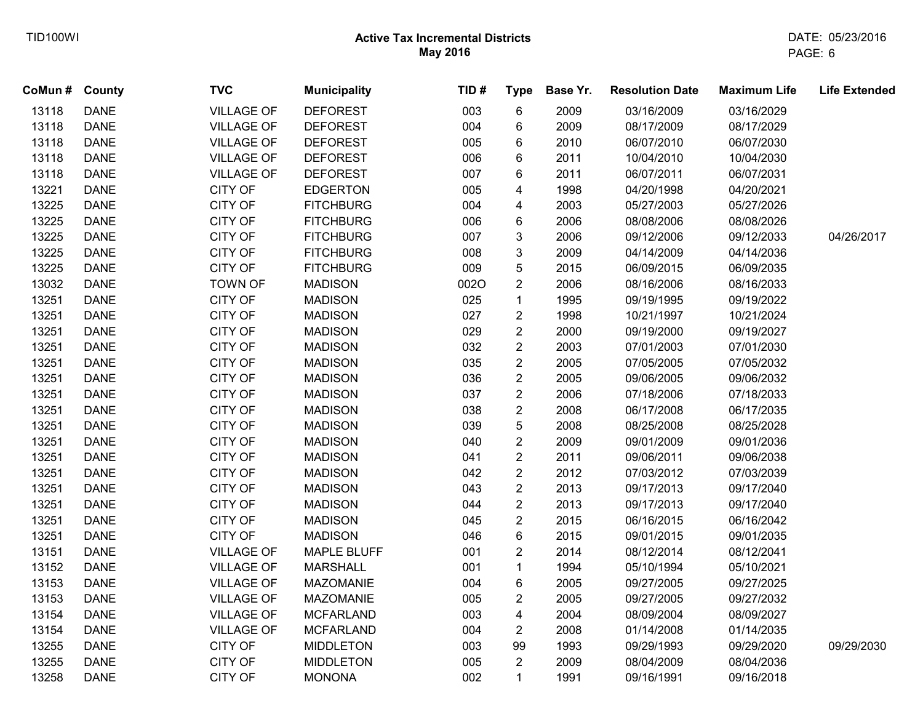| CoMun# County |             | <b>TVC</b>        | <b>Municipality</b> | TID# | <b>Type</b>             | Base Yr. | <b>Resolution Date</b> | <b>Maximum Life</b> | <b>Life Extended</b> |
|---------------|-------------|-------------------|---------------------|------|-------------------------|----------|------------------------|---------------------|----------------------|
| 13118         | <b>DANE</b> | <b>VILLAGE OF</b> | <b>DEFOREST</b>     | 003  | 6                       | 2009     | 03/16/2009             | 03/16/2029          |                      |
| 13118         | <b>DANE</b> | <b>VILLAGE OF</b> | <b>DEFOREST</b>     | 004  | $\,6\,$                 | 2009     | 08/17/2009             | 08/17/2029          |                      |
| 13118         | <b>DANE</b> | <b>VILLAGE OF</b> | <b>DEFOREST</b>     | 005  | 6                       | 2010     | 06/07/2010             | 06/07/2030          |                      |
| 13118         | <b>DANE</b> | <b>VILLAGE OF</b> | <b>DEFOREST</b>     | 006  | 6                       | 2011     | 10/04/2010             | 10/04/2030          |                      |
| 13118         | <b>DANE</b> | <b>VILLAGE OF</b> | <b>DEFOREST</b>     | 007  | 6                       | 2011     | 06/07/2011             | 06/07/2031          |                      |
| 13221         | <b>DANE</b> | CITY OF           | <b>EDGERTON</b>     | 005  | 4                       | 1998     | 04/20/1998             | 04/20/2021          |                      |
| 13225         | <b>DANE</b> | <b>CITY OF</b>    | <b>FITCHBURG</b>    | 004  | 4                       | 2003     | 05/27/2003             | 05/27/2026          |                      |
| 13225         | <b>DANE</b> | <b>CITY OF</b>    | <b>FITCHBURG</b>    | 006  | 6                       | 2006     | 08/08/2006             | 08/08/2026          |                      |
| 13225         | <b>DANE</b> | CITY OF           | <b>FITCHBURG</b>    | 007  | 3                       | 2006     | 09/12/2006             | 09/12/2033          | 04/26/2017           |
| 13225         | <b>DANE</b> | CITY OF           | <b>FITCHBURG</b>    | 008  | $\mathfrak{S}$          | 2009     | 04/14/2009             | 04/14/2036          |                      |
| 13225         | <b>DANE</b> | CITY OF           | <b>FITCHBURG</b>    | 009  | 5                       | 2015     | 06/09/2015             | 06/09/2035          |                      |
| 13032         | <b>DANE</b> | <b>TOWN OF</b>    | <b>MADISON</b>      | 0020 | $\overline{c}$          | 2006     | 08/16/2006             | 08/16/2033          |                      |
| 13251         | <b>DANE</b> | CITY OF           | <b>MADISON</b>      | 025  | $\mathbf{1}$            | 1995     | 09/19/1995             | 09/19/2022          |                      |
| 13251         | <b>DANE</b> | CITY OF           | <b>MADISON</b>      | 027  | $\overline{\mathbf{c}}$ | 1998     | 10/21/1997             | 10/21/2024          |                      |
| 13251         | <b>DANE</b> | <b>CITY OF</b>    | <b>MADISON</b>      | 029  | $\overline{c}$          | 2000     | 09/19/2000             | 09/19/2027          |                      |
| 13251         | <b>DANE</b> | CITY OF           | <b>MADISON</b>      | 032  | $\overline{c}$          | 2003     | 07/01/2003             | 07/01/2030          |                      |
| 13251         | <b>DANE</b> | <b>CITY OF</b>    | <b>MADISON</b>      | 035  | $\overline{c}$          | 2005     | 07/05/2005             | 07/05/2032          |                      |
| 13251         | <b>DANE</b> | CITY OF           | <b>MADISON</b>      | 036  | $\overline{c}$          | 2005     | 09/06/2005             | 09/06/2032          |                      |
| 13251         | <b>DANE</b> | CITY OF           | <b>MADISON</b>      | 037  | $\overline{2}$          | 2006     | 07/18/2006             | 07/18/2033          |                      |
| 13251         | <b>DANE</b> | CITY OF           | <b>MADISON</b>      | 038  | $\overline{2}$          | 2008     | 06/17/2008             | 06/17/2035          |                      |
| 13251         | <b>DANE</b> | CITY OF           | <b>MADISON</b>      | 039  | 5                       | 2008     | 08/25/2008             | 08/25/2028          |                      |
| 13251         | <b>DANE</b> | CITY OF           | <b>MADISON</b>      | 040  | $\overline{\mathbf{c}}$ | 2009     | 09/01/2009             | 09/01/2036          |                      |
| 13251         | <b>DANE</b> | CITY OF           | <b>MADISON</b>      | 041  | $\overline{\mathbf{c}}$ | 2011     | 09/06/2011             | 09/06/2038          |                      |
| 13251         | <b>DANE</b> | CITY OF           | <b>MADISON</b>      | 042  | $\overline{c}$          | 2012     | 07/03/2012             | 07/03/2039          |                      |
| 13251         | <b>DANE</b> | CITY OF           | <b>MADISON</b>      | 043  | $\overline{c}$          | 2013     | 09/17/2013             | 09/17/2040          |                      |
| 13251         | <b>DANE</b> | <b>CITY OF</b>    | <b>MADISON</b>      | 044  | $\overline{c}$          | 2013     | 09/17/2013             | 09/17/2040          |                      |
| 13251         | <b>DANE</b> | CITY OF           | <b>MADISON</b>      | 045  | $\overline{c}$          | 2015     | 06/16/2015             | 06/16/2042          |                      |
| 13251         | <b>DANE</b> | CITY OF           | <b>MADISON</b>      | 046  | 6                       | 2015     | 09/01/2015             | 09/01/2035          |                      |
| 13151         | <b>DANE</b> | <b>VILLAGE OF</b> | <b>MAPLE BLUFF</b>  | 001  | $\overline{2}$          | 2014     | 08/12/2014             | 08/12/2041          |                      |
| 13152         | <b>DANE</b> | <b>VILLAGE OF</b> | <b>MARSHALL</b>     | 001  | $\mathbf{1}$            | 1994     | 05/10/1994             | 05/10/2021          |                      |
| 13153         | <b>DANE</b> | <b>VILLAGE OF</b> | <b>MAZOMANIE</b>    | 004  | 6                       | 2005     | 09/27/2005             | 09/27/2025          |                      |
| 13153         | <b>DANE</b> | <b>VILLAGE OF</b> | MAZOMANIE           | 005  | $\overline{2}$          | 2005     | 09/27/2005             | 09/27/2032          |                      |
| 13154         | <b>DANE</b> | <b>VILLAGE OF</b> | <b>MCFARLAND</b>    | 003  | $\overline{\mathbf{4}}$ | 2004     | 08/09/2004             | 08/09/2027          |                      |
| 13154         | <b>DANE</b> | <b>VILLAGE OF</b> | <b>MCFARLAND</b>    | 004  | $\overline{2}$          | 2008     | 01/14/2008             | 01/14/2035          |                      |
| 13255         | <b>DANE</b> | CITY OF           | <b>MIDDLETON</b>    | 003  | 99                      | 1993     | 09/29/1993             | 09/29/2020          | 09/29/2030           |
| 13255         | <b>DANE</b> | CITY OF           | <b>MIDDLETON</b>    | 005  | $\overline{2}$          | 2009     | 08/04/2009             | 08/04/2036          |                      |
| 13258         | <b>DANE</b> | CITY OF           | <b>MONONA</b>       | 002  | $\mathbf{1}$            | 1991     | 09/16/1991             | 09/16/2018          |                      |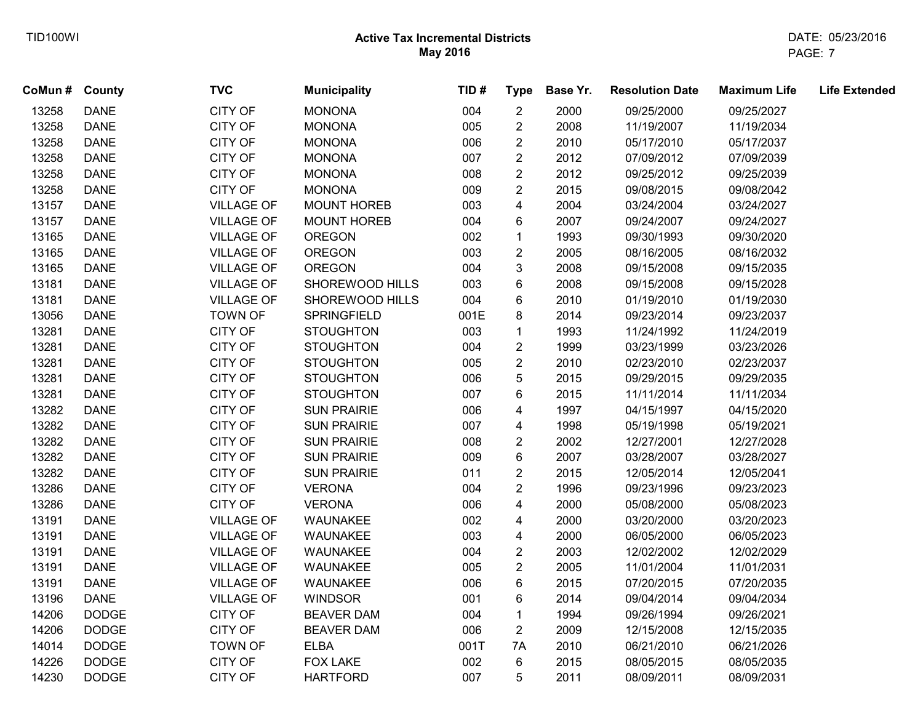| CoMun # County |              | <b>TVC</b>        | <b>Municipality</b> | TID# | <b>Type</b>             | Base Yr. | <b>Resolution Date</b> | <b>Maximum Life</b> | <b>Life Extended</b> |
|----------------|--------------|-------------------|---------------------|------|-------------------------|----------|------------------------|---------------------|----------------------|
| 13258          | <b>DANE</b>  | CITY OF           | <b>MONONA</b>       | 004  | $\overline{2}$          | 2000     | 09/25/2000             | 09/25/2027          |                      |
| 13258          | <b>DANE</b>  | CITY OF           | <b>MONONA</b>       | 005  | $\overline{c}$          | 2008     | 11/19/2007             | 11/19/2034          |                      |
| 13258          | <b>DANE</b>  | <b>CITY OF</b>    | <b>MONONA</b>       | 006  | $\overline{\mathbf{c}}$ | 2010     | 05/17/2010             | 05/17/2037          |                      |
| 13258          | <b>DANE</b>  | CITY OF           | <b>MONONA</b>       | 007  | $\overline{\mathbf{c}}$ | 2012     | 07/09/2012             | 07/09/2039          |                      |
| 13258          | <b>DANE</b>  | CITY OF           | <b>MONONA</b>       | 008  | $\overline{c}$          | 2012     | 09/25/2012             | 09/25/2039          |                      |
| 13258          | <b>DANE</b>  | CITY OF           | <b>MONONA</b>       | 009  | $\overline{c}$          | 2015     | 09/08/2015             | 09/08/2042          |                      |
| 13157          | <b>DANE</b>  | <b>VILLAGE OF</b> | <b>MOUNT HOREB</b>  | 003  | $\overline{\mathbf{4}}$ | 2004     | 03/24/2004             | 03/24/2027          |                      |
| 13157          | <b>DANE</b>  | <b>VILLAGE OF</b> | <b>MOUNT HOREB</b>  | 004  | 6                       | 2007     | 09/24/2007             | 09/24/2027          |                      |
| 13165          | <b>DANE</b>  | <b>VILLAGE OF</b> | <b>OREGON</b>       | 002  | $\mathbf{1}$            | 1993     | 09/30/1993             | 09/30/2020          |                      |
| 13165          | <b>DANE</b>  | <b>VILLAGE OF</b> | <b>OREGON</b>       | 003  | $\boldsymbol{2}$        | 2005     | 08/16/2005             | 08/16/2032          |                      |
| 13165          | <b>DANE</b>  | <b>VILLAGE OF</b> | <b>OREGON</b>       | 004  | 3                       | 2008     | 09/15/2008             | 09/15/2035          |                      |
| 13181          | <b>DANE</b>  | <b>VILLAGE OF</b> | SHOREWOOD HILLS     | 003  | 6                       | 2008     | 09/15/2008             | 09/15/2028          |                      |
| 13181          | <b>DANE</b>  | <b>VILLAGE OF</b> | SHOREWOOD HILLS     | 004  | 6                       | 2010     | 01/19/2010             | 01/19/2030          |                      |
| 13056          | <b>DANE</b>  | <b>TOWN OF</b>    | <b>SPRINGFIELD</b>  | 001E | 8                       | 2014     | 09/23/2014             | 09/23/2037          |                      |
| 13281          | <b>DANE</b>  | CITY OF           | <b>STOUGHTON</b>    | 003  | $\mathbf{1}$            | 1993     | 11/24/1992             | 11/24/2019          |                      |
| 13281          | <b>DANE</b>  | CITY OF           | <b>STOUGHTON</b>    | 004  | $\overline{\mathbf{c}}$ | 1999     | 03/23/1999             | 03/23/2026          |                      |
| 13281          | <b>DANE</b>  | CITY OF           | <b>STOUGHTON</b>    | 005  | $\overline{c}$          | 2010     | 02/23/2010             | 02/23/2037          |                      |
| 13281          | <b>DANE</b>  | CITY OF           | <b>STOUGHTON</b>    | 006  | 5                       | 2015     | 09/29/2015             | 09/29/2035          |                      |
| 13281          | <b>DANE</b>  | CITY OF           | <b>STOUGHTON</b>    | 007  | 6                       | 2015     | 11/11/2014             | 11/11/2034          |                      |
| 13282          | <b>DANE</b>  | CITY OF           | <b>SUN PRAIRIE</b>  | 006  | 4                       | 1997     | 04/15/1997             | 04/15/2020          |                      |
| 13282          | <b>DANE</b>  | CITY OF           | <b>SUN PRAIRIE</b>  | 007  | 4                       | 1998     | 05/19/1998             | 05/19/2021          |                      |
| 13282          | <b>DANE</b>  | CITY OF           | <b>SUN PRAIRIE</b>  | 008  | $\overline{\mathbf{c}}$ | 2002     | 12/27/2001             | 12/27/2028          |                      |
| 13282          | <b>DANE</b>  | CITY OF           | <b>SUN PRAIRIE</b>  | 009  | 6                       | 2007     | 03/28/2007             | 03/28/2027          |                      |
| 13282          | <b>DANE</b>  | CITY OF           | <b>SUN PRAIRIE</b>  | 011  | $\overline{c}$          | 2015     | 12/05/2014             | 12/05/2041          |                      |
| 13286          | <b>DANE</b>  | CITY OF           | <b>VERONA</b>       | 004  | $\overline{2}$          | 1996     | 09/23/1996             | 09/23/2023          |                      |
| 13286          | <b>DANE</b>  | <b>CITY OF</b>    | <b>VERONA</b>       | 006  | 4                       | 2000     | 05/08/2000             | 05/08/2023          |                      |
| 13191          | <b>DANE</b>  | <b>VILLAGE OF</b> | WAUNAKEE            | 002  | 4                       | 2000     | 03/20/2000             | 03/20/2023          |                      |
| 13191          | <b>DANE</b>  | <b>VILLAGE OF</b> | WAUNAKEE            | 003  | 4                       | 2000     | 06/05/2000             | 06/05/2023          |                      |
| 13191          | <b>DANE</b>  | <b>VILLAGE OF</b> | WAUNAKEE            | 004  | $\overline{c}$          | 2003     | 12/02/2002             | 12/02/2029          |                      |
| 13191          | <b>DANE</b>  | <b>VILLAGE OF</b> | WAUNAKEE            | 005  | $\overline{c}$          | 2005     | 11/01/2004             | 11/01/2031          |                      |
| 13191          | <b>DANE</b>  | <b>VILLAGE OF</b> | WAUNAKEE            | 006  | 6                       | 2015     | 07/20/2015             | 07/20/2035          |                      |
| 13196          | <b>DANE</b>  | <b>VILLAGE OF</b> | <b>WINDSOR</b>      | 001  | 6                       | 2014     | 09/04/2014             | 09/04/2034          |                      |
| 14206          | <b>DODGE</b> | <b>CITY OF</b>    | <b>BEAVER DAM</b>   | 004  | $\mathbf{1}$            | 1994     | 09/26/1994             | 09/26/2021          |                      |
| 14206          | <b>DODGE</b> | CITY OF           | <b>BEAVER DAM</b>   | 006  | $\overline{2}$          | 2009     | 12/15/2008             | 12/15/2035          |                      |
| 14014          | <b>DODGE</b> | <b>TOWN OF</b>    | <b>ELBA</b>         | 001T | 7A                      | 2010     | 06/21/2010             | 06/21/2026          |                      |
| 14226          | <b>DODGE</b> | CITY OF           | <b>FOX LAKE</b>     | 002  | 6                       | 2015     | 08/05/2015             | 08/05/2035          |                      |
| 14230          | <b>DODGE</b> | CITY OF           | <b>HARTFORD</b>     | 007  | 5                       | 2011     | 08/09/2011             | 08/09/2031          |                      |
|                |              |                   |                     |      |                         |          |                        |                     |                      |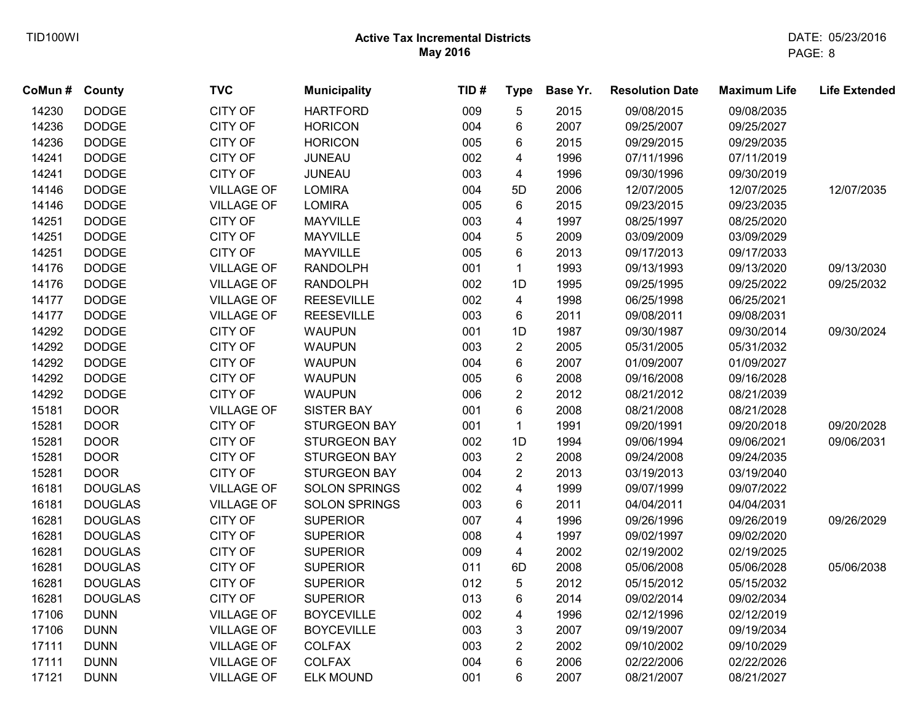| <b>County</b>  | <b>TVC</b>        | <b>Municipality</b>  | TID# | <b>Type</b>             | Base Yr. | <b>Resolution Date</b> | <b>Maximum Life</b> | <b>Life Extended</b> |
|----------------|-------------------|----------------------|------|-------------------------|----------|------------------------|---------------------|----------------------|
| <b>DODGE</b>   | <b>CITY OF</b>    | <b>HARTFORD</b>      | 009  | 5                       | 2015     | 09/08/2015             | 09/08/2035          |                      |
| <b>DODGE</b>   | <b>CITY OF</b>    | <b>HORICON</b>       | 004  | 6                       | 2007     | 09/25/2007             | 09/25/2027          |                      |
| <b>DODGE</b>   | <b>CITY OF</b>    | <b>HORICON</b>       | 005  | 6                       | 2015     | 09/29/2015             | 09/29/2035          |                      |
| <b>DODGE</b>   | <b>CITY OF</b>    | JUNEAU               | 002  | 4                       | 1996     | 07/11/1996             | 07/11/2019          |                      |
| <b>DODGE</b>   | <b>CITY OF</b>    | <b>JUNEAU</b>        | 003  | 4                       | 1996     | 09/30/1996             | 09/30/2019          |                      |
| <b>DODGE</b>   | <b>VILLAGE OF</b> | <b>LOMIRA</b>        | 004  | 5D                      | 2006     | 12/07/2005             | 12/07/2025          | 12/07/2035           |
| <b>DODGE</b>   | <b>VILLAGE OF</b> | <b>LOMIRA</b>        | 005  | 6                       | 2015     | 09/23/2015             | 09/23/2035          |                      |
| <b>DODGE</b>   | <b>CITY OF</b>    | <b>MAYVILLE</b>      | 003  | $\overline{\mathbf{4}}$ | 1997     | 08/25/1997             | 08/25/2020          |                      |
| <b>DODGE</b>   | <b>CITY OF</b>    | <b>MAYVILLE</b>      | 004  | 5                       | 2009     | 03/09/2009             | 03/09/2029          |                      |
| <b>DODGE</b>   | <b>CITY OF</b>    | <b>MAYVILLE</b>      | 005  | $\,6\,$                 | 2013     | 09/17/2013             | 09/17/2033          |                      |
| <b>DODGE</b>   | <b>VILLAGE OF</b> | <b>RANDOLPH</b>      | 001  | $\mathbf{1}$            | 1993     | 09/13/1993             | 09/13/2020          | 09/13/2030           |
| <b>DODGE</b>   | <b>VILLAGE OF</b> | <b>RANDOLPH</b>      | 002  | 1D                      | 1995     | 09/25/1995             | 09/25/2022          | 09/25/2032           |
| <b>DODGE</b>   | <b>VILLAGE OF</b> | <b>REESEVILLE</b>    | 002  | $\overline{4}$          | 1998     | 06/25/1998             | 06/25/2021          |                      |
| <b>DODGE</b>   | <b>VILLAGE OF</b> | <b>REESEVILLE</b>    | 003  | 6                       | 2011     | 09/08/2011             | 09/08/2031          |                      |
| <b>DODGE</b>   | <b>CITY OF</b>    | <b>WAUPUN</b>        | 001  | 1D                      | 1987     | 09/30/1987             | 09/30/2014          | 09/30/2024           |
| <b>DODGE</b>   | <b>CITY OF</b>    | <b>WAUPUN</b>        | 003  | $\overline{2}$          | 2005     | 05/31/2005             | 05/31/2032          |                      |
| <b>DODGE</b>   | <b>CITY OF</b>    | <b>WAUPUN</b>        | 004  | 6                       | 2007     | 01/09/2007             | 01/09/2027          |                      |
| <b>DODGE</b>   | <b>CITY OF</b>    | <b>WAUPUN</b>        | 005  | $\,6$                   | 2008     | 09/16/2008             | 09/16/2028          |                      |
| <b>DODGE</b>   | <b>CITY OF</b>    | <b>WAUPUN</b>        | 006  | $\overline{2}$          | 2012     | 08/21/2012             | 08/21/2039          |                      |
| <b>DOOR</b>    | <b>VILLAGE OF</b> | <b>SISTER BAY</b>    | 001  | 6                       | 2008     | 08/21/2008             | 08/21/2028          |                      |
| <b>DOOR</b>    | <b>CITY OF</b>    | <b>STURGEON BAY</b>  | 001  | $\mathbf{1}$            | 1991     | 09/20/1991             | 09/20/2018          | 09/20/2028           |
| <b>DOOR</b>    | <b>CITY OF</b>    | <b>STURGEON BAY</b>  | 002  | 1D                      | 1994     | 09/06/1994             | 09/06/2021          | 09/06/2031           |
| <b>DOOR</b>    | <b>CITY OF</b>    | <b>STURGEON BAY</b>  | 003  | $\overline{c}$          | 2008     | 09/24/2008             | 09/24/2035          |                      |
| <b>DOOR</b>    | <b>CITY OF</b>    | <b>STURGEON BAY</b>  | 004  | $\overline{\mathbf{c}}$ | 2013     | 03/19/2013             | 03/19/2040          |                      |
| <b>DOUGLAS</b> | <b>VILLAGE OF</b> | <b>SOLON SPRINGS</b> | 002  | $\overline{\mathbf{4}}$ | 1999     | 09/07/1999             | 09/07/2022          |                      |
| <b>DOUGLAS</b> | <b>VILLAGE OF</b> | <b>SOLON SPRINGS</b> | 003  | 6                       | 2011     | 04/04/2011             | 04/04/2031          |                      |
| <b>DOUGLAS</b> | <b>CITY OF</b>    | <b>SUPERIOR</b>      | 007  | $\overline{\mathbf{4}}$ | 1996     | 09/26/1996             | 09/26/2019          | 09/26/2029           |
| <b>DOUGLAS</b> | <b>CITY OF</b>    | <b>SUPERIOR</b>      | 008  | $\overline{\mathbf{4}}$ | 1997     | 09/02/1997             | 09/02/2020          |                      |
| <b>DOUGLAS</b> | <b>CITY OF</b>    | <b>SUPERIOR</b>      | 009  | $\overline{\mathbf{4}}$ | 2002     | 02/19/2002             | 02/19/2025          |                      |
| <b>DOUGLAS</b> | <b>CITY OF</b>    | <b>SUPERIOR</b>      | 011  | 6D                      | 2008     | 05/06/2008             | 05/06/2028          | 05/06/2038           |
| <b>DOUGLAS</b> | <b>CITY OF</b>    | <b>SUPERIOR</b>      | 012  | $\sqrt{5}$              | 2012     | 05/15/2012             | 05/15/2032          |                      |
| <b>DOUGLAS</b> | <b>CITY OF</b>    | <b>SUPERIOR</b>      | 013  | 6                       | 2014     | 09/02/2014             | 09/02/2034          |                      |
| <b>DUNN</b>    | <b>VILLAGE OF</b> | <b>BOYCEVILLE</b>    | 002  | $\overline{\mathbf{4}}$ | 1996     | 02/12/1996             | 02/12/2019          |                      |
| <b>DUNN</b>    | <b>VILLAGE OF</b> | <b>BOYCEVILLE</b>    | 003  | 3                       | 2007     | 09/19/2007             | 09/19/2034          |                      |
| <b>DUNN</b>    | <b>VILLAGE OF</b> | <b>COLFAX</b>        | 003  | $\overline{2}$          | 2002     | 09/10/2002             | 09/10/2029          |                      |
| <b>DUNN</b>    | <b>VILLAGE OF</b> | <b>COLFAX</b>        | 004  | 6                       | 2006     | 02/22/2006             | 02/22/2026          |                      |
| <b>DUNN</b>    | <b>VILLAGE OF</b> | <b>ELK MOUND</b>     | 001  | 6                       | 2007     | 08/21/2007             | 08/21/2027          |                      |
|                |                   |                      |      |                         |          |                        |                     |                      |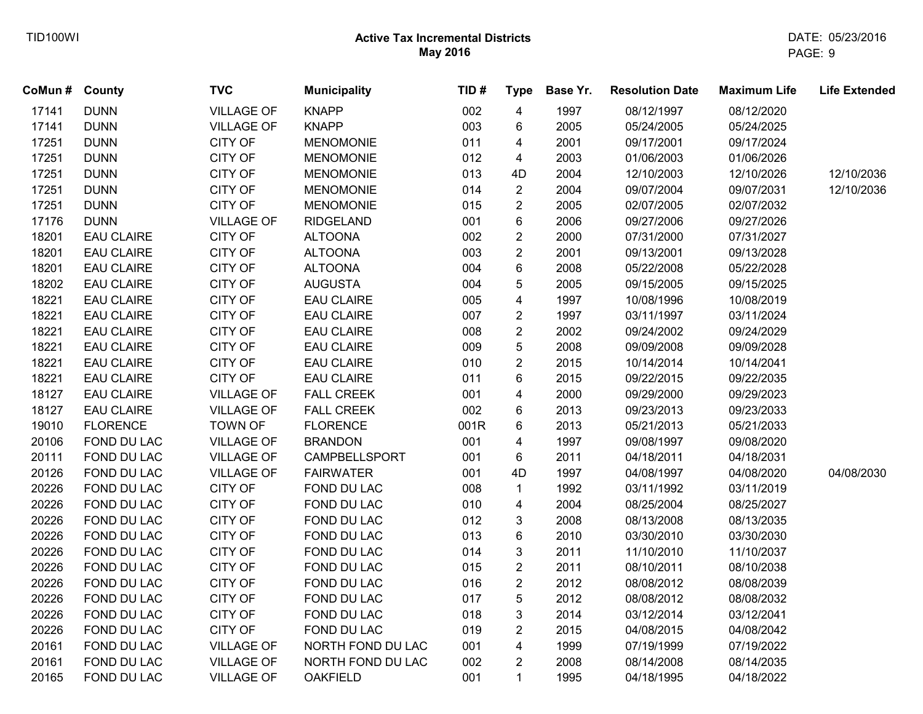| CoMun # County |                   | <b>TVC</b>        | <b>Municipality</b> | TID# | <b>Type</b>             | Base Yr. | <b>Resolution Date</b> | <b>Maximum Life</b> | <b>Life Extended</b> |
|----------------|-------------------|-------------------|---------------------|------|-------------------------|----------|------------------------|---------------------|----------------------|
| 17141          | <b>DUNN</b>       | <b>VILLAGE OF</b> | <b>KNAPP</b>        | 002  | $\overline{\mathbf{4}}$ | 1997     | 08/12/1997             | 08/12/2020          |                      |
| 17141          | <b>DUNN</b>       | <b>VILLAGE OF</b> | <b>KNAPP</b>        | 003  | 6                       | 2005     | 05/24/2005             | 05/24/2025          |                      |
| 17251          | <b>DUNN</b>       | <b>CITY OF</b>    | <b>MENOMONIE</b>    | 011  | 4                       | 2001     | 09/17/2001             | 09/17/2024          |                      |
| 17251          | <b>DUNN</b>       | <b>CITY OF</b>    | <b>MENOMONIE</b>    | 012  | 4                       | 2003     | 01/06/2003             | 01/06/2026          |                      |
| 17251          | <b>DUNN</b>       | CITY OF           | <b>MENOMONIE</b>    | 013  | 4D                      | 2004     | 12/10/2003             | 12/10/2026          | 12/10/2036           |
| 17251          | <b>DUNN</b>       | <b>CITY OF</b>    | <b>MENOMONIE</b>    | 014  | $\overline{2}$          | 2004     | 09/07/2004             | 09/07/2031          | 12/10/2036           |
| 17251          | <b>DUNN</b>       | <b>CITY OF</b>    | <b>MENOMONIE</b>    | 015  | $\overline{2}$          | 2005     | 02/07/2005             | 02/07/2032          |                      |
| 17176          | <b>DUNN</b>       | <b>VILLAGE OF</b> | <b>RIDGELAND</b>    | 001  | 6                       | 2006     | 09/27/2006             | 09/27/2026          |                      |
| 18201          | <b>EAU CLAIRE</b> | <b>CITY OF</b>    | <b>ALTOONA</b>      | 002  | $\overline{c}$          | 2000     | 07/31/2000             | 07/31/2027          |                      |
| 18201          | <b>EAU CLAIRE</b> | CITY OF           | <b>ALTOONA</b>      | 003  | $\overline{c}$          | 2001     | 09/13/2001             | 09/13/2028          |                      |
| 18201          | <b>EAU CLAIRE</b> | <b>CITY OF</b>    | <b>ALTOONA</b>      | 004  | 6                       | 2008     | 05/22/2008             | 05/22/2028          |                      |
| 18202          | <b>EAU CLAIRE</b> | <b>CITY OF</b>    | <b>AUGUSTA</b>      | 004  | 5                       | 2005     | 09/15/2005             | 09/15/2025          |                      |
| 18221          | <b>EAU CLAIRE</b> | <b>CITY OF</b>    | <b>EAU CLAIRE</b>   | 005  | 4                       | 1997     | 10/08/1996             | 10/08/2019          |                      |
| 18221          | <b>EAU CLAIRE</b> | <b>CITY OF</b>    | <b>EAU CLAIRE</b>   | 007  | $\overline{2}$          | 1997     | 03/11/1997             | 03/11/2024          |                      |
| 18221          | <b>EAU CLAIRE</b> | <b>CITY OF</b>    | <b>EAU CLAIRE</b>   | 008  | $\overline{2}$          | 2002     | 09/24/2002             | 09/24/2029          |                      |
| 18221          | <b>EAU CLAIRE</b> | <b>CITY OF</b>    | <b>EAU CLAIRE</b>   | 009  | 5                       | 2008     | 09/09/2008             | 09/09/2028          |                      |
| 18221          | <b>EAU CLAIRE</b> | <b>CITY OF</b>    | <b>EAU CLAIRE</b>   | 010  | $\overline{\mathbf{c}}$ | 2015     | 10/14/2014             | 10/14/2041          |                      |
| 18221          | <b>EAU CLAIRE</b> | <b>CITY OF</b>    | <b>EAU CLAIRE</b>   | 011  | 6                       | 2015     | 09/22/2015             | 09/22/2035          |                      |
| 18127          | <b>EAU CLAIRE</b> | <b>VILLAGE OF</b> | <b>FALL CREEK</b>   | 001  | 4                       | 2000     | 09/29/2000             | 09/29/2023          |                      |
| 18127          | <b>EAU CLAIRE</b> | <b>VILLAGE OF</b> | <b>FALL CREEK</b>   | 002  | 6                       | 2013     | 09/23/2013             | 09/23/2033          |                      |
| 19010          | <b>FLORENCE</b>   | <b>TOWN OF</b>    | <b>FLORENCE</b>     | 001R | 6                       | 2013     | 05/21/2013             | 05/21/2033          |                      |
| 20106          | FOND DU LAC       | <b>VILLAGE OF</b> | <b>BRANDON</b>      | 001  | 4                       | 1997     | 09/08/1997             | 09/08/2020          |                      |
| 20111          | FOND DU LAC       | <b>VILLAGE OF</b> | CAMPBELLSPORT       | 001  | 6                       | 2011     | 04/18/2011             | 04/18/2031          |                      |
| 20126          | FOND DU LAC       | <b>VILLAGE OF</b> | <b>FAIRWATER</b>    | 001  | 4D                      | 1997     | 04/08/1997             | 04/08/2020          | 04/08/2030           |
| 20226          | FOND DU LAC       | <b>CITY OF</b>    | FOND DU LAC         | 008  | $\mathbf{1}$            | 1992     | 03/11/1992             | 03/11/2019          |                      |
| 20226          | FOND DU LAC       | <b>CITY OF</b>    | FOND DU LAC         | 010  | 4                       | 2004     | 08/25/2004             | 08/25/2027          |                      |
| 20226          | FOND DU LAC       | <b>CITY OF</b>    | FOND DU LAC         | 012  | 3                       | 2008     | 08/13/2008             | 08/13/2035          |                      |
| 20226          | FOND DU LAC       | CITY OF           | FOND DU LAC         | 013  | 6                       | 2010     | 03/30/2010             | 03/30/2030          |                      |
| 20226          | FOND DU LAC       | <b>CITY OF</b>    | FOND DU LAC         | 014  | 3                       | 2011     | 11/10/2010             | 11/10/2037          |                      |
| 20226          | FOND DU LAC       | <b>CITY OF</b>    | FOND DU LAC         | 015  | $\overline{2}$          | 2011     | 08/10/2011             | 08/10/2038          |                      |
| 20226          | FOND DU LAC       | <b>CITY OF</b>    | FOND DU LAC         | 016  | $\overline{2}$          | 2012     | 08/08/2012             | 08/08/2039          |                      |
| 20226          | FOND DU LAC       | <b>CITY OF</b>    | FOND DU LAC         | 017  | 5                       | 2012     | 08/08/2012             | 08/08/2032          |                      |
| 20226          | FOND DU LAC       | CITY OF           | FOND DU LAC         | 018  | 3                       | 2014     | 03/12/2014             | 03/12/2041          |                      |
| 20226          | FOND DU LAC       | <b>CITY OF</b>    | FOND DU LAC         | 019  | $\overline{2}$          | 2015     | 04/08/2015             | 04/08/2042          |                      |
| 20161          | FOND DU LAC       | <b>VILLAGE OF</b> | NORTH FOND DU LAC   | 001  | 4                       | 1999     | 07/19/1999             | 07/19/2022          |                      |
| 20161          | FOND DU LAC       | <b>VILLAGE OF</b> | NORTH FOND DU LAC   | 002  | $\overline{2}$          | 2008     | 08/14/2008             | 08/14/2035          |                      |
| 20165          | FOND DU LAC       | <b>VILLAGE OF</b> | <b>OAKFIELD</b>     | 001  | $\mathbf{1}$            | 1995     | 04/18/1995             | 04/18/2022          |                      |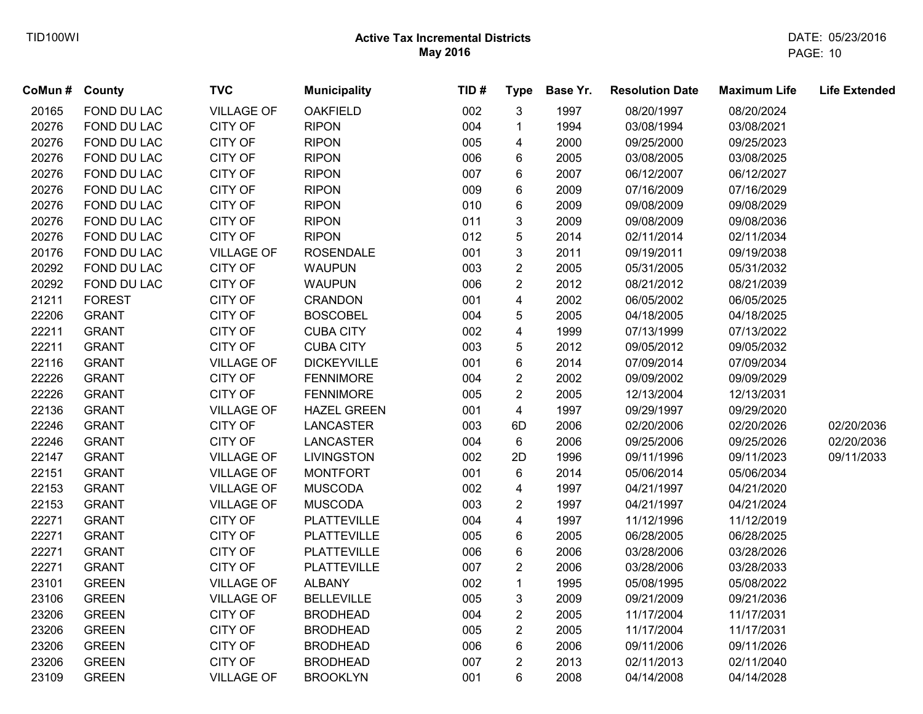| CoMun # County |               | <b>TVC</b>        | <b>Municipality</b> | TID# | <b>Type</b>             | Base Yr. | <b>Resolution Date</b> | <b>Maximum Life</b> | <b>Life Extended</b> |
|----------------|---------------|-------------------|---------------------|------|-------------------------|----------|------------------------|---------------------|----------------------|
| 20165          | FOND DU LAC   | <b>VILLAGE OF</b> | <b>OAKFIELD</b>     | 002  | 3                       | 1997     | 08/20/1997             | 08/20/2024          |                      |
| 20276          | FOND DU LAC   | <b>CITY OF</b>    | <b>RIPON</b>        | 004  | 1                       | 1994     | 03/08/1994             | 03/08/2021          |                      |
| 20276          | FOND DU LAC   | <b>CITY OF</b>    | <b>RIPON</b>        | 005  | 4                       | 2000     | 09/25/2000             | 09/25/2023          |                      |
| 20276          | FOND DU LAC   | <b>CITY OF</b>    | <b>RIPON</b>        | 006  | 6                       | 2005     | 03/08/2005             | 03/08/2025          |                      |
| 20276          | FOND DU LAC   | CITY OF           | <b>RIPON</b>        | 007  | 6                       | 2007     | 06/12/2007             | 06/12/2027          |                      |
| 20276          | FOND DU LAC   | <b>CITY OF</b>    | <b>RIPON</b>        | 009  | 6                       | 2009     | 07/16/2009             | 07/16/2029          |                      |
| 20276          | FOND DU LAC   | <b>CITY OF</b>    | <b>RIPON</b>        | 010  | 6                       | 2009     | 09/08/2009             | 09/08/2029          |                      |
| 20276          | FOND DU LAC   | CITY OF           | <b>RIPON</b>        | 011  | 3                       | 2009     | 09/08/2009             | 09/08/2036          |                      |
| 20276          | FOND DU LAC   | CITY OF           | <b>RIPON</b>        | 012  | 5                       | 2014     | 02/11/2014             | 02/11/2034          |                      |
| 20176          | FOND DU LAC   | <b>VILLAGE OF</b> | <b>ROSENDALE</b>    | 001  | 3                       | 2011     | 09/19/2011             | 09/19/2038          |                      |
| 20292          | FOND DU LAC   | <b>CITY OF</b>    | <b>WAUPUN</b>       | 003  | $\overline{2}$          | 2005     | 05/31/2005             | 05/31/2032          |                      |
| 20292          | FOND DU LAC   | CITY OF           | <b>WAUPUN</b>       | 006  | $\overline{2}$          | 2012     | 08/21/2012             | 08/21/2039          |                      |
| 21211          | <b>FOREST</b> | CITY OF           | <b>CRANDON</b>      | 001  | $\overline{\mathbf{4}}$ | 2002     | 06/05/2002             | 06/05/2025          |                      |
| 22206          | <b>GRANT</b>  | CITY OF           | <b>BOSCOBEL</b>     | 004  | 5                       | 2005     | 04/18/2005             | 04/18/2025          |                      |
| 22211          | <b>GRANT</b>  | CITY OF           | <b>CUBA CITY</b>    | 002  | 4                       | 1999     | 07/13/1999             | 07/13/2022          |                      |
| 22211          | <b>GRANT</b>  | <b>CITY OF</b>    | <b>CUBA CITY</b>    | 003  | 5                       | 2012     | 09/05/2012             | 09/05/2032          |                      |
| 22116          | <b>GRANT</b>  | <b>VILLAGE OF</b> | <b>DICKEYVILLE</b>  | 001  | 6                       | 2014     | 07/09/2014             | 07/09/2034          |                      |
| 22226          | <b>GRANT</b>  | <b>CITY OF</b>    | <b>FENNIMORE</b>    | 004  | $\overline{2}$          | 2002     | 09/09/2002             | 09/09/2029          |                      |
| 22226          | <b>GRANT</b>  | CITY OF           | <b>FENNIMORE</b>    | 005  | $\overline{2}$          | 2005     | 12/13/2004             | 12/13/2031          |                      |
| 22136          | <b>GRANT</b>  | <b>VILLAGE OF</b> | <b>HAZEL GREEN</b>  | 001  | 4                       | 1997     | 09/29/1997             | 09/29/2020          |                      |
| 22246          | <b>GRANT</b>  | <b>CITY OF</b>    | LANCASTER           | 003  | 6D                      | 2006     | 02/20/2006             | 02/20/2026          | 02/20/2036           |
| 22246          | <b>GRANT</b>  | CITY OF           | LANCASTER           | 004  | $\,6\,$                 | 2006     | 09/25/2006             | 09/25/2026          | 02/20/2036           |
| 22147          | <b>GRANT</b>  | <b>VILLAGE OF</b> | <b>LIVINGSTON</b>   | 002  | 2D                      | 1996     | 09/11/1996             | 09/11/2023          | 09/11/2033           |
| 22151          | <b>GRANT</b>  | <b>VILLAGE OF</b> | <b>MONTFORT</b>     | 001  | 6                       | 2014     | 05/06/2014             | 05/06/2034          |                      |
| 22153          | <b>GRANT</b>  | <b>VILLAGE OF</b> | <b>MUSCODA</b>      | 002  | 4                       | 1997     | 04/21/1997             | 04/21/2020          |                      |
| 22153          | <b>GRANT</b>  | <b>VILLAGE OF</b> | <b>MUSCODA</b>      | 003  | $\overline{c}$          | 1997     | 04/21/1997             | 04/21/2024          |                      |
| 22271          | <b>GRANT</b>  | CITY OF           | <b>PLATTEVILLE</b>  | 004  | 4                       | 1997     | 11/12/1996             | 11/12/2019          |                      |
| 22271          | <b>GRANT</b>  | CITY OF           | <b>PLATTEVILLE</b>  | 005  | 6                       | 2005     | 06/28/2005             | 06/28/2025          |                      |
| 22271          | <b>GRANT</b>  | <b>CITY OF</b>    | <b>PLATTEVILLE</b>  | 006  | 6                       | 2006     | 03/28/2006             | 03/28/2026          |                      |
| 22271          | <b>GRANT</b>  | <b>CITY OF</b>    | <b>PLATTEVILLE</b>  | 007  | $\overline{2}$          | 2006     | 03/28/2006             | 03/28/2033          |                      |
| 23101          | <b>GREEN</b>  | <b>VILLAGE OF</b> | <b>ALBANY</b>       | 002  | 1                       | 1995     | 05/08/1995             | 05/08/2022          |                      |
| 23106          | <b>GREEN</b>  | <b>VILLAGE OF</b> | <b>BELLEVILLE</b>   | 005  | 3                       | 2009     | 09/21/2009             | 09/21/2036          |                      |
| 23206          | <b>GREEN</b>  | CITY OF           | <b>BRODHEAD</b>     | 004  | $\overline{c}$          | 2005     | 11/17/2004             | 11/17/2031          |                      |
| 23206          | <b>GREEN</b>  | CITY OF           | <b>BRODHEAD</b>     | 005  | $\overline{2}$          | 2005     | 11/17/2004             | 11/17/2031          |                      |
| 23206          | <b>GREEN</b>  | CITY OF           | <b>BRODHEAD</b>     | 006  | 6                       | 2006     | 09/11/2006             | 09/11/2026          |                      |
| 23206          | <b>GREEN</b>  | <b>CITY OF</b>    | <b>BRODHEAD</b>     | 007  | $\overline{2}$          | 2013     | 02/11/2013             | 02/11/2040          |                      |
| 23109          | <b>GREEN</b>  | <b>VILLAGE OF</b> | <b>BROOKLYN</b>     | 001  | 6                       | 2008     | 04/14/2008             | 04/14/2028          |                      |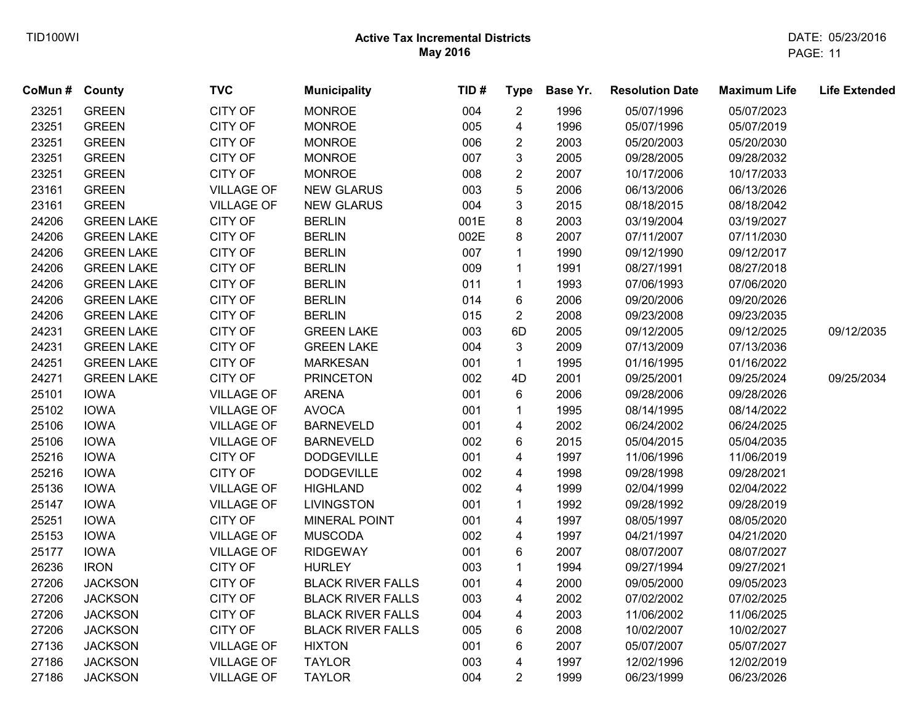| CoMun # County |                   | <b>TVC</b>        | <b>Municipality</b>      | TID# | <b>Type</b>             | Base Yr. | <b>Resolution Date</b> | <b>Maximum Life</b> | <b>Life Extended</b> |
|----------------|-------------------|-------------------|--------------------------|------|-------------------------|----------|------------------------|---------------------|----------------------|
| 23251          | <b>GREEN</b>      | CITY OF           | <b>MONROE</b>            | 004  | $\overline{2}$          | 1996     | 05/07/1996             | 05/07/2023          |                      |
| 23251          | <b>GREEN</b>      | CITY OF           | <b>MONROE</b>            | 005  | 4                       | 1996     | 05/07/1996             | 05/07/2019          |                      |
| 23251          | <b>GREEN</b>      | CITY OF           | <b>MONROE</b>            | 006  | $\overline{c}$          | 2003     | 05/20/2003             | 05/20/2030          |                      |
| 23251          | <b>GREEN</b>      | CITY OF           | <b>MONROE</b>            | 007  | 3                       | 2005     | 09/28/2005             | 09/28/2032          |                      |
| 23251          | <b>GREEN</b>      | CITY OF           | <b>MONROE</b>            | 008  | $\overline{2}$          | 2007     | 10/17/2006             | 10/17/2033          |                      |
| 23161          | <b>GREEN</b>      | <b>VILLAGE OF</b> | <b>NEW GLARUS</b>        | 003  | 5                       | 2006     | 06/13/2006             | 06/13/2026          |                      |
| 23161          | <b>GREEN</b>      | <b>VILLAGE OF</b> | <b>NEW GLARUS</b>        | 004  | 3                       | 2015     | 08/18/2015             | 08/18/2042          |                      |
| 24206          | <b>GREEN LAKE</b> | CITY OF           | <b>BERLIN</b>            | 001E | 8                       | 2003     | 03/19/2004             | 03/19/2027          |                      |
| 24206          | <b>GREEN LAKE</b> | CITY OF           | <b>BERLIN</b>            | 002E | 8                       | 2007     | 07/11/2007             | 07/11/2030          |                      |
| 24206          | <b>GREEN LAKE</b> | CITY OF           | <b>BERLIN</b>            | 007  | $\mathbf{1}$            | 1990     | 09/12/1990             | 09/12/2017          |                      |
| 24206          | <b>GREEN LAKE</b> | CITY OF           | <b>BERLIN</b>            | 009  | $\mathbf{1}$            | 1991     | 08/27/1991             | 08/27/2018          |                      |
| 24206          | <b>GREEN LAKE</b> | CITY OF           | <b>BERLIN</b>            | 011  | $\mathbf{1}$            | 1993     | 07/06/1993             | 07/06/2020          |                      |
| 24206          | <b>GREEN LAKE</b> | CITY OF           | <b>BERLIN</b>            | 014  | 6                       | 2006     | 09/20/2006             | 09/20/2026          |                      |
| 24206          | <b>GREEN LAKE</b> | CITY OF           | <b>BERLIN</b>            | 015  | $\overline{2}$          | 2008     | 09/23/2008             | 09/23/2035          |                      |
| 24231          | <b>GREEN LAKE</b> | CITY OF           | <b>GREEN LAKE</b>        | 003  | 6D                      | 2005     | 09/12/2005             | 09/12/2025          | 09/12/2035           |
| 24231          | <b>GREEN LAKE</b> | CITY OF           | <b>GREEN LAKE</b>        | 004  | 3                       | 2009     | 07/13/2009             | 07/13/2036          |                      |
| 24251          | <b>GREEN LAKE</b> | CITY OF           | <b>MARKESAN</b>          | 001  | $\mathbf{1}$            | 1995     | 01/16/1995             | 01/16/2022          |                      |
| 24271          | <b>GREEN LAKE</b> | CITY OF           | <b>PRINCETON</b>         | 002  | 4D                      | 2001     | 09/25/2001             | 09/25/2024          | 09/25/2034           |
| 25101          | <b>IOWA</b>       | <b>VILLAGE OF</b> | <b>ARENA</b>             | 001  | 6                       | 2006     | 09/28/2006             | 09/28/2026          |                      |
| 25102          | <b>IOWA</b>       | <b>VILLAGE OF</b> | <b>AVOCA</b>             | 001  | $\mathbf{1}$            | 1995     | 08/14/1995             | 08/14/2022          |                      |
| 25106          | <b>IOWA</b>       | <b>VILLAGE OF</b> | <b>BARNEVELD</b>         | 001  | 4                       | 2002     | 06/24/2002             | 06/24/2025          |                      |
| 25106          | <b>IOWA</b>       | <b>VILLAGE OF</b> | <b>BARNEVELD</b>         | 002  | 6                       | 2015     | 05/04/2015             | 05/04/2035          |                      |
| 25216          | <b>IOWA</b>       | CITY OF           | <b>DODGEVILLE</b>        | 001  | 4                       | 1997     | 11/06/1996             | 11/06/2019          |                      |
| 25216          | <b>IOWA</b>       | CITY OF           | <b>DODGEVILLE</b>        | 002  | 4                       | 1998     | 09/28/1998             | 09/28/2021          |                      |
| 25136          | <b>IOWA</b>       | <b>VILLAGE OF</b> | <b>HIGHLAND</b>          | 002  | 4                       | 1999     | 02/04/1999             | 02/04/2022          |                      |
| 25147          | <b>IOWA</b>       | <b>VILLAGE OF</b> | <b>LIVINGSTON</b>        | 001  | $\mathbf{1}$            | 1992     | 09/28/1992             | 09/28/2019          |                      |
| 25251          | <b>IOWA</b>       | <b>CITY OF</b>    | MINERAL POINT            | 001  | 4                       | 1997     | 08/05/1997             | 08/05/2020          |                      |
| 25153          | <b>IOWA</b>       | <b>VILLAGE OF</b> | <b>MUSCODA</b>           | 002  | 4                       | 1997     | 04/21/1997             | 04/21/2020          |                      |
| 25177          | <b>IOWA</b>       | <b>VILLAGE OF</b> | <b>RIDGEWAY</b>          | 001  | 6                       | 2007     | 08/07/2007             | 08/07/2027          |                      |
| 26236          | <b>IRON</b>       | CITY OF           | <b>HURLEY</b>            | 003  | $\mathbf{1}$            | 1994     | 09/27/1994             | 09/27/2021          |                      |
| 27206          | <b>JACKSON</b>    | CITY OF           | <b>BLACK RIVER FALLS</b> | 001  | $\overline{\mathbf{4}}$ | 2000     | 09/05/2000             | 09/05/2023          |                      |
| 27206          | <b>JACKSON</b>    | CITY OF           | <b>BLACK RIVER FALLS</b> | 003  | 4                       | 2002     | 07/02/2002             | 07/02/2025          |                      |
| 27206          | <b>JACKSON</b>    | CITY OF           | <b>BLACK RIVER FALLS</b> | 004  | 4                       | 2003     | 11/06/2002             | 11/06/2025          |                      |
| 27206          | <b>JACKSON</b>    | CITY OF           | <b>BLACK RIVER FALLS</b> | 005  | 6                       | 2008     | 10/02/2007             | 10/02/2027          |                      |
| 27136          | <b>JACKSON</b>    | <b>VILLAGE OF</b> | <b>HIXTON</b>            | 001  | 6                       | 2007     | 05/07/2007             | 05/07/2027          |                      |
| 27186          | <b>JACKSON</b>    | <b>VILLAGE OF</b> | <b>TAYLOR</b>            | 003  | 4                       | 1997     | 12/02/1996             | 12/02/2019          |                      |
| 27186          | <b>JACKSON</b>    | <b>VILLAGE OF</b> | <b>TAYLOR</b>            | 004  | $\overline{2}$          | 1999     | 06/23/1999             | 06/23/2026          |                      |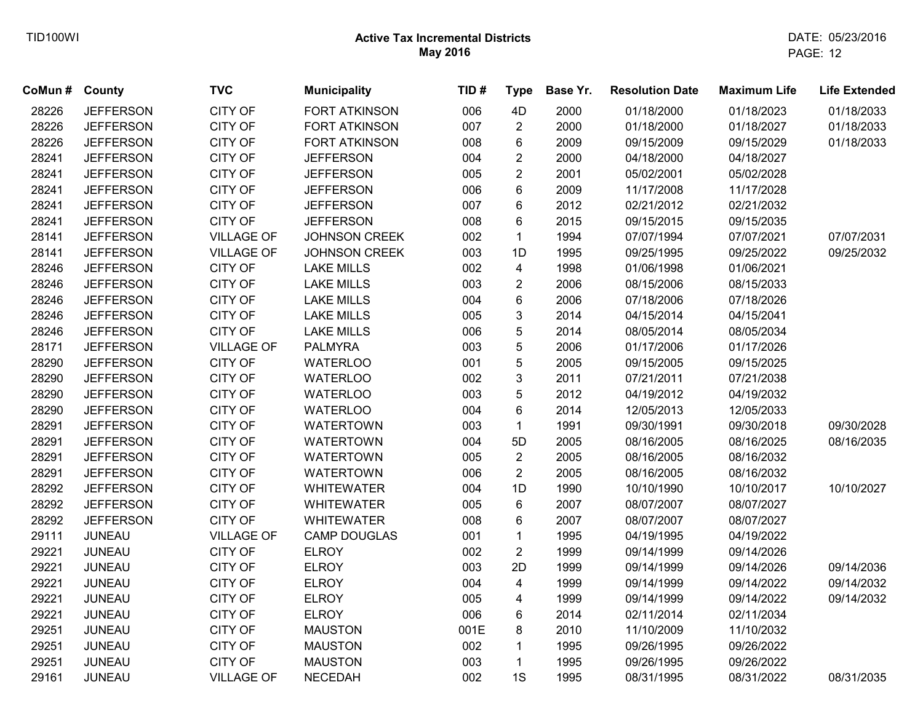| CoMun # | <b>County</b>    | <b>TVC</b>        | <b>Municipality</b>  | TID# | <b>Type</b>             | Base Yr. | <b>Resolution Date</b> | <b>Maximum Life</b> | <b>Life Extended</b> |
|---------|------------------|-------------------|----------------------|------|-------------------------|----------|------------------------|---------------------|----------------------|
| 28226   | <b>JEFFERSON</b> | <b>CITY OF</b>    | <b>FORT ATKINSON</b> | 006  | 4D                      | 2000     | 01/18/2000             | 01/18/2023          | 01/18/2033           |
| 28226   | <b>JEFFERSON</b> | <b>CITY OF</b>    | <b>FORT ATKINSON</b> | 007  | $\overline{2}$          | 2000     | 01/18/2000             | 01/18/2027          | 01/18/2033           |
| 28226   | <b>JEFFERSON</b> | <b>CITY OF</b>    | <b>FORT ATKINSON</b> | 008  | 6                       | 2009     | 09/15/2009             | 09/15/2029          | 01/18/2033           |
| 28241   | <b>JEFFERSON</b> | <b>CITY OF</b>    | <b>JEFFERSON</b>     | 004  | $\overline{2}$          | 2000     | 04/18/2000             | 04/18/2027          |                      |
| 28241   | <b>JEFFERSON</b> | CITY OF           | <b>JEFFERSON</b>     | 005  | $\overline{2}$          | 2001     | 05/02/2001             | 05/02/2028          |                      |
| 28241   | <b>JEFFERSON</b> | CITY OF           | <b>JEFFERSON</b>     | 006  | 6                       | 2009     | 11/17/2008             | 11/17/2028          |                      |
| 28241   | <b>JEFFERSON</b> | <b>CITY OF</b>    | <b>JEFFERSON</b>     | 007  | 6                       | 2012     | 02/21/2012             | 02/21/2032          |                      |
| 28241   | <b>JEFFERSON</b> | <b>CITY OF</b>    | <b>JEFFERSON</b>     | 008  | 6                       | 2015     | 09/15/2015             | 09/15/2035          |                      |
| 28141   | <b>JEFFERSON</b> | <b>VILLAGE OF</b> | <b>JOHNSON CREEK</b> | 002  | $\mathbf{1}$            | 1994     | 07/07/1994             | 07/07/2021          | 07/07/2031           |
| 28141   | <b>JEFFERSON</b> | <b>VILLAGE OF</b> | JOHNSON CREEK        | 003  | 1D                      | 1995     | 09/25/1995             | 09/25/2022          | 09/25/2032           |
| 28246   | <b>JEFFERSON</b> | <b>CITY OF</b>    | <b>LAKE MILLS</b>    | 002  | $\overline{\mathbf{4}}$ | 1998     | 01/06/1998             | 01/06/2021          |                      |
| 28246   | <b>JEFFERSON</b> | <b>CITY OF</b>    | <b>LAKE MILLS</b>    | 003  | $\overline{2}$          | 2006     | 08/15/2006             | 08/15/2033          |                      |
| 28246   | <b>JEFFERSON</b> | <b>CITY OF</b>    | <b>LAKE MILLS</b>    | 004  | 6                       | 2006     | 07/18/2006             | 07/18/2026          |                      |
| 28246   | <b>JEFFERSON</b> | CITY OF           | <b>LAKE MILLS</b>    | 005  | 3                       | 2014     | 04/15/2014             | 04/15/2041          |                      |
| 28246   | <b>JEFFERSON</b> | <b>CITY OF</b>    | <b>LAKE MILLS</b>    | 006  | 5                       | 2014     | 08/05/2014             | 08/05/2034          |                      |
| 28171   | <b>JEFFERSON</b> | <b>VILLAGE OF</b> | <b>PALMYRA</b>       | 003  | 5                       | 2006     | 01/17/2006             | 01/17/2026          |                      |
| 28290   | <b>JEFFERSON</b> | <b>CITY OF</b>    | <b>WATERLOO</b>      | 001  | 5                       | 2005     | 09/15/2005             | 09/15/2025          |                      |
| 28290   | <b>JEFFERSON</b> | CITY OF           | <b>WATERLOO</b>      | 002  | 3                       | 2011     | 07/21/2011             | 07/21/2038          |                      |
| 28290   | <b>JEFFERSON</b> | <b>CITY OF</b>    | <b>WATERLOO</b>      | 003  | 5                       | 2012     | 04/19/2012             | 04/19/2032          |                      |
| 28290   | <b>JEFFERSON</b> | <b>CITY OF</b>    | <b>WATERLOO</b>      | 004  | 6                       | 2014     | 12/05/2013             | 12/05/2033          |                      |
| 28291   | <b>JEFFERSON</b> | <b>CITY OF</b>    | <b>WATERTOWN</b>     | 003  | $\mathbf{1}$            | 1991     | 09/30/1991             | 09/30/2018          | 09/30/2028           |
| 28291   | <b>JEFFERSON</b> | <b>CITY OF</b>    | <b>WATERTOWN</b>     | 004  | 5D                      | 2005     | 08/16/2005             | 08/16/2025          | 08/16/2035           |
| 28291   | <b>JEFFERSON</b> | CITY OF           | <b>WATERTOWN</b>     | 005  | $\overline{2}$          | 2005     | 08/16/2005             | 08/16/2032          |                      |
| 28291   | <b>JEFFERSON</b> | <b>CITY OF</b>    | <b>WATERTOWN</b>     | 006  | $\overline{2}$          | 2005     | 08/16/2005             | 08/16/2032          |                      |
| 28292   | <b>JEFFERSON</b> | <b>CITY OF</b>    | <b>WHITEWATER</b>    | 004  | 1D                      | 1990     | 10/10/1990             | 10/10/2017          | 10/10/2027           |
| 28292   | <b>JEFFERSON</b> | <b>CITY OF</b>    | <b>WHITEWATER</b>    | 005  | 6                       | 2007     | 08/07/2007             | 08/07/2027          |                      |
| 28292   | <b>JEFFERSON</b> | <b>CITY OF</b>    | <b>WHITEWATER</b>    | 008  | 6                       | 2007     | 08/07/2007             | 08/07/2027          |                      |
| 29111   | <b>JUNEAU</b>    | <b>VILLAGE OF</b> | <b>CAMP DOUGLAS</b>  | 001  | $\mathbf{1}$            | 1995     | 04/19/1995             | 04/19/2022          |                      |
| 29221   | <b>JUNEAU</b>    | <b>CITY OF</b>    | <b>ELROY</b>         | 002  | $\overline{2}$          | 1999     | 09/14/1999             | 09/14/2026          |                      |
| 29221   | <b>JUNEAU</b>    | <b>CITY OF</b>    | <b>ELROY</b>         | 003  | 2D                      | 1999     | 09/14/1999             | 09/14/2026          | 09/14/2036           |
| 29221   | JUNEAU           | <b>CITY OF</b>    | <b>ELROY</b>         | 004  | $\overline{\mathbf{4}}$ | 1999     | 09/14/1999             | 09/14/2022          | 09/14/2032           |
| 29221   | JUNEAU           | <b>CITY OF</b>    | <b>ELROY</b>         | 005  | $\overline{4}$          | 1999     | 09/14/1999             | 09/14/2022          | 09/14/2032           |
| 29221   | JUNEAU           | <b>CITY OF</b>    | <b>ELROY</b>         | 006  | 6                       | 2014     | 02/11/2014             | 02/11/2034          |                      |
| 29251   | JUNEAU           | <b>CITY OF</b>    | <b>MAUSTON</b>       | 001E | 8                       | 2010     | 11/10/2009             | 11/10/2032          |                      |
| 29251   | JUNEAU           | <b>CITY OF</b>    | <b>MAUSTON</b>       | 002  | $\mathbf{1}$            | 1995     | 09/26/1995             | 09/26/2022          |                      |
| 29251   | JUNEAU           | <b>CITY OF</b>    | <b>MAUSTON</b>       | 003  | $\mathbf{1}$            | 1995     | 09/26/1995             | 09/26/2022          |                      |
| 29161   | <b>JUNEAU</b>    | <b>VILLAGE OF</b> | <b>NECEDAH</b>       | 002  | 1S                      | 1995     | 08/31/1995             | 08/31/2022          | 08/31/2035           |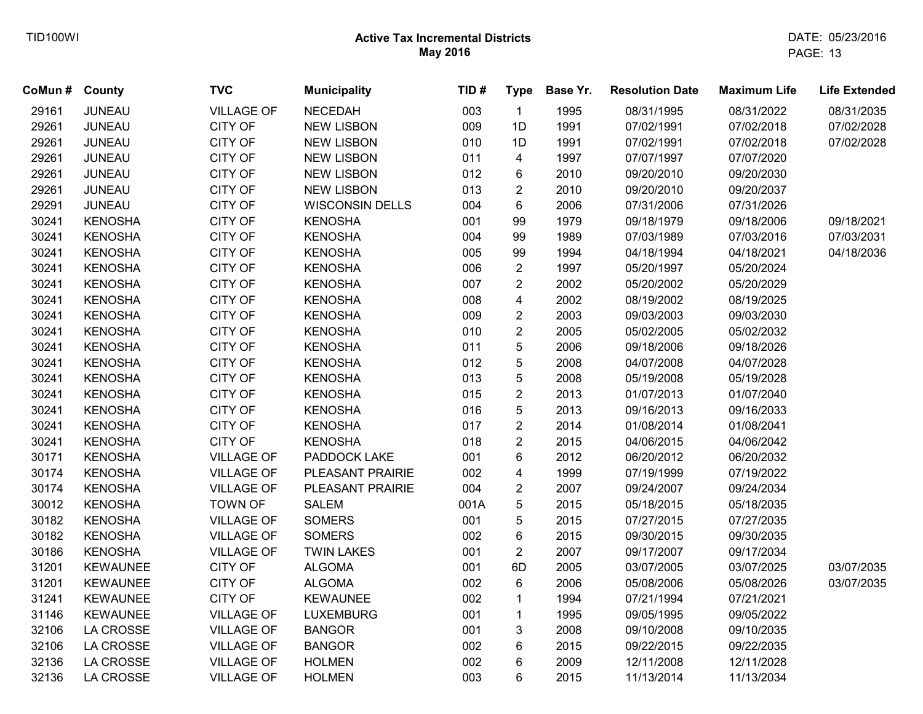| CoMun # County |                 | <b>TVC</b>        | <b>Municipality</b>    | TID# | <b>Type</b>             | Base Yr. | <b>Resolution Date</b> | <b>Maximum Life</b> | <b>Life Extended</b> |
|----------------|-----------------|-------------------|------------------------|------|-------------------------|----------|------------------------|---------------------|----------------------|
| 29161          | <b>JUNEAU</b>   | <b>VILLAGE OF</b> | <b>NECEDAH</b>         | 003  | $\mathbf{1}$            | 1995     | 08/31/1995             | 08/31/2022          | 08/31/2035           |
| 29261          | <b>JUNEAU</b>   | <b>CITY OF</b>    | <b>NEW LISBON</b>      | 009  | 1D                      | 1991     | 07/02/1991             | 07/02/2018          | 07/02/2028           |
| 29261          | <b>JUNEAU</b>   | CITY OF           | <b>NEW LISBON</b>      | 010  | 1D                      | 1991     | 07/02/1991             | 07/02/2018          | 07/02/2028           |
| 29261          | <b>JUNEAU</b>   | CITY OF           | <b>NEW LISBON</b>      | 011  | $\overline{4}$          | 1997     | 07/07/1997             | 07/07/2020          |                      |
| 29261          | <b>JUNEAU</b>   | <b>CITY OF</b>    | <b>NEW LISBON</b>      | 012  | 6                       | 2010     | 09/20/2010             | 09/20/2030          |                      |
| 29261          | JUNEAU          | CITY OF           | <b>NEW LISBON</b>      | 013  | $\overline{2}$          | 2010     | 09/20/2010             | 09/20/2037          |                      |
| 29291          | JUNEAU          | CITY OF           | <b>WISCONSIN DELLS</b> | 004  | $6\phantom{a}$          | 2006     | 07/31/2006             | 07/31/2026          |                      |
| 30241          | <b>KENOSHA</b>  | CITY OF           | <b>KENOSHA</b>         | 001  | 99                      | 1979     | 09/18/1979             | 09/18/2006          | 09/18/2021           |
| 30241          | <b>KENOSHA</b>  | <b>CITY OF</b>    | <b>KENOSHA</b>         | 004  | 99                      | 1989     | 07/03/1989             | 07/03/2016          | 07/03/2031           |
| 30241          | <b>KENOSHA</b>  | <b>CITY OF</b>    | <b>KENOSHA</b>         | 005  | 99                      | 1994     | 04/18/1994             | 04/18/2021          | 04/18/2036           |
| 30241          | <b>KENOSHA</b>  | <b>CITY OF</b>    | <b>KENOSHA</b>         | 006  | $\overline{2}$          | 1997     | 05/20/1997             | 05/20/2024          |                      |
| 30241          | <b>KENOSHA</b>  | <b>CITY OF</b>    | <b>KENOSHA</b>         | 007  | $\overline{2}$          | 2002     | 05/20/2002             | 05/20/2029          |                      |
| 30241          | <b>KENOSHA</b>  | CITY OF           | <b>KENOSHA</b>         | 008  | 4                       | 2002     | 08/19/2002             | 08/19/2025          |                      |
| 30241          | <b>KENOSHA</b>  | <b>CITY OF</b>    | <b>KENOSHA</b>         | 009  | $\sqrt{2}$              | 2003     | 09/03/2003             | 09/03/2030          |                      |
| 30241          | <b>KENOSHA</b>  | <b>CITY OF</b>    | <b>KENOSHA</b>         | 010  | $\overline{2}$          | 2005     | 05/02/2005             | 05/02/2032          |                      |
| 30241          | <b>KENOSHA</b>  | <b>CITY OF</b>    | <b>KENOSHA</b>         | 011  | 5                       | 2006     | 09/18/2006             | 09/18/2026          |                      |
| 30241          | <b>KENOSHA</b>  | <b>CITY OF</b>    | <b>KENOSHA</b>         | 012  | 5                       | 2008     | 04/07/2008             | 04/07/2028          |                      |
| 30241          | <b>KENOSHA</b>  | CITY OF           | <b>KENOSHA</b>         | 013  | 5                       | 2008     | 05/19/2008             | 05/19/2028          |                      |
| 30241          | <b>KENOSHA</b>  | <b>CITY OF</b>    | <b>KENOSHA</b>         | 015  | $\overline{2}$          | 2013     | 01/07/2013             | 01/07/2040          |                      |
| 30241          | <b>KENOSHA</b>  | <b>CITY OF</b>    | <b>KENOSHA</b>         | 016  | 5                       | 2013     | 09/16/2013             | 09/16/2033          |                      |
| 30241          | <b>KENOSHA</b>  | <b>CITY OF</b>    | <b>KENOSHA</b>         | 017  | $\overline{2}$          | 2014     | 01/08/2014             | 01/08/2041          |                      |
| 30241          | <b>KENOSHA</b>  | <b>CITY OF</b>    | <b>KENOSHA</b>         | 018  | $\overline{c}$          | 2015     | 04/06/2015             | 04/06/2042          |                      |
| 30171          | <b>KENOSHA</b>  | <b>VILLAGE OF</b> | PADDOCK LAKE           | 001  | 6                       | 2012     | 06/20/2012             | 06/20/2032          |                      |
| 30174          | <b>KENOSHA</b>  | <b>VILLAGE OF</b> | PLEASANT PRAIRIE       | 002  | $\overline{\mathbf{4}}$ | 1999     | 07/19/1999             | 07/19/2022          |                      |
| 30174          | <b>KENOSHA</b>  | <b>VILLAGE OF</b> | PLEASANT PRAIRIE       | 004  | $\sqrt{2}$              | 2007     | 09/24/2007             | 09/24/2034          |                      |
| 30012          | <b>KENOSHA</b>  | <b>TOWN OF</b>    | <b>SALEM</b>           | 001A | 5                       | 2015     | 05/18/2015             | 05/18/2035          |                      |
| 30182          | <b>KENOSHA</b>  | <b>VILLAGE OF</b> | <b>SOMERS</b>          | 001  | 5                       | 2015     | 07/27/2015             | 07/27/2035          |                      |
| 30182          | <b>KENOSHA</b>  | <b>VILLAGE OF</b> | <b>SOMERS</b>          | 002  | $\,6\,$                 | 2015     | 09/30/2015             | 09/30/2035          |                      |
| 30186          | <b>KENOSHA</b>  | <b>VILLAGE OF</b> | <b>TWIN LAKES</b>      | 001  | $\overline{2}$          | 2007     | 09/17/2007             | 09/17/2034          |                      |
| 31201          | <b>KEWAUNEE</b> | <b>CITY OF</b>    | <b>ALGOMA</b>          | 001  | 6D                      | 2005     | 03/07/2005             | 03/07/2025          | 03/07/2035           |
| 31201          | <b>KEWAUNEE</b> | <b>CITY OF</b>    | <b>ALGOMA</b>          | 002  | 6                       | 2006     | 05/08/2006             | 05/08/2026          | 03/07/2035           |
| 31241          | <b>KEWAUNEE</b> | CITY OF           | <b>KEWAUNEE</b>        | 002  | $\mathbf{1}$            | 1994     | 07/21/1994             | 07/21/2021          |                      |
| 31146          | <b>KEWAUNEE</b> | <b>VILLAGE OF</b> | <b>LUXEMBURG</b>       | 001  | $\mathbf{1}$            | 1995     | 09/05/1995             | 09/05/2022          |                      |
| 32106          | LA CROSSE       | <b>VILLAGE OF</b> | <b>BANGOR</b>          | 001  | 3                       | 2008     | 09/10/2008             | 09/10/2035          |                      |
| 32106          | LA CROSSE       | <b>VILLAGE OF</b> | <b>BANGOR</b>          | 002  | 6                       | 2015     | 09/22/2015             | 09/22/2035          |                      |
| 32136          | LA CROSSE       | <b>VILLAGE OF</b> | <b>HOLMEN</b>          | 002  | 6                       | 2009     | 12/11/2008             | 12/11/2028          |                      |
| 32136          | LA CROSSE       | <b>VILLAGE OF</b> | <b>HOLMEN</b>          | 003  | 6                       | 2015     | 11/13/2014             | 11/13/2034          |                      |
|                |                 |                   |                        |      |                         |          |                        |                     |                      |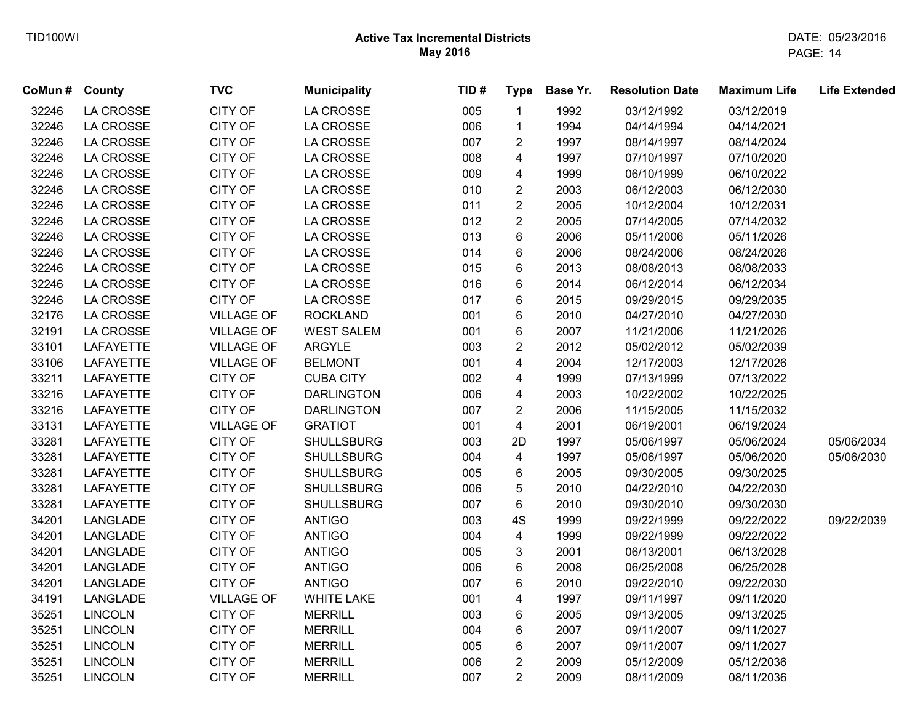| CoMun # County |                  | <b>TVC</b>        | <b>Municipality</b> | TID# | <b>Type</b>             | Base Yr. | <b>Resolution Date</b> | <b>Maximum Life</b> | <b>Life Extended</b> |
|----------------|------------------|-------------------|---------------------|------|-------------------------|----------|------------------------|---------------------|----------------------|
| 32246          | LA CROSSE        | CITY OF           | LA CROSSE           | 005  | $\mathbf{1}$            | 1992     | 03/12/1992             | 03/12/2019          |                      |
| 32246          | LA CROSSE        | CITY OF           | LA CROSSE           | 006  | $\mathbf{1}$            | 1994     | 04/14/1994             | 04/14/2021          |                      |
| 32246          | LA CROSSE        | CITY OF           | LA CROSSE           | 007  | $\overline{c}$          | 1997     | 08/14/1997             | 08/14/2024          |                      |
| 32246          | LA CROSSE        | CITY OF           | LA CROSSE           | 008  | 4                       | 1997     | 07/10/1997             | 07/10/2020          |                      |
| 32246          | <b>LA CROSSE</b> | CITY OF           | LA CROSSE           | 009  | 4                       | 1999     | 06/10/1999             | 06/10/2022          |                      |
| 32246          | <b>LA CROSSE</b> | CITY OF           | LA CROSSE           | 010  | $\overline{2}$          | 2003     | 06/12/2003             | 06/12/2030          |                      |
| 32246          | LA CROSSE        | CITY OF           | LA CROSSE           | 011  | $\overline{2}$          | 2005     | 10/12/2004             | 10/12/2031          |                      |
| 32246          | LA CROSSE        | CITY OF           | LA CROSSE           | 012  | $\overline{2}$          | 2005     | 07/14/2005             | 07/14/2032          |                      |
| 32246          | LA CROSSE        | CITY OF           | LA CROSSE           | 013  | 6                       | 2006     | 05/11/2006             | 05/11/2026          |                      |
| 32246          | LA CROSSE        | CITY OF           | LA CROSSE           | 014  | 6                       | 2006     | 08/24/2006             | 08/24/2026          |                      |
| 32246          | LA CROSSE        | CITY OF           | LA CROSSE           | 015  | 6                       | 2013     | 08/08/2013             | 08/08/2033          |                      |
| 32246          | <b>LA CROSSE</b> | CITY OF           | LA CROSSE           | 016  | 6                       | 2014     | 06/12/2014             | 06/12/2034          |                      |
| 32246          | LA CROSSE        | CITY OF           | LA CROSSE           | 017  | 6                       | 2015     | 09/29/2015             | 09/29/2035          |                      |
| 32176          | <b>LA CROSSE</b> | <b>VILLAGE OF</b> | <b>ROCKLAND</b>     | 001  | 6                       | 2010     | 04/27/2010             | 04/27/2030          |                      |
| 32191          | LA CROSSE        | <b>VILLAGE OF</b> | <b>WEST SALEM</b>   | 001  | 6                       | 2007     | 11/21/2006             | 11/21/2026          |                      |
| 33101          | LAFAYETTE        | <b>VILLAGE OF</b> | <b>ARGYLE</b>       | 003  | $\overline{2}$          | 2012     | 05/02/2012             | 05/02/2039          |                      |
| 33106          | LAFAYETTE        | <b>VILLAGE OF</b> | <b>BELMONT</b>      | 001  | 4                       | 2004     | 12/17/2003             | 12/17/2026          |                      |
| 33211          | LAFAYETTE        | CITY OF           | <b>CUBA CITY</b>    | 002  | 4                       | 1999     | 07/13/1999             | 07/13/2022          |                      |
| 33216          | LAFAYETTE        | CITY OF           | <b>DARLINGTON</b>   | 006  | 4                       | 2003     | 10/22/2002             | 10/22/2025          |                      |
| 33216          | LAFAYETTE        | CITY OF           | <b>DARLINGTON</b>   | 007  | $\overline{2}$          | 2006     | 11/15/2005             | 11/15/2032          |                      |
| 33131          | <b>LAFAYETTE</b> | <b>VILLAGE OF</b> | <b>GRATIOT</b>      | 001  | 4                       | 2001     | 06/19/2001             | 06/19/2024          |                      |
| 33281          | <b>LAFAYETTE</b> | CITY OF           | <b>SHULLSBURG</b>   | 003  | 2D                      | 1997     | 05/06/1997             | 05/06/2024          | 05/06/2034           |
| 33281          | <b>LAFAYETTE</b> | CITY OF           | <b>SHULLSBURG</b>   | 004  | 4                       | 1997     | 05/06/1997             | 05/06/2020          | 05/06/2030           |
| 33281          | <b>LAFAYETTE</b> | CITY OF           | <b>SHULLSBURG</b>   | 005  | 6                       | 2005     | 09/30/2005             | 09/30/2025          |                      |
| 33281          | LAFAYETTE        | CITY OF           | <b>SHULLSBURG</b>   | 006  | 5                       | 2010     | 04/22/2010             | 04/22/2030          |                      |
| 33281          | <b>LAFAYETTE</b> | CITY OF           | <b>SHULLSBURG</b>   | 007  | 6                       | 2010     | 09/30/2010             | 09/30/2030          |                      |
| 34201          | LANGLADE         | CITY OF           | <b>ANTIGO</b>       | 003  | 4S                      | 1999     | 09/22/1999             | 09/22/2022          | 09/22/2039           |
| 34201          | LANGLADE         | CITY OF           | <b>ANTIGO</b>       | 004  | $\overline{\mathbf{4}}$ | 1999     | 09/22/1999             | 09/22/2022          |                      |
| 34201          | LANGLADE         | CITY OF           | <b>ANTIGO</b>       | 005  | 3                       | 2001     | 06/13/2001             | 06/13/2028          |                      |
| 34201          | LANGLADE         | CITY OF           | <b>ANTIGO</b>       | 006  | 6                       | 2008     | 06/25/2008             | 06/25/2028          |                      |
| 34201          | LANGLADE         | CITY OF           | <b>ANTIGO</b>       | 007  | 6                       | 2010     | 09/22/2010             | 09/22/2030          |                      |
| 34191          | LANGLADE         | <b>VILLAGE OF</b> | <b>WHITE LAKE</b>   | 001  | 4                       | 1997     | 09/11/1997             | 09/11/2020          |                      |
| 35251          | <b>LINCOLN</b>   | CITY OF           | <b>MERRILL</b>      | 003  | 6                       | 2005     | 09/13/2005             | 09/13/2025          |                      |
| 35251          | <b>LINCOLN</b>   | CITY OF           | <b>MERRILL</b>      | 004  | 6                       | 2007     | 09/11/2007             | 09/11/2027          |                      |
| 35251          | <b>LINCOLN</b>   | CITY OF           | <b>MERRILL</b>      | 005  | 6                       | 2007     | 09/11/2007             | 09/11/2027          |                      |
| 35251          | <b>LINCOLN</b>   | CITY OF           | <b>MERRILL</b>      | 006  | $\overline{2}$          | 2009     | 05/12/2009             | 05/12/2036          |                      |
| 35251          | <b>LINCOLN</b>   | CITY OF           | <b>MERRILL</b>      | 007  | $\overline{2}$          | 2009     | 08/11/2009             | 08/11/2036          |                      |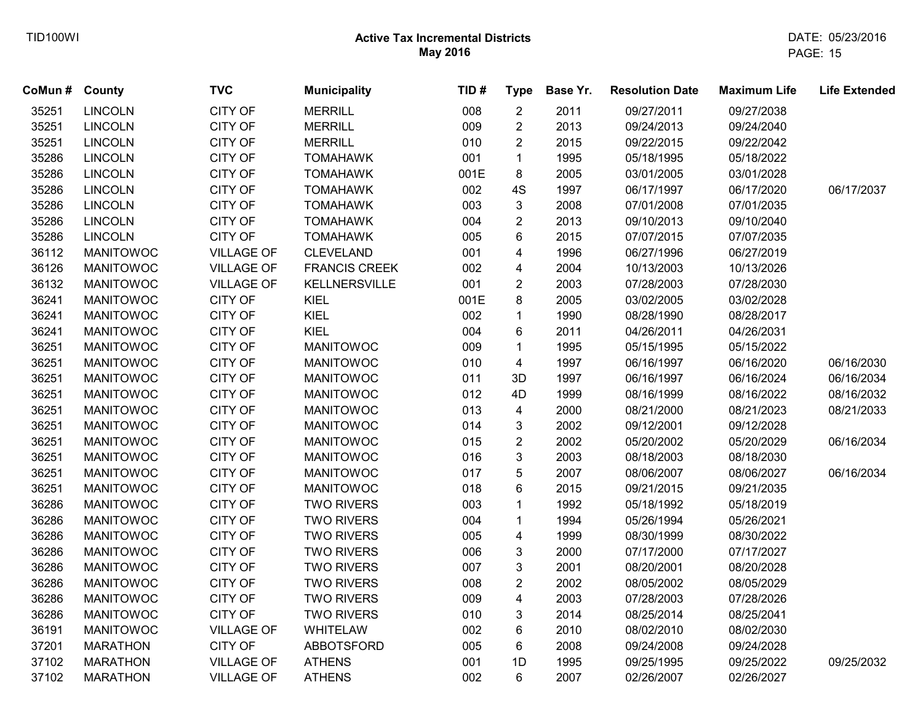| CoMun # | <b>County</b>    | <b>TVC</b>        | <b>Municipality</b>  | TID# | <b>Type</b>             | Base Yr. | <b>Resolution Date</b> | <b>Maximum Life</b> | <b>Life Extended</b> |
|---------|------------------|-------------------|----------------------|------|-------------------------|----------|------------------------|---------------------|----------------------|
| 35251   | <b>LINCOLN</b>   | <b>CITY OF</b>    | <b>MERRILL</b>       | 008  | $\overline{2}$          | 2011     | 09/27/2011             | 09/27/2038          |                      |
| 35251   | <b>LINCOLN</b>   | <b>CITY OF</b>    | <b>MERRILL</b>       | 009  | $\overline{c}$          | 2013     | 09/24/2013             | 09/24/2040          |                      |
| 35251   | <b>LINCOLN</b>   | <b>CITY OF</b>    | <b>MERRILL</b>       | 010  | $\overline{c}$          | 2015     | 09/22/2015             | 09/22/2042          |                      |
| 35286   | <b>LINCOLN</b>   | <b>CITY OF</b>    | <b>TOMAHAWK</b>      | 001  | 1                       | 1995     | 05/18/1995             | 05/18/2022          |                      |
| 35286   | <b>LINCOLN</b>   | <b>CITY OF</b>    | <b>TOMAHAWK</b>      | 001E | 8                       | 2005     | 03/01/2005             | 03/01/2028          |                      |
| 35286   | <b>LINCOLN</b>   | <b>CITY OF</b>    | <b>TOMAHAWK</b>      | 002  | 4S                      | 1997     | 06/17/1997             | 06/17/2020          | 06/17/2037           |
| 35286   | <b>LINCOLN</b>   | <b>CITY OF</b>    | <b>TOMAHAWK</b>      | 003  | 3                       | 2008     | 07/01/2008             | 07/01/2035          |                      |
| 35286   | <b>LINCOLN</b>   | <b>CITY OF</b>    | <b>TOMAHAWK</b>      | 004  | $\overline{c}$          | 2013     | 09/10/2013             | 09/10/2040          |                      |
| 35286   | <b>LINCOLN</b>   | <b>CITY OF</b>    | <b>TOMAHAWK</b>      | 005  | 6                       | 2015     | 07/07/2015             | 07/07/2035          |                      |
| 36112   | <b>MANITOWOC</b> | <b>VILLAGE OF</b> | <b>CLEVELAND</b>     | 001  | 4                       | 1996     | 06/27/1996             | 06/27/2019          |                      |
| 36126   | <b>MANITOWOC</b> | <b>VILLAGE OF</b> | <b>FRANCIS CREEK</b> | 002  | 4                       | 2004     | 10/13/2003             | 10/13/2026          |                      |
| 36132   | <b>MANITOWOC</b> | <b>VILLAGE OF</b> | KELLNERSVILLE        | 001  | $\overline{2}$          | 2003     | 07/28/2003             | 07/28/2030          |                      |
| 36241   | <b>MANITOWOC</b> | <b>CITY OF</b>    | KIEL                 | 001E | 8                       | 2005     | 03/02/2005             | 03/02/2028          |                      |
| 36241   | <b>MANITOWOC</b> | <b>CITY OF</b>    | KIEL                 | 002  | 1                       | 1990     | 08/28/1990             | 08/28/2017          |                      |
| 36241   | <b>MANITOWOC</b> | <b>CITY OF</b>    | <b>KIEL</b>          | 004  | 6                       | 2011     | 04/26/2011             | 04/26/2031          |                      |
| 36251   | <b>MANITOWOC</b> | <b>CITY OF</b>    | <b>MANITOWOC</b>     | 009  | 1                       | 1995     | 05/15/1995             | 05/15/2022          |                      |
| 36251   | <b>MANITOWOC</b> | <b>CITY OF</b>    | <b>MANITOWOC</b>     | 010  | $\overline{\mathbf{4}}$ | 1997     | 06/16/1997             | 06/16/2020          | 06/16/2030           |
| 36251   | <b>MANITOWOC</b> | <b>CITY OF</b>    | <b>MANITOWOC</b>     | 011  | 3D                      | 1997     | 06/16/1997             | 06/16/2024          | 06/16/2034           |
| 36251   | <b>MANITOWOC</b> | <b>CITY OF</b>    | <b>MANITOWOC</b>     | 012  | 4D                      | 1999     | 08/16/1999             | 08/16/2022          | 08/16/2032           |
| 36251   | <b>MANITOWOC</b> | <b>CITY OF</b>    | <b>MANITOWOC</b>     | 013  | 4                       | 2000     | 08/21/2000             | 08/21/2023          | 08/21/2033           |
| 36251   | <b>MANITOWOC</b> | <b>CITY OF</b>    | <b>MANITOWOC</b>     | 014  | 3                       | 2002     | 09/12/2001             | 09/12/2028          |                      |
| 36251   | <b>MANITOWOC</b> | <b>CITY OF</b>    | <b>MANITOWOC</b>     | 015  | $\overline{2}$          | 2002     | 05/20/2002             | 05/20/2029          | 06/16/2034           |
| 36251   | <b>MANITOWOC</b> | <b>CITY OF</b>    | <b>MANITOWOC</b>     | 016  | 3                       | 2003     | 08/18/2003             | 08/18/2030          |                      |
| 36251   | <b>MANITOWOC</b> | <b>CITY OF</b>    | <b>MANITOWOC</b>     | 017  | 5                       | 2007     | 08/06/2007             | 08/06/2027          | 06/16/2034           |
| 36251   | <b>MANITOWOC</b> | <b>CITY OF</b>    | <b>MANITOWOC</b>     | 018  | 6                       | 2015     | 09/21/2015             | 09/21/2035          |                      |
| 36286   | <b>MANITOWOC</b> | <b>CITY OF</b>    | <b>TWO RIVERS</b>    | 003  | 1                       | 1992     | 05/18/1992             | 05/18/2019          |                      |
| 36286   | <b>MANITOWOC</b> | <b>CITY OF</b>    | <b>TWO RIVERS</b>    | 004  | 1                       | 1994     | 05/26/1994             | 05/26/2021          |                      |
| 36286   | <b>MANITOWOC</b> | <b>CITY OF</b>    | <b>TWO RIVERS</b>    | 005  | 4                       | 1999     | 08/30/1999             | 08/30/2022          |                      |
| 36286   | <b>MANITOWOC</b> | <b>CITY OF</b>    | <b>TWO RIVERS</b>    | 006  | 3                       | 2000     | 07/17/2000             | 07/17/2027          |                      |
| 36286   | <b>MANITOWOC</b> | <b>CITY OF</b>    | <b>TWO RIVERS</b>    | 007  | 3                       | 2001     | 08/20/2001             | 08/20/2028          |                      |
| 36286   | <b>MANITOWOC</b> | <b>CITY OF</b>    | <b>TWO RIVERS</b>    | 008  | $\overline{2}$          | 2002     | 08/05/2002             | 08/05/2029          |                      |
| 36286   | <b>MANITOWOC</b> | <b>CITY OF</b>    | <b>TWO RIVERS</b>    | 009  | 4                       | 2003     | 07/28/2003             | 07/28/2026          |                      |
| 36286   | <b>MANITOWOC</b> | <b>CITY OF</b>    | <b>TWO RIVERS</b>    | 010  | 3                       | 2014     | 08/25/2014             | 08/25/2041          |                      |
| 36191   | <b>MANITOWOC</b> | <b>VILLAGE OF</b> | <b>WHITELAW</b>      | 002  | 6                       | 2010     | 08/02/2010             | 08/02/2030          |                      |
| 37201   | <b>MARATHON</b>  | <b>CITY OF</b>    | <b>ABBOTSFORD</b>    | 005  | 6                       | 2008     | 09/24/2008             | 09/24/2028          |                      |
| 37102   | <b>MARATHON</b>  | <b>VILLAGE OF</b> | <b>ATHENS</b>        | 001  | 1D                      | 1995     | 09/25/1995             | 09/25/2022          | 09/25/2032           |
| 37102   | <b>MARATHON</b>  | <b>VILLAGE OF</b> | <b>ATHENS</b>        | 002  | 6                       | 2007     | 02/26/2007             | 02/26/2027          |                      |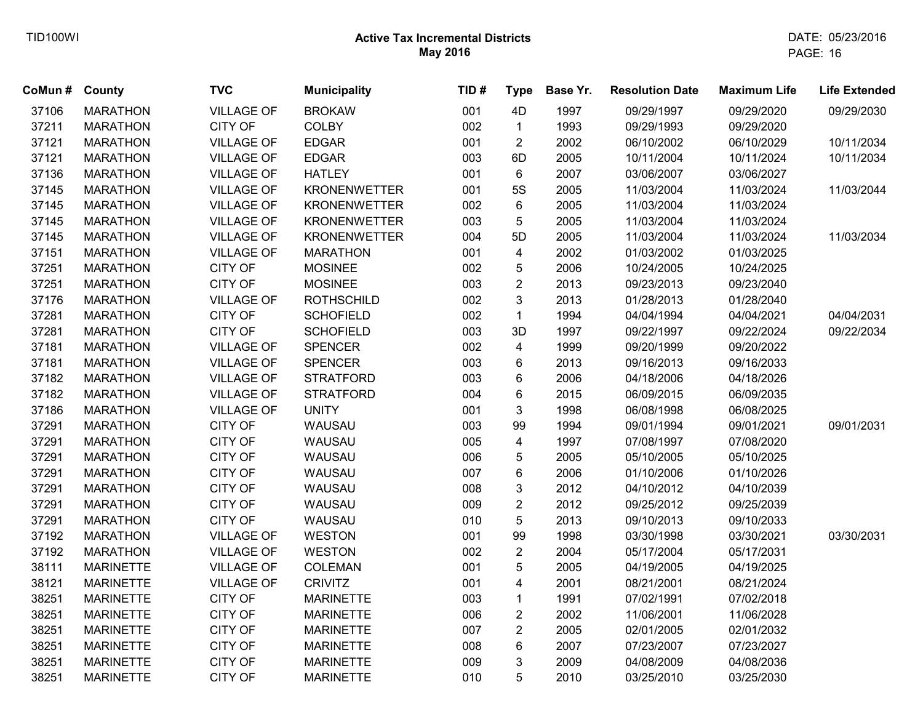| CoMun # | County           | <b>TVC</b>        | <b>Municipality</b> | TID# | <b>Type</b>             | Base Yr. | <b>Resolution Date</b> | <b>Maximum Life</b> | <b>Life Extended</b> |
|---------|------------------|-------------------|---------------------|------|-------------------------|----------|------------------------|---------------------|----------------------|
| 37106   | <b>MARATHON</b>  | <b>VILLAGE OF</b> | <b>BROKAW</b>       | 001  | 4D                      | 1997     | 09/29/1997             | 09/29/2020          | 09/29/2030           |
| 37211   | <b>MARATHON</b>  | <b>CITY OF</b>    | <b>COLBY</b>        | 002  | $\mathbf{1}$            | 1993     | 09/29/1993             | 09/29/2020          |                      |
| 37121   | <b>MARATHON</b>  | <b>VILLAGE OF</b> | <b>EDGAR</b>        | 001  | $\overline{2}$          | 2002     | 06/10/2002             | 06/10/2029          | 10/11/2034           |
| 37121   | <b>MARATHON</b>  | <b>VILLAGE OF</b> | <b>EDGAR</b>        | 003  | 6D                      | 2005     | 10/11/2004             | 10/11/2024          | 10/11/2034           |
| 37136   | <b>MARATHON</b>  | <b>VILLAGE OF</b> | <b>HATLEY</b>       | 001  | 6                       | 2007     | 03/06/2007             | 03/06/2027          |                      |
| 37145   | <b>MARATHON</b>  | <b>VILLAGE OF</b> | <b>KRONENWETTER</b> | 001  | <b>5S</b>               | 2005     | 11/03/2004             | 11/03/2024          | 11/03/2044           |
| 37145   | <b>MARATHON</b>  | <b>VILLAGE OF</b> | <b>KRONENWETTER</b> | 002  | 6                       | 2005     | 11/03/2004             | 11/03/2024          |                      |
| 37145   | <b>MARATHON</b>  | <b>VILLAGE OF</b> | <b>KRONENWETTER</b> | 003  | 5                       | 2005     | 11/03/2004             | 11/03/2024          |                      |
| 37145   | <b>MARATHON</b>  | <b>VILLAGE OF</b> | <b>KRONENWETTER</b> | 004  | 5D                      | 2005     | 11/03/2004             | 11/03/2024          | 11/03/2034           |
| 37151   | <b>MARATHON</b>  | <b>VILLAGE OF</b> | <b>MARATHON</b>     | 001  | $\overline{4}$          | 2002     | 01/03/2002             | 01/03/2025          |                      |
| 37251   | <b>MARATHON</b>  | <b>CITY OF</b>    | <b>MOSINEE</b>      | 002  | 5                       | 2006     | 10/24/2005             | 10/24/2025          |                      |
| 37251   | <b>MARATHON</b>  | <b>CITY OF</b>    | <b>MOSINEE</b>      | 003  | $\overline{2}$          | 2013     | 09/23/2013             | 09/23/2040          |                      |
| 37176   | <b>MARATHON</b>  | <b>VILLAGE OF</b> | <b>ROTHSCHILD</b>   | 002  | 3                       | 2013     | 01/28/2013             | 01/28/2040          |                      |
| 37281   | <b>MARATHON</b>  | <b>CITY OF</b>    | <b>SCHOFIELD</b>    | 002  | $\mathbf{1}$            | 1994     | 04/04/1994             | 04/04/2021          | 04/04/2031           |
| 37281   | <b>MARATHON</b>  | CITY OF           | <b>SCHOFIELD</b>    | 003  | 3D                      | 1997     | 09/22/1997             | 09/22/2024          | 09/22/2034           |
| 37181   | <b>MARATHON</b>  | <b>VILLAGE OF</b> | <b>SPENCER</b>      | 002  | $\overline{\mathbf{4}}$ | 1999     | 09/20/1999             | 09/20/2022          |                      |
| 37181   | <b>MARATHON</b>  | <b>VILLAGE OF</b> | <b>SPENCER</b>      | 003  | 6                       | 2013     | 09/16/2013             | 09/16/2033          |                      |
| 37182   | <b>MARATHON</b>  | <b>VILLAGE OF</b> | <b>STRATFORD</b>    | 003  | 6                       | 2006     | 04/18/2006             | 04/18/2026          |                      |
| 37182   | <b>MARATHON</b>  | <b>VILLAGE OF</b> | <b>STRATFORD</b>    | 004  | 6                       | 2015     | 06/09/2015             | 06/09/2035          |                      |
| 37186   | <b>MARATHON</b>  | <b>VILLAGE OF</b> | <b>UNITY</b>        | 001  | 3                       | 1998     | 06/08/1998             | 06/08/2025          |                      |
| 37291   | <b>MARATHON</b>  | <b>CITY OF</b>    | WAUSAU              | 003  | 99                      | 1994     | 09/01/1994             | 09/01/2021          | 09/01/2031           |
| 37291   | <b>MARATHON</b>  | <b>CITY OF</b>    | WAUSAU              | 005  | $\overline{4}$          | 1997     | 07/08/1997             | 07/08/2020          |                      |
| 37291   | <b>MARATHON</b>  | <b>CITY OF</b>    | WAUSAU              | 006  | 5                       | 2005     | 05/10/2005             | 05/10/2025          |                      |
| 37291   | <b>MARATHON</b>  | CITY OF           | WAUSAU              | 007  | 6                       | 2006     | 01/10/2006             | 01/10/2026          |                      |
| 37291   | <b>MARATHON</b>  | <b>CITY OF</b>    | WAUSAU              | 008  | 3                       | 2012     | 04/10/2012             | 04/10/2039          |                      |
| 37291   | <b>MARATHON</b>  | <b>CITY OF</b>    | WAUSAU              | 009  | $\mathbf{2}$            | 2012     | 09/25/2012             | 09/25/2039          |                      |
| 37291   | <b>MARATHON</b>  | <b>CITY OF</b>    | WAUSAU              | 010  | 5                       | 2013     | 09/10/2013             | 09/10/2033          |                      |
| 37192   | <b>MARATHON</b>  | <b>VILLAGE OF</b> | <b>WESTON</b>       | 001  | 99                      | 1998     | 03/30/1998             | 03/30/2021          | 03/30/2031           |
| 37192   | <b>MARATHON</b>  | <b>VILLAGE OF</b> | <b>WESTON</b>       | 002  | $\overline{2}$          | 2004     | 05/17/2004             | 05/17/2031          |                      |
| 38111   | <b>MARINETTE</b> | <b>VILLAGE OF</b> | <b>COLEMAN</b>      | 001  | 5                       | 2005     | 04/19/2005             | 04/19/2025          |                      |
| 38121   | <b>MARINETTE</b> | <b>VILLAGE OF</b> | <b>CRIVITZ</b>      | 001  | 4                       | 2001     | 08/21/2001             | 08/21/2024          |                      |
| 38251   | <b>MARINETTE</b> | <b>CITY OF</b>    | <b>MARINETTE</b>    | 003  | $\mathbf{1}$            | 1991     | 07/02/1991             | 07/02/2018          |                      |
| 38251   | <b>MARINETTE</b> | CITY OF           | <b>MARINETTE</b>    | 006  | $\overline{\mathbf{c}}$ | 2002     | 11/06/2001             | 11/06/2028          |                      |
| 38251   | <b>MARINETTE</b> | <b>CITY OF</b>    | <b>MARINETTE</b>    | 007  | $\overline{2}$          | 2005     | 02/01/2005             | 02/01/2032          |                      |
| 38251   | <b>MARINETTE</b> | <b>CITY OF</b>    | <b>MARINETTE</b>    | 008  | 6                       | 2007     | 07/23/2007             | 07/23/2027          |                      |
| 38251   | <b>MARINETTE</b> | <b>CITY OF</b>    | <b>MARINETTE</b>    | 009  | 3                       | 2009     | 04/08/2009             | 04/08/2036          |                      |
| 38251   | <b>MARINETTE</b> | <b>CITY OF</b>    | <b>MARINETTE</b>    | 010  | 5                       | 2010     | 03/25/2010             | 03/25/2030          |                      |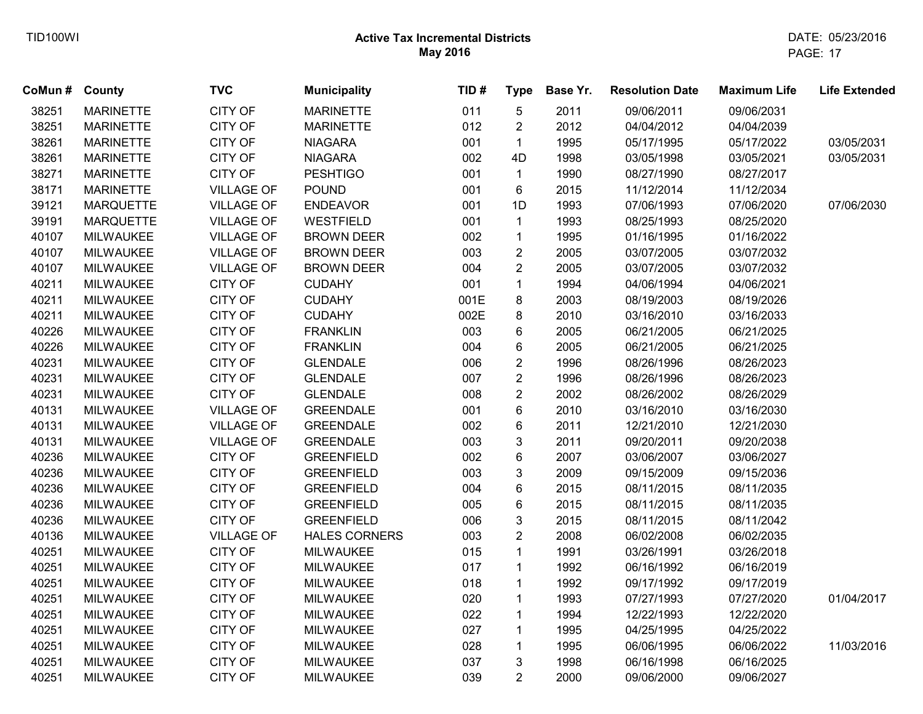| CoMun# | County           | <b>TVC</b>        | <b>Municipality</b>  | TID# | <b>Type</b>    | Base Yr. | <b>Resolution Date</b> | <b>Maximum Life</b> | <b>Life Extended</b> |
|--------|------------------|-------------------|----------------------|------|----------------|----------|------------------------|---------------------|----------------------|
| 38251  | <b>MARINETTE</b> | <b>CITY OF</b>    | <b>MARINETTE</b>     | 011  | 5              | 2011     | 09/06/2011             | 09/06/2031          |                      |
| 38251  | <b>MARINETTE</b> | CITY OF           | <b>MARINETTE</b>     | 012  | $\overline{2}$ | 2012     | 04/04/2012             | 04/04/2039          |                      |
| 38261  | <b>MARINETTE</b> | CITY OF           | <b>NIAGARA</b>       | 001  | $\mathbf{1}$   | 1995     | 05/17/1995             | 05/17/2022          | 03/05/2031           |
| 38261  | <b>MARINETTE</b> | CITY OF           | <b>NIAGARA</b>       | 002  | 4D             | 1998     | 03/05/1998             | 03/05/2021          | 03/05/2031           |
| 38271  | <b>MARINETTE</b> | <b>CITY OF</b>    | <b>PESHTIGO</b>      | 001  | $\mathbf{1}$   | 1990     | 08/27/1990             | 08/27/2017          |                      |
| 38171  | <b>MARINETTE</b> | <b>VILLAGE OF</b> | <b>POUND</b>         | 001  | 6              | 2015     | 11/12/2014             | 11/12/2034          |                      |
| 39121  | <b>MARQUETTE</b> | <b>VILLAGE OF</b> | <b>ENDEAVOR</b>      | 001  | 1D             | 1993     | 07/06/1993             | 07/06/2020          | 07/06/2030           |
| 39191  | <b>MARQUETTE</b> | <b>VILLAGE OF</b> | <b>WESTFIELD</b>     | 001  | $\mathbf{1}$   | 1993     | 08/25/1993             | 08/25/2020          |                      |
| 40107  | <b>MILWAUKEE</b> | <b>VILLAGE OF</b> | <b>BROWN DEER</b>    | 002  | $\mathbf{1}$   | 1995     | 01/16/1995             | 01/16/2022          |                      |
| 40107  | <b>MILWAUKEE</b> | VILLAGE OF        | <b>BROWN DEER</b>    | 003  | $\overline{2}$ | 2005     | 03/07/2005             | 03/07/2032          |                      |
| 40107  | <b>MILWAUKEE</b> | <b>VILLAGE OF</b> | <b>BROWN DEER</b>    | 004  | $\overline{2}$ | 2005     | 03/07/2005             | 03/07/2032          |                      |
| 40211  | <b>MILWAUKEE</b> | <b>CITY OF</b>    | <b>CUDAHY</b>        | 001  | $\mathbf{1}$   | 1994     | 04/06/1994             | 04/06/2021          |                      |
| 40211  | <b>MILWAUKEE</b> | CITY OF           | <b>CUDAHY</b>        | 001E | 8              | 2003     | 08/19/2003             | 08/19/2026          |                      |
| 40211  | <b>MILWAUKEE</b> | CITY OF           | <b>CUDAHY</b>        | 002E | 8              | 2010     | 03/16/2010             | 03/16/2033          |                      |
| 40226  | <b>MILWAUKEE</b> | CITY OF           | <b>FRANKLIN</b>      | 003  | 6              | 2005     | 06/21/2005             | 06/21/2025          |                      |
| 40226  | <b>MILWAUKEE</b> | CITY OF           | <b>FRANKLIN</b>      | 004  | 6              | 2005     | 06/21/2005             | 06/21/2025          |                      |
| 40231  | <b>MILWAUKEE</b> | CITY OF           | <b>GLENDALE</b>      | 006  | $\overline{c}$ | 1996     | 08/26/1996             | 08/26/2023          |                      |
| 40231  | <b>MILWAUKEE</b> | CITY OF           | <b>GLENDALE</b>      | 007  | $\overline{2}$ | 1996     | 08/26/1996             | 08/26/2023          |                      |
| 40231  | <b>MILWAUKEE</b> | CITY OF           | <b>GLENDALE</b>      | 008  | $\overline{2}$ | 2002     | 08/26/2002             | 08/26/2029          |                      |
| 40131  | <b>MILWAUKEE</b> | <b>VILLAGE OF</b> | <b>GREENDALE</b>     | 001  | 6              | 2010     | 03/16/2010             | 03/16/2030          |                      |
| 40131  | <b>MILWAUKEE</b> | <b>VILLAGE OF</b> | <b>GREENDALE</b>     | 002  | 6              | 2011     | 12/21/2010             | 12/21/2030          |                      |
| 40131  | <b>MILWAUKEE</b> | <b>VILLAGE OF</b> | <b>GREENDALE</b>     | 003  | 3              | 2011     | 09/20/2011             | 09/20/2038          |                      |
| 40236  | <b>MILWAUKEE</b> | CITY OF           | <b>GREENFIELD</b>    | 002  | 6              | 2007     | 03/06/2007             | 03/06/2027          |                      |
| 40236  | <b>MILWAUKEE</b> | CITY OF           | <b>GREENFIELD</b>    | 003  | 3              | 2009     | 09/15/2009             | 09/15/2036          |                      |
| 40236  | <b>MILWAUKEE</b> | CITY OF           | <b>GREENFIELD</b>    | 004  | 6              | 2015     | 08/11/2015             | 08/11/2035          |                      |
| 40236  | <b>MILWAUKEE</b> | CITY OF           | <b>GREENFIELD</b>    | 005  | 6              | 2015     | 08/11/2015             | 08/11/2035          |                      |
| 40236  | <b>MILWAUKEE</b> | CITY OF           | <b>GREENFIELD</b>    | 006  | 3              | 2015     | 08/11/2015             | 08/11/2042          |                      |
| 40136  | <b>MILWAUKEE</b> | <b>VILLAGE OF</b> | <b>HALES CORNERS</b> | 003  | $\overline{2}$ | 2008     | 06/02/2008             | 06/02/2035          |                      |
| 40251  | <b>MILWAUKEE</b> | <b>CITY OF</b>    | <b>MILWAUKEE</b>     | 015  | $\mathbf{1}$   | 1991     | 03/26/1991             | 03/26/2018          |                      |
| 40251  | <b>MILWAUKEE</b> | CITY OF           | <b>MILWAUKEE</b>     | 017  | $\mathbf{1}$   | 1992     | 06/16/1992             | 06/16/2019          |                      |
| 40251  | <b>MILWAUKEE</b> | CITY OF           | <b>MILWAUKEE</b>     | 018  | $\mathbf{1}$   | 1992     | 09/17/1992             | 09/17/2019          |                      |
| 40251  | <b>MILWAUKEE</b> | CITY OF           | MILWAUKEE            | 020  | $\mathbf{1}$   | 1993     | 07/27/1993             | 07/27/2020          | 01/04/2017           |
| 40251  | <b>MILWAUKEE</b> | CITY OF           | <b>MILWAUKEE</b>     | 022  | $\mathbf{1}$   | 1994     | 12/22/1993             | 12/22/2020          |                      |
| 40251  | <b>MILWAUKEE</b> | <b>CITY OF</b>    | <b>MILWAUKEE</b>     | 027  | $\mathbf{1}$   | 1995     | 04/25/1995             | 04/25/2022          |                      |
| 40251  | <b>MILWAUKEE</b> | CITY OF           | <b>MILWAUKEE</b>     | 028  | $\mathbf{1}$   | 1995     | 06/06/1995             | 06/06/2022          | 11/03/2016           |
| 40251  | <b>MILWAUKEE</b> | CITY OF           | <b>MILWAUKEE</b>     | 037  | 3              | 1998     | 06/16/1998             | 06/16/2025          |                      |
| 40251  | <b>MILWAUKEE</b> | <b>CITY OF</b>    | <b>MILWAUKEE</b>     | 039  | $\overline{2}$ | 2000     | 09/06/2000             | 09/06/2027          |                      |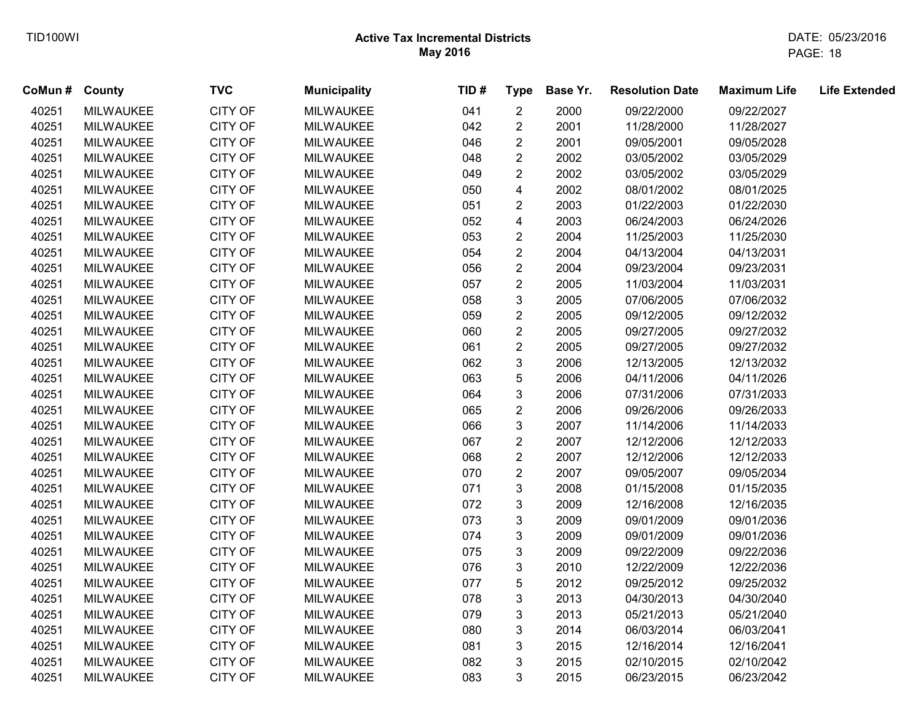| CoMun # County |                  | <b>TVC</b>     | <b>Municipality</b> | TID# | <b>Type</b>             | Base Yr. | <b>Resolution Date</b> | <b>Maximum Life</b> | <b>Life Extended</b> |
|----------------|------------------|----------------|---------------------|------|-------------------------|----------|------------------------|---------------------|----------------------|
| 40251          | <b>MILWAUKEE</b> | <b>CITY OF</b> | <b>MILWAUKEE</b>    | 041  | $\mathbf{2}$            | 2000     | 09/22/2000             | 09/22/2027          |                      |
| 40251          | <b>MILWAUKEE</b> | CITY OF        | <b>MILWAUKEE</b>    | 042  | $\overline{c}$          | 2001     | 11/28/2000             | 11/28/2027          |                      |
| 40251          | <b>MILWAUKEE</b> | CITY OF        | <b>MILWAUKEE</b>    | 046  | $\overline{2}$          | 2001     | 09/05/2001             | 09/05/2028          |                      |
| 40251          | <b>MILWAUKEE</b> | CITY OF        | <b>MILWAUKEE</b>    | 048  | $\overline{2}$          | 2002     | 03/05/2002             | 03/05/2029          |                      |
| 40251          | <b>MILWAUKEE</b> | CITY OF        | <b>MILWAUKEE</b>    | 049  | $\overline{2}$          | 2002     | 03/05/2002             | 03/05/2029          |                      |
| 40251          | <b>MILWAUKEE</b> | CITY OF        | <b>MILWAUKEE</b>    | 050  | $\overline{\mathbf{4}}$ | 2002     | 08/01/2002             | 08/01/2025          |                      |
| 40251          | <b>MILWAUKEE</b> | CITY OF        | <b>MILWAUKEE</b>    | 051  | $\overline{2}$          | 2003     | 01/22/2003             | 01/22/2030          |                      |
| 40251          | <b>MILWAUKEE</b> | CITY OF        | <b>MILWAUKEE</b>    | 052  | $\overline{\mathbf{4}}$ | 2003     | 06/24/2003             | 06/24/2026          |                      |
| 40251          | <b>MILWAUKEE</b> | <b>CITY OF</b> | <b>MILWAUKEE</b>    | 053  | $\overline{2}$          | 2004     | 11/25/2003             | 11/25/2030          |                      |
| 40251          | <b>MILWAUKEE</b> | CITY OF        | <b>MILWAUKEE</b>    | 054  | $\boldsymbol{2}$        | 2004     | 04/13/2004             | 04/13/2031          |                      |
| 40251          | <b>MILWAUKEE</b> | CITY OF        | <b>MILWAUKEE</b>    | 056  | $\overline{2}$          | 2004     | 09/23/2004             | 09/23/2031          |                      |
| 40251          | <b>MILWAUKEE</b> | CITY OF        | <b>MILWAUKEE</b>    | 057  | $\overline{2}$          | 2005     | 11/03/2004             | 11/03/2031          |                      |
| 40251          | <b>MILWAUKEE</b> | CITY OF        | <b>MILWAUKEE</b>    | 058  | 3                       | 2005     | 07/06/2005             | 07/06/2032          |                      |
| 40251          | <b>MILWAUKEE</b> | CITY OF        | <b>MILWAUKEE</b>    | 059  | $\boldsymbol{2}$        | 2005     | 09/12/2005             | 09/12/2032          |                      |
| 40251          | <b>MILWAUKEE</b> | CITY OF        | <b>MILWAUKEE</b>    | 060  | $\overline{2}$          | 2005     | 09/27/2005             | 09/27/2032          |                      |
| 40251          | <b>MILWAUKEE</b> | <b>CITY OF</b> | <b>MILWAUKEE</b>    | 061  | $\overline{c}$          | 2005     | 09/27/2005             | 09/27/2032          |                      |
| 40251          | <b>MILWAUKEE</b> | CITY OF        | <b>MILWAUKEE</b>    | 062  | 3                       | 2006     | 12/13/2005             | 12/13/2032          |                      |
| 40251          | <b>MILWAUKEE</b> | <b>CITY OF</b> | <b>MILWAUKEE</b>    | 063  | 5                       | 2006     | 04/11/2006             | 04/11/2026          |                      |
| 40251          | <b>MILWAUKEE</b> | <b>CITY OF</b> | <b>MILWAUKEE</b>    | 064  | 3                       | 2006     | 07/31/2006             | 07/31/2033          |                      |
| 40251          | <b>MILWAUKEE</b> | <b>CITY OF</b> | <b>MILWAUKEE</b>    | 065  | $\overline{2}$          | 2006     | 09/26/2006             | 09/26/2033          |                      |
| 40251          | <b>MILWAUKEE</b> | <b>CITY OF</b> | <b>MILWAUKEE</b>    | 066  | 3                       | 2007     | 11/14/2006             | 11/14/2033          |                      |
| 40251          | <b>MILWAUKEE</b> | CITY OF        | <b>MILWAUKEE</b>    | 067  | $\overline{c}$          | 2007     | 12/12/2006             | 12/12/2033          |                      |
| 40251          | <b>MILWAUKEE</b> | CITY OF        | <b>MILWAUKEE</b>    | 068  | $\overline{c}$          | 2007     | 12/12/2006             | 12/12/2033          |                      |
| 40251          | <b>MILWAUKEE</b> | CITY OF        | <b>MILWAUKEE</b>    | 070  | $\overline{2}$          | 2007     | 09/05/2007             | 09/05/2034          |                      |
| 40251          | <b>MILWAUKEE</b> | CITY OF        | <b>MILWAUKEE</b>    | 071  | $\mathfrak{B}$          | 2008     | 01/15/2008             | 01/15/2035          |                      |
| 40251          | MILWAUKEE        | <b>CITY OF</b> | <b>MILWAUKEE</b>    | 072  | $\mathbf{3}$            | 2009     | 12/16/2008             | 12/16/2035          |                      |
| 40251          | <b>MILWAUKEE</b> | <b>CITY OF</b> | <b>MILWAUKEE</b>    | 073  | $\mathfrak{B}$          | 2009     | 09/01/2009             | 09/01/2036          |                      |
| 40251          | <b>MILWAUKEE</b> | <b>CITY OF</b> | <b>MILWAUKEE</b>    | 074  | $\mathfrak{S}$          | 2009     | 09/01/2009             | 09/01/2036          |                      |
| 40251          | <b>MILWAUKEE</b> | <b>CITY OF</b> | <b>MILWAUKEE</b>    | 075  | $\mathbf{3}$            | 2009     | 09/22/2009             | 09/22/2036          |                      |
| 40251          | <b>MILWAUKEE</b> | <b>CITY OF</b> | <b>MILWAUKEE</b>    | 076  | 3                       | 2010     | 12/22/2009             | 12/22/2036          |                      |
| 40251          | <b>MILWAUKEE</b> | <b>CITY OF</b> | <b>MILWAUKEE</b>    | 077  | 5                       | 2012     | 09/25/2012             | 09/25/2032          |                      |
| 40251          | <b>MILWAUKEE</b> | <b>CITY OF</b> | <b>MILWAUKEE</b>    | 078  | 3                       | 2013     | 04/30/2013             | 04/30/2040          |                      |
| 40251          | <b>MILWAUKEE</b> | CITY OF        | <b>MILWAUKEE</b>    | 079  | 3                       | 2013     | 05/21/2013             | 05/21/2040          |                      |
| 40251          | <b>MILWAUKEE</b> | <b>CITY OF</b> | <b>MILWAUKEE</b>    | 080  | 3                       | 2014     | 06/03/2014             | 06/03/2041          |                      |
| 40251          | <b>MILWAUKEE</b> | CITY OF        | <b>MILWAUKEE</b>    | 081  | 3                       | 2015     | 12/16/2014             | 12/16/2041          |                      |
| 40251          | <b>MILWAUKEE</b> | <b>CITY OF</b> | <b>MILWAUKEE</b>    | 082  | 3                       | 2015     | 02/10/2015             | 02/10/2042          |                      |
| 40251          | <b>MILWAUKEE</b> | <b>CITY OF</b> | <b>MILWAUKEE</b>    | 083  | 3                       | 2015     | 06/23/2015             | 06/23/2042          |                      |
|                |                  |                |                     |      |                         |          |                        |                     |                      |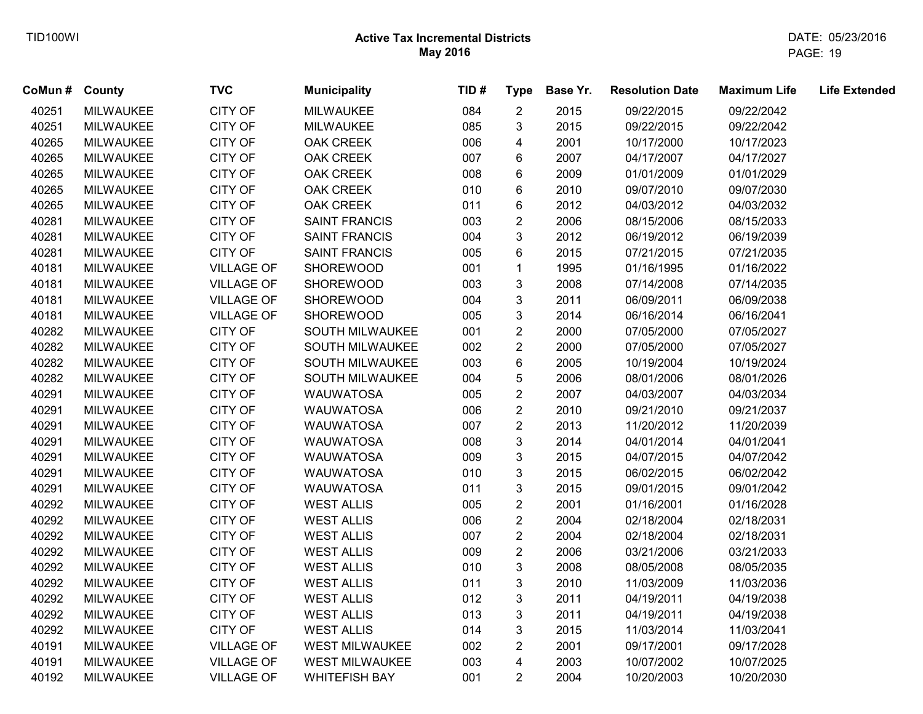| CoMun # County |                  | <b>TVC</b>        | <b>Municipality</b>   | TID# | <b>Type</b>      | Base Yr. | <b>Resolution Date</b> | <b>Maximum Life</b> | <b>Life Extended</b> |
|----------------|------------------|-------------------|-----------------------|------|------------------|----------|------------------------|---------------------|----------------------|
| 40251          | <b>MILWAUKEE</b> | <b>CITY OF</b>    | <b>MILWAUKEE</b>      | 084  | $\overline{2}$   | 2015     | 09/22/2015             | 09/22/2042          |                      |
| 40251          | <b>MILWAUKEE</b> | <b>CITY OF</b>    | <b>MILWAUKEE</b>      | 085  | 3                | 2015     | 09/22/2015             | 09/22/2042          |                      |
| 40265          | <b>MILWAUKEE</b> | CITY OF           | <b>OAK CREEK</b>      | 006  | 4                | 2001     | 10/17/2000             | 10/17/2023          |                      |
| 40265          | <b>MILWAUKEE</b> | <b>CITY OF</b>    | <b>OAK CREEK</b>      | 007  | 6                | 2007     | 04/17/2007             | 04/17/2027          |                      |
| 40265          | <b>MILWAUKEE</b> | <b>CITY OF</b>    | OAK CREEK             | 008  | 6                | 2009     | 01/01/2009             | 01/01/2029          |                      |
| 40265          | <b>MILWAUKEE</b> | CITY OF           | <b>OAK CREEK</b>      | 010  | 6                | 2010     | 09/07/2010             | 09/07/2030          |                      |
| 40265          | <b>MILWAUKEE</b> | <b>CITY OF</b>    | <b>OAK CREEK</b>      | 011  | 6                | 2012     | 04/03/2012             | 04/03/2032          |                      |
| 40281          | <b>MILWAUKEE</b> | CITY OF           | <b>SAINT FRANCIS</b>  | 003  | $\boldsymbol{2}$ | 2006     | 08/15/2006             | 08/15/2033          |                      |
| 40281          | <b>MILWAUKEE</b> | CITY OF           | <b>SAINT FRANCIS</b>  | 004  | 3                | 2012     | 06/19/2012             | 06/19/2039          |                      |
| 40281          | <b>MILWAUKEE</b> | CITY OF           | <b>SAINT FRANCIS</b>  | 005  | $\,6\,$          | 2015     | 07/21/2015             | 07/21/2035          |                      |
| 40181          | <b>MILWAUKEE</b> | <b>VILLAGE OF</b> | SHOREWOOD             | 001  | $\mathbf{1}$     | 1995     | 01/16/1995             | 01/16/2022          |                      |
| 40181          | <b>MILWAUKEE</b> | <b>VILLAGE OF</b> | SHOREWOOD             | 003  | 3                | 2008     | 07/14/2008             | 07/14/2035          |                      |
| 40181          | <b>MILWAUKEE</b> | <b>VILLAGE OF</b> | SHOREWOOD             | 004  | 3                | 2011     | 06/09/2011             | 06/09/2038          |                      |
| 40181          | <b>MILWAUKEE</b> | <b>VILLAGE OF</b> | <b>SHOREWOOD</b>      | 005  | 3                | 2014     | 06/16/2014             | 06/16/2041          |                      |
| 40282          | <b>MILWAUKEE</b> | CITY OF           | SOUTH MILWAUKEE       | 001  | $\overline{c}$   | 2000     | 07/05/2000             | 07/05/2027          |                      |
| 40282          | <b>MILWAUKEE</b> | CITY OF           | SOUTH MILWAUKEE       | 002  | $\overline{2}$   | 2000     | 07/05/2000             | 07/05/2027          |                      |
| 40282          | <b>MILWAUKEE</b> | CITY OF           | SOUTH MILWAUKEE       | 003  | 6                | 2005     | 10/19/2004             | 10/19/2024          |                      |
| 40282          | <b>MILWAUKEE</b> | CITY OF           | SOUTH MILWAUKEE       | 004  | 5                | 2006     | 08/01/2006             | 08/01/2026          |                      |
| 40291          | <b>MILWAUKEE</b> | CITY OF           | <b>WAUWATOSA</b>      | 005  | $\overline{2}$   | 2007     | 04/03/2007             | 04/03/2034          |                      |
| 40291          | <b>MILWAUKEE</b> | CITY OF           | <b>WAUWATOSA</b>      | 006  | $\overline{2}$   | 2010     | 09/21/2010             | 09/21/2037          |                      |
| 40291          | <b>MILWAUKEE</b> | CITY OF           | <b>WAUWATOSA</b>      | 007  | $\overline{2}$   | 2013     | 11/20/2012             | 11/20/2039          |                      |
| 40291          | <b>MILWAUKEE</b> | CITY OF           | <b>WAUWATOSA</b>      | 008  | 3                | 2014     | 04/01/2014             | 04/01/2041          |                      |
| 40291          | <b>MILWAUKEE</b> | CITY OF           | <b>WAUWATOSA</b>      | 009  | 3                | 2015     | 04/07/2015             | 04/07/2042          |                      |
| 40291          | <b>MILWAUKEE</b> | CITY OF           | <b>WAUWATOSA</b>      | 010  | 3                | 2015     | 06/02/2015             | 06/02/2042          |                      |
| 40291          | <b>MILWAUKEE</b> | CITY OF           | <b>WAUWATOSA</b>      | 011  | 3                | 2015     | 09/01/2015             | 09/01/2042          |                      |
| 40292          | <b>MILWAUKEE</b> | CITY OF           | <b>WEST ALLIS</b>     | 005  | $\overline{2}$   | 2001     | 01/16/2001             | 01/16/2028          |                      |
| 40292          | <b>MILWAUKEE</b> | CITY OF           | <b>WEST ALLIS</b>     | 006  | $\overline{2}$   | 2004     | 02/18/2004             | 02/18/2031          |                      |
| 40292          | <b>MILWAUKEE</b> | <b>CITY OF</b>    | <b>WEST ALLIS</b>     | 007  | $\boldsymbol{2}$ | 2004     | 02/18/2004             | 02/18/2031          |                      |
| 40292          | <b>MILWAUKEE</b> | <b>CITY OF</b>    | <b>WEST ALLIS</b>     | 009  | $\overline{2}$   | 2006     | 03/21/2006             | 03/21/2033          |                      |
| 40292          | <b>MILWAUKEE</b> | <b>CITY OF</b>    | <b>WEST ALLIS</b>     | 010  | 3                | 2008     | 08/05/2008             | 08/05/2035          |                      |
| 40292          | <b>MILWAUKEE</b> | CITY OF           | <b>WEST ALLIS</b>     | 011  | $\mathbf{3}$     | 2010     | 11/03/2009             | 11/03/2036          |                      |
| 40292          | <b>MILWAUKEE</b> | CITY OF           | <b>WEST ALLIS</b>     | 012  | 3                | 2011     | 04/19/2011             | 04/19/2038          |                      |
| 40292          | <b>MILWAUKEE</b> | <b>CITY OF</b>    | <b>WEST ALLIS</b>     | 013  | 3                | 2011     | 04/19/2011             | 04/19/2038          |                      |
| 40292          | <b>MILWAUKEE</b> | <b>CITY OF</b>    | <b>WEST ALLIS</b>     | 014  | 3                | 2015     | 11/03/2014             | 11/03/2041          |                      |
| 40191          | <b>MILWAUKEE</b> | <b>VILLAGE OF</b> | WEST MILWAUKEE        | 002  | $\overline{2}$   | 2001     | 09/17/2001             | 09/17/2028          |                      |
| 40191          | <b>MILWAUKEE</b> | <b>VILLAGE OF</b> | <b>WEST MILWAUKEE</b> | 003  | 4                | 2003     | 10/07/2002             | 10/07/2025          |                      |
| 40192          | <b>MILWAUKEE</b> | <b>VILLAGE OF</b> | <b>WHITEFISH BAY</b>  | 001  | $\overline{2}$   | 2004     | 10/20/2003             | 10/20/2030          |                      |
|                |                  |                   |                       |      |                  |          |                        |                     |                      |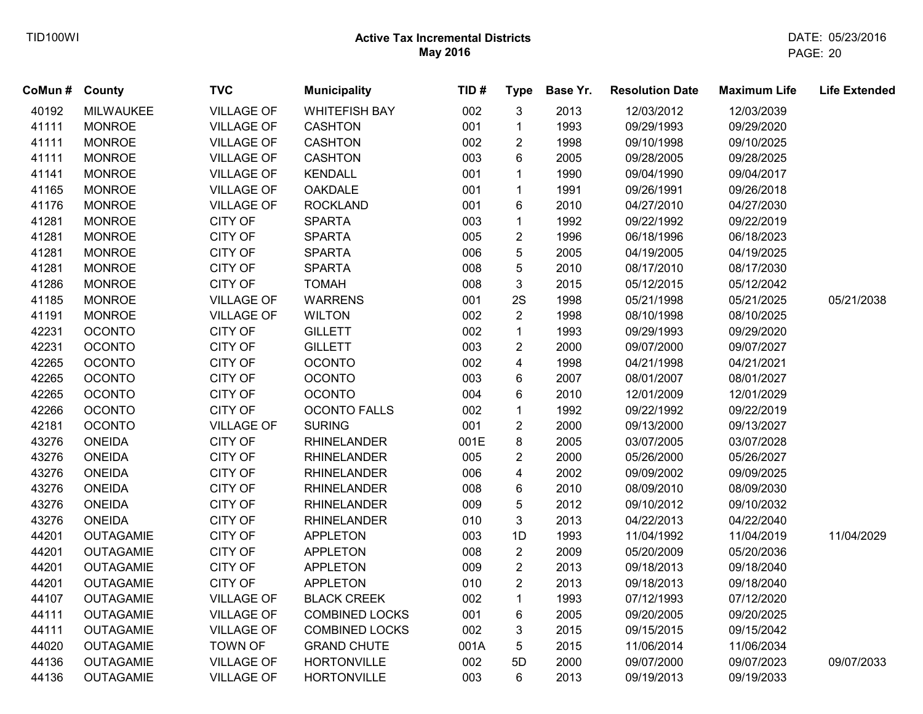| CoMun # County |                  | <b>TVC</b>        | <b>Municipality</b>   | TID# | <b>Type</b>             | Base Yr. | <b>Resolution Date</b> | <b>Maximum Life</b> | <b>Life Extended</b> |
|----------------|------------------|-------------------|-----------------------|------|-------------------------|----------|------------------------|---------------------|----------------------|
| 40192          | <b>MILWAUKEE</b> | <b>VILLAGE OF</b> | <b>WHITEFISH BAY</b>  | 002  | 3                       | 2013     | 12/03/2012             | 12/03/2039          |                      |
| 41111          | <b>MONROE</b>    | <b>VILLAGE OF</b> | <b>CASHTON</b>        | 001  | $\mathbf{1}$            | 1993     | 09/29/1993             | 09/29/2020          |                      |
| 41111          | <b>MONROE</b>    | <b>VILLAGE OF</b> | <b>CASHTON</b>        | 002  | $\overline{2}$          | 1998     | 09/10/1998             | 09/10/2025          |                      |
| 41111          | <b>MONROE</b>    | <b>VILLAGE OF</b> | <b>CASHTON</b>        | 003  | 6                       | 2005     | 09/28/2005             | 09/28/2025          |                      |
| 41141          | <b>MONROE</b>    | <b>VILLAGE OF</b> | <b>KENDALL</b>        | 001  | $\mathbf{1}$            | 1990     | 09/04/1990             | 09/04/2017          |                      |
| 41165          | <b>MONROE</b>    | <b>VILLAGE OF</b> | <b>OAKDALE</b>        | 001  | $\mathbf{1}$            | 1991     | 09/26/1991             | 09/26/2018          |                      |
| 41176          | <b>MONROE</b>    | <b>VILLAGE OF</b> | <b>ROCKLAND</b>       | 001  | 6                       | 2010     | 04/27/2010             | 04/27/2030          |                      |
| 41281          | <b>MONROE</b>    | <b>CITY OF</b>    | <b>SPARTA</b>         | 003  | $\mathbf 1$             | 1992     | 09/22/1992             | 09/22/2019          |                      |
| 41281          | <b>MONROE</b>    | <b>CITY OF</b>    | <b>SPARTA</b>         | 005  | $\overline{2}$          | 1996     | 06/18/1996             | 06/18/2023          |                      |
| 41281          | <b>MONROE</b>    | <b>CITY OF</b>    | <b>SPARTA</b>         | 006  | 5                       | 2005     | 04/19/2005             | 04/19/2025          |                      |
| 41281          | <b>MONROE</b>    | <b>CITY OF</b>    | <b>SPARTA</b>         | 008  | 5                       | 2010     | 08/17/2010             | 08/17/2030          |                      |
| 41286          | <b>MONROE</b>    | <b>CITY OF</b>    | <b>TOMAH</b>          | 008  | 3                       | 2015     | 05/12/2015             | 05/12/2042          |                      |
| 41185          | <b>MONROE</b>    | <b>VILLAGE OF</b> | <b>WARRENS</b>        | 001  | 2S                      | 1998     | 05/21/1998             | 05/21/2025          | 05/21/2038           |
| 41191          | <b>MONROE</b>    | <b>VILLAGE OF</b> | <b>WILTON</b>         | 002  | $\overline{2}$          | 1998     | 08/10/1998             | 08/10/2025          |                      |
| 42231          | <b>OCONTO</b>    | <b>CITY OF</b>    | <b>GILLETT</b>        | 002  | $\mathbf{1}$            | 1993     | 09/29/1993             | 09/29/2020          |                      |
| 42231          | <b>OCONTO</b>    | <b>CITY OF</b>    | <b>GILLETT</b>        | 003  | $\overline{2}$          | 2000     | 09/07/2000             | 09/07/2027          |                      |
| 42265          | <b>OCONTO</b>    | <b>CITY OF</b>    | <b>OCONTO</b>         | 002  | $\overline{\mathbf{4}}$ | 1998     | 04/21/1998             | 04/21/2021          |                      |
| 42265          | <b>OCONTO</b>    | <b>CITY OF</b>    | <b>OCONTO</b>         | 003  | 6                       | 2007     | 08/01/2007             | 08/01/2027          |                      |
| 42265          | <b>OCONTO</b>    | <b>CITY OF</b>    | <b>OCONTO</b>         | 004  | 6                       | 2010     | 12/01/2009             | 12/01/2029          |                      |
| 42266          | <b>OCONTO</b>    | <b>CITY OF</b>    | <b>OCONTO FALLS</b>   | 002  | $\mathbf{1}$            | 1992     | 09/22/1992             | 09/22/2019          |                      |
| 42181          | <b>OCONTO</b>    | <b>VILLAGE OF</b> | <b>SURING</b>         | 001  | $\overline{2}$          | 2000     | 09/13/2000             | 09/13/2027          |                      |
| 43276          | <b>ONEIDA</b>    | <b>CITY OF</b>    | <b>RHINELANDER</b>    | 001E | 8                       | 2005     | 03/07/2005             | 03/07/2028          |                      |
| 43276          | <b>ONEIDA</b>    | <b>CITY OF</b>    | <b>RHINELANDER</b>    | 005  | $\overline{2}$          | 2000     | 05/26/2000             | 05/26/2027          |                      |
| 43276          | <b>ONEIDA</b>    | <b>CITY OF</b>    | <b>RHINELANDER</b>    | 006  | 4                       | 2002     | 09/09/2002             | 09/09/2025          |                      |
| 43276          | <b>ONEIDA</b>    | <b>CITY OF</b>    | <b>RHINELANDER</b>    | 008  | 6                       | 2010     | 08/09/2010             | 08/09/2030          |                      |
| 43276          | <b>ONEIDA</b>    | <b>CITY OF</b>    | <b>RHINELANDER</b>    | 009  | 5                       | 2012     | 09/10/2012             | 09/10/2032          |                      |
| 43276          | <b>ONEIDA</b>    | <b>CITY OF</b>    | <b>RHINELANDER</b>    | 010  | 3                       | 2013     | 04/22/2013             | 04/22/2040          |                      |
| 44201          | <b>OUTAGAMIE</b> | <b>CITY OF</b>    | <b>APPLETON</b>       | 003  | 1D                      | 1993     | 11/04/1992             | 11/04/2019          | 11/04/2029           |
| 44201          | <b>OUTAGAMIE</b> | <b>CITY OF</b>    | <b>APPLETON</b>       | 008  | $\overline{2}$          | 2009     | 05/20/2009             | 05/20/2036          |                      |
| 44201          | <b>OUTAGAMIE</b> | <b>CITY OF</b>    | <b>APPLETON</b>       | 009  | $\overline{2}$          | 2013     | 09/18/2013             | 09/18/2040          |                      |
| 44201          | <b>OUTAGAMIE</b> | <b>CITY OF</b>    | <b>APPLETON</b>       | 010  | $\overline{2}$          | 2013     | 09/18/2013             | 09/18/2040          |                      |
| 44107          | <b>OUTAGAMIE</b> | <b>VILLAGE OF</b> | <b>BLACK CREEK</b>    | 002  | $\mathbf{1}$            | 1993     | 07/12/1993             | 07/12/2020          |                      |
| 44111          | <b>OUTAGAMIE</b> | <b>VILLAGE OF</b> | <b>COMBINED LOCKS</b> | 001  | $\,6\,$                 | 2005     | 09/20/2005             | 09/20/2025          |                      |
| 44111          | <b>OUTAGAMIE</b> | <b>VILLAGE OF</b> | <b>COMBINED LOCKS</b> | 002  | 3                       | 2015     | 09/15/2015             | 09/15/2042          |                      |
| 44020          | <b>OUTAGAMIE</b> | <b>TOWN OF</b>    | <b>GRAND CHUTE</b>    | 001A | 5                       | 2015     | 11/06/2014             | 11/06/2034          |                      |
| 44136          | <b>OUTAGAMIE</b> | <b>VILLAGE OF</b> | <b>HORTONVILLE</b>    | 002  | 5D                      | 2000     | 09/07/2000             | 09/07/2023          | 09/07/2033           |
| 44136          | <b>OUTAGAMIE</b> | <b>VILLAGE OF</b> | <b>HORTONVILLE</b>    | 003  | 6                       | 2013     | 09/19/2013             | 09/19/2033          |                      |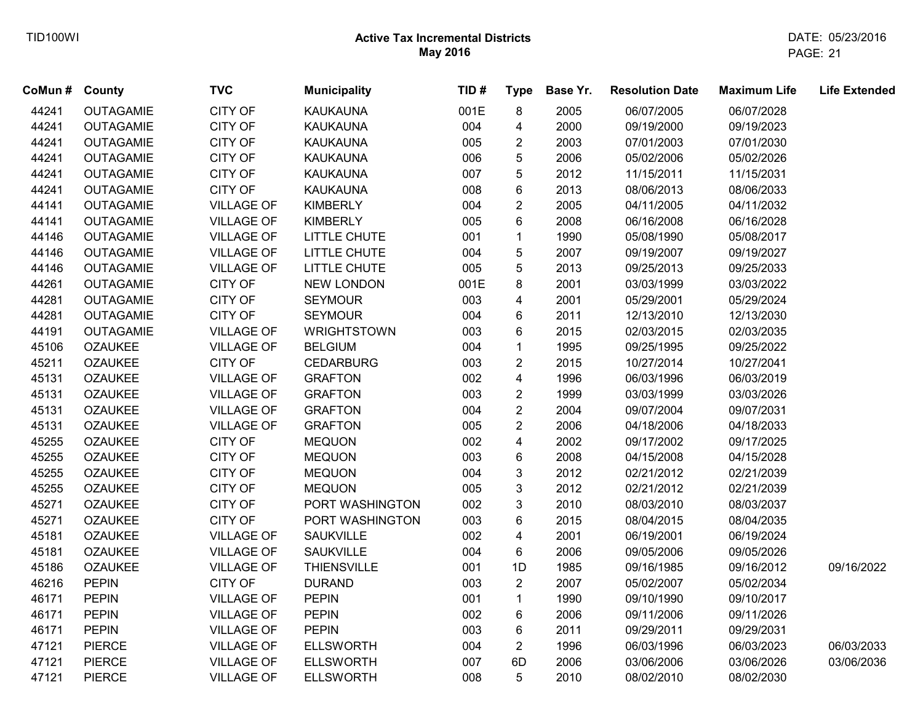| CoMun # | County           | <b>TVC</b>        | <b>Municipality</b> | TID# | <b>Type</b>    | Base Yr. | <b>Resolution Date</b> | <b>Maximum Life</b> | <b>Life Extended</b> |
|---------|------------------|-------------------|---------------------|------|----------------|----------|------------------------|---------------------|----------------------|
| 44241   | <b>OUTAGAMIE</b> | <b>CITY OF</b>    | <b>KAUKAUNA</b>     | 001E | 8              | 2005     | 06/07/2005             | 06/07/2028          |                      |
| 44241   | <b>OUTAGAMIE</b> | CITY OF           | <b>KAUKAUNA</b>     | 004  | 4              | 2000     | 09/19/2000             | 09/19/2023          |                      |
| 44241   | <b>OUTAGAMIE</b> | CITY OF           | <b>KAUKAUNA</b>     | 005  | $\overline{2}$ | 2003     | 07/01/2003             | 07/01/2030          |                      |
| 44241   | <b>OUTAGAMIE</b> | <b>CITY OF</b>    | <b>KAUKAUNA</b>     | 006  | 5              | 2006     | 05/02/2006             | 05/02/2026          |                      |
| 44241   | <b>OUTAGAMIE</b> | <b>CITY OF</b>    | <b>KAUKAUNA</b>     | 007  | 5              | 2012     | 11/15/2011             | 11/15/2031          |                      |
| 44241   | <b>OUTAGAMIE</b> | CITY OF           | <b>KAUKAUNA</b>     | 008  | 6              | 2013     | 08/06/2013             | 08/06/2033          |                      |
| 44141   | <b>OUTAGAMIE</b> | <b>VILLAGE OF</b> | <b>KIMBERLY</b>     | 004  | $\overline{c}$ | 2005     | 04/11/2005             | 04/11/2032          |                      |
| 44141   | <b>OUTAGAMIE</b> | <b>VILLAGE OF</b> | <b>KIMBERLY</b>     | 005  | 6              | 2008     | 06/16/2008             | 06/16/2028          |                      |
| 44146   | <b>OUTAGAMIE</b> | <b>VILLAGE OF</b> | LITTLE CHUTE        | 001  | $\mathbf{1}$   | 1990     | 05/08/1990             | 05/08/2017          |                      |
| 44146   | <b>OUTAGAMIE</b> | <b>VILLAGE OF</b> | LITTLE CHUTE        | 004  | 5              | 2007     | 09/19/2007             | 09/19/2027          |                      |
| 44146   | <b>OUTAGAMIE</b> | <b>VILLAGE OF</b> | LITTLE CHUTE        | 005  | 5              | 2013     | 09/25/2013             | 09/25/2033          |                      |
| 44261   | <b>OUTAGAMIE</b> | <b>CITY OF</b>    | <b>NEW LONDON</b>   | 001E | 8              | 2001     | 03/03/1999             | 03/03/2022          |                      |
| 44281   | <b>OUTAGAMIE</b> | CITY OF           | <b>SEYMOUR</b>      | 003  | 4              | 2001     | 05/29/2001             | 05/29/2024          |                      |
| 44281   | <b>OUTAGAMIE</b> | CITY OF           | <b>SEYMOUR</b>      | 004  | 6              | 2011     | 12/13/2010             | 12/13/2030          |                      |
| 44191   | <b>OUTAGAMIE</b> | <b>VILLAGE OF</b> | <b>WRIGHTSTOWN</b>  | 003  | 6              | 2015     | 02/03/2015             | 02/03/2035          |                      |
| 45106   | <b>OZAUKEE</b>   | <b>VILLAGE OF</b> | <b>BELGIUM</b>      | 004  | $\mathbf{1}$   | 1995     | 09/25/1995             | 09/25/2022          |                      |
| 45211   | <b>OZAUKEE</b>   | <b>CITY OF</b>    | <b>CEDARBURG</b>    | 003  | $\overline{2}$ | 2015     | 10/27/2014             | 10/27/2041          |                      |
| 45131   | <b>OZAUKEE</b>   | <b>VILLAGE OF</b> | <b>GRAFTON</b>      | 002  | 4              | 1996     | 06/03/1996             | 06/03/2019          |                      |
| 45131   | <b>OZAUKEE</b>   | <b>VILLAGE OF</b> | <b>GRAFTON</b>      | 003  | $\overline{2}$ | 1999     | 03/03/1999             | 03/03/2026          |                      |
| 45131   | <b>OZAUKEE</b>   | <b>VILLAGE OF</b> | <b>GRAFTON</b>      | 004  | $\overline{c}$ | 2004     | 09/07/2004             | 09/07/2031          |                      |
| 45131   | <b>OZAUKEE</b>   | <b>VILLAGE OF</b> | <b>GRAFTON</b>      | 005  | $\overline{2}$ | 2006     | 04/18/2006             | 04/18/2033          |                      |
| 45255   | <b>OZAUKEE</b>   | <b>CITY OF</b>    | <b>MEQUON</b>       | 002  | 4              | 2002     | 09/17/2002             | 09/17/2025          |                      |
| 45255   | <b>OZAUKEE</b>   | CITY OF           | <b>MEQUON</b>       | 003  | 6              | 2008     | 04/15/2008             | 04/15/2028          |                      |
| 45255   | <b>OZAUKEE</b>   | CITY OF           | <b>MEQUON</b>       | 004  | 3              | 2012     | 02/21/2012             | 02/21/2039          |                      |
| 45255   | <b>OZAUKEE</b>   | CITY OF           | <b>MEQUON</b>       | 005  | 3              | 2012     | 02/21/2012             | 02/21/2039          |                      |
| 45271   | <b>OZAUKEE</b>   | CITY OF           | PORT WASHINGTON     | 002  | 3              | 2010     | 08/03/2010             | 08/03/2037          |                      |
| 45271   | <b>OZAUKEE</b>   | <b>CITY OF</b>    | PORT WASHINGTON     | 003  | 6              | 2015     | 08/04/2015             | 08/04/2035          |                      |
| 45181   | <b>OZAUKEE</b>   | <b>VILLAGE OF</b> | SAUKVILLE           | 002  | 4              | 2001     | 06/19/2001             | 06/19/2024          |                      |
| 45181   | <b>OZAUKEE</b>   | <b>VILLAGE OF</b> | <b>SAUKVILLE</b>    | 004  | 6              | 2006     | 09/05/2006             | 09/05/2026          |                      |
| 45186   | <b>OZAUKEE</b>   | <b>VILLAGE OF</b> | <b>THIENSVILLE</b>  | 001  | 1D             | 1985     | 09/16/1985             | 09/16/2012          | 09/16/2022           |
| 46216   | <b>PEPIN</b>     | CITY OF           | <b>DURAND</b>       | 003  | $\overline{a}$ | 2007     | 05/02/2007             | 05/02/2034          |                      |
| 46171   | <b>PEPIN</b>     | <b>VILLAGE OF</b> | <b>PEPIN</b>        | 001  | $\mathbf{1}$   | 1990     | 09/10/1990             | 09/10/2017          |                      |
| 46171   | <b>PEPIN</b>     | <b>VILLAGE OF</b> | <b>PEPIN</b>        | 002  | 6              | 2006     | 09/11/2006             | 09/11/2026          |                      |
| 46171   | <b>PEPIN</b>     | <b>VILLAGE OF</b> | <b>PEPIN</b>        | 003  | 6              | 2011     | 09/29/2011             | 09/29/2031          |                      |
| 47121   | <b>PIERCE</b>    | <b>VILLAGE OF</b> | <b>ELLSWORTH</b>    | 004  | $\overline{2}$ | 1996     | 06/03/1996             | 06/03/2023          | 06/03/2033           |
| 47121   | <b>PIERCE</b>    | <b>VILLAGE OF</b> | <b>ELLSWORTH</b>    | 007  | 6D             | 2006     | 03/06/2006             | 03/06/2026          | 03/06/2036           |
| 47121   | <b>PIERCE</b>    | <b>VILLAGE OF</b> | <b>ELLSWORTH</b>    | 008  | 5              | 2010     | 08/02/2010             | 08/02/2030          |                      |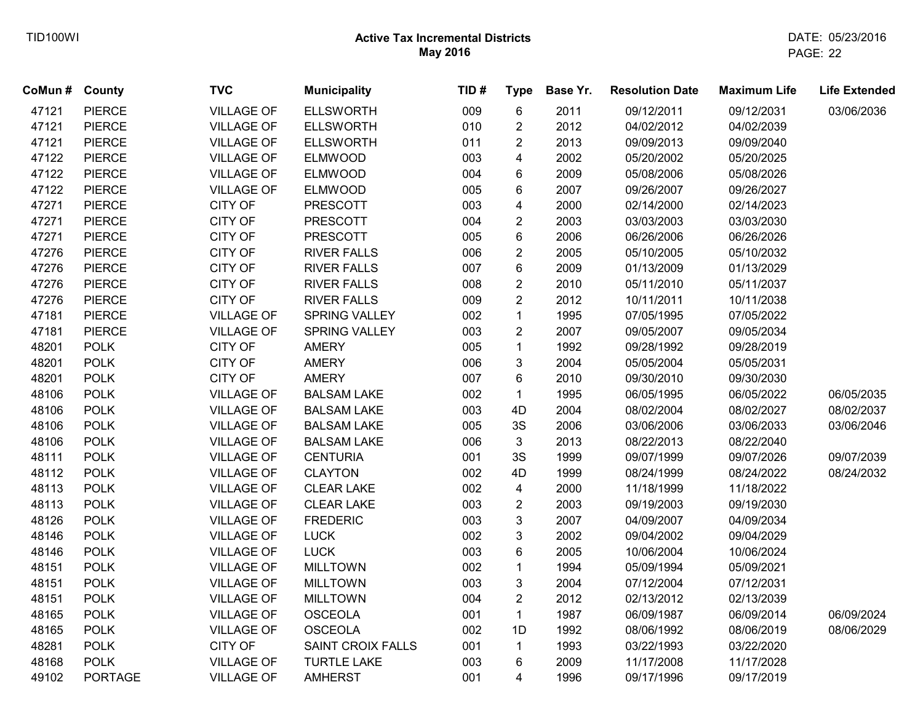| CoMun # County |                | <b>TVC</b>        | <b>Municipality</b>      | TID# | <b>Type</b>    | Base Yr. | <b>Resolution Date</b> | <b>Maximum Life</b> | <b>Life Extended</b> |
|----------------|----------------|-------------------|--------------------------|------|----------------|----------|------------------------|---------------------|----------------------|
| 47121          | <b>PIERCE</b>  | <b>VILLAGE OF</b> | <b>ELLSWORTH</b>         | 009  | 6              | 2011     | 09/12/2011             | 09/12/2031          | 03/06/2036           |
| 47121          | <b>PIERCE</b>  | <b>VILLAGE OF</b> | <b>ELLSWORTH</b>         | 010  | $\overline{2}$ | 2012     | 04/02/2012             | 04/02/2039          |                      |
| 47121          | <b>PIERCE</b>  | <b>VILLAGE OF</b> | <b>ELLSWORTH</b>         | 011  | $\overline{c}$ | 2013     | 09/09/2013             | 09/09/2040          |                      |
| 47122          | <b>PIERCE</b>  | <b>VILLAGE OF</b> | <b>ELMWOOD</b>           | 003  | 4              | 2002     | 05/20/2002             | 05/20/2025          |                      |
| 47122          | <b>PIERCE</b>  | <b>VILLAGE OF</b> | <b>ELMWOOD</b>           | 004  | 6              | 2009     | 05/08/2006             | 05/08/2026          |                      |
| 47122          | <b>PIERCE</b>  | <b>VILLAGE OF</b> | <b>ELMWOOD</b>           | 005  | 6              | 2007     | 09/26/2007             | 09/26/2027          |                      |
| 47271          | <b>PIERCE</b>  | <b>CITY OF</b>    | <b>PRESCOTT</b>          | 003  | 4              | 2000     | 02/14/2000             | 02/14/2023          |                      |
| 47271          | <b>PIERCE</b>  | CITY OF           | <b>PRESCOTT</b>          | 004  | $\overline{2}$ | 2003     | 03/03/2003             | 03/03/2030          |                      |
| 47271          | <b>PIERCE</b>  | CITY OF           | <b>PRESCOTT</b>          | 005  | 6              | 2006     | 06/26/2006             | 06/26/2026          |                      |
| 47276          | <b>PIERCE</b>  | CITY OF           | <b>RIVER FALLS</b>       | 006  | $\overline{2}$ | 2005     | 05/10/2005             | 05/10/2032          |                      |
| 47276          | <b>PIERCE</b>  | CITY OF           | <b>RIVER FALLS</b>       | 007  | 6              | 2009     | 01/13/2009             | 01/13/2029          |                      |
| 47276          | <b>PIERCE</b>  | CITY OF           | <b>RIVER FALLS</b>       | 008  | $\overline{2}$ | 2010     | 05/11/2010             | 05/11/2037          |                      |
| 47276          | <b>PIERCE</b>  | CITY OF           | <b>RIVER FALLS</b>       | 009  | $\overline{2}$ | 2012     | 10/11/2011             | 10/11/2038          |                      |
| 47181          | <b>PIERCE</b>  | <b>VILLAGE OF</b> | SPRING VALLEY            | 002  | $\mathbf{1}$   | 1995     | 07/05/1995             | 07/05/2022          |                      |
| 47181          | <b>PIERCE</b>  | <b>VILLAGE OF</b> | SPRING VALLEY            | 003  | $\overline{2}$ | 2007     | 09/05/2007             | 09/05/2034          |                      |
| 48201          | <b>POLK</b>    | <b>CITY OF</b>    | <b>AMERY</b>             | 005  | $\mathbf{1}$   | 1992     | 09/28/1992             | 09/28/2019          |                      |
| 48201          | <b>POLK</b>    | <b>CITY OF</b>    | <b>AMERY</b>             | 006  | 3              | 2004     | 05/05/2004             | 05/05/2031          |                      |
| 48201          | <b>POLK</b>    | <b>CITY OF</b>    | <b>AMERY</b>             | 007  | 6              | 2010     | 09/30/2010             | 09/30/2030          |                      |
| 48106          | <b>POLK</b>    | <b>VILLAGE OF</b> | <b>BALSAM LAKE</b>       | 002  | $\mathbf{1}$   | 1995     | 06/05/1995             | 06/05/2022          | 06/05/2035           |
| 48106          | <b>POLK</b>    | <b>VILLAGE OF</b> | <b>BALSAM LAKE</b>       | 003  | 4D             | 2004     | 08/02/2004             | 08/02/2027          | 08/02/2037           |
| 48106          | <b>POLK</b>    | <b>VILLAGE OF</b> | <b>BALSAM LAKE</b>       | 005  | $3\mathrm{S}$  | 2006     | 03/06/2006             | 03/06/2033          | 03/06/2046           |
| 48106          | <b>POLK</b>    | <b>VILLAGE OF</b> | <b>BALSAM LAKE</b>       | 006  | 3              | 2013     | 08/22/2013             | 08/22/2040          |                      |
| 48111          | <b>POLK</b>    | <b>VILLAGE OF</b> | <b>CENTURIA</b>          | 001  | 3S             | 1999     | 09/07/1999             | 09/07/2026          | 09/07/2039           |
| 48112          | <b>POLK</b>    | <b>VILLAGE OF</b> | <b>CLAYTON</b>           | 002  | 4D             | 1999     | 08/24/1999             | 08/24/2022          | 08/24/2032           |
| 48113          | <b>POLK</b>    | <b>VILLAGE OF</b> | <b>CLEAR LAKE</b>        | 002  | $\overline{4}$ | 2000     | 11/18/1999             | 11/18/2022          |                      |
| 48113          | <b>POLK</b>    | <b>VILLAGE OF</b> | <b>CLEAR LAKE</b>        | 003  | $\overline{2}$ | 2003     | 09/19/2003             | 09/19/2030          |                      |
| 48126          | <b>POLK</b>    | <b>VILLAGE OF</b> | <b>FREDERIC</b>          | 003  | 3              | 2007     | 04/09/2007             | 04/09/2034          |                      |
| 48146          | <b>POLK</b>    | <b>VILLAGE OF</b> | <b>LUCK</b>              | 002  | 3              | 2002     | 09/04/2002             | 09/04/2029          |                      |
| 48146          | <b>POLK</b>    | <b>VILLAGE OF</b> | <b>LUCK</b>              | 003  | 6              | 2005     | 10/06/2004             | 10/06/2024          |                      |
| 48151          | <b>POLK</b>    | <b>VILLAGE OF</b> | <b>MILLTOWN</b>          | 002  | $\mathbf 1$    | 1994     | 05/09/1994             | 05/09/2021          |                      |
| 48151          | <b>POLK</b>    | <b>VILLAGE OF</b> | <b>MILLTOWN</b>          | 003  | 3              | 2004     | 07/12/2004             | 07/12/2031          |                      |
| 48151          | <b>POLK</b>    | <b>VILLAGE OF</b> | <b>MILLTOWN</b>          | 004  | $\overline{2}$ | 2012     | 02/13/2012             | 02/13/2039          |                      |
| 48165          | <b>POLK</b>    | <b>VILLAGE OF</b> | <b>OSCEOLA</b>           | 001  | $\mathbf{1}$   | 1987     | 06/09/1987             | 06/09/2014          | 06/09/2024           |
| 48165          | <b>POLK</b>    | <b>VILLAGE OF</b> | <b>OSCEOLA</b>           | 002  | 1D             | 1992     | 08/06/1992             | 08/06/2019          | 08/06/2029           |
| 48281          | <b>POLK</b>    | CITY OF           | <b>SAINT CROIX FALLS</b> | 001  | $\mathbf{1}$   | 1993     | 03/22/1993             | 03/22/2020          |                      |
| 48168          | <b>POLK</b>    | <b>VILLAGE OF</b> | <b>TURTLE LAKE</b>       | 003  | 6              | 2009     | 11/17/2008             | 11/17/2028          |                      |
| 49102          | <b>PORTAGE</b> | <b>VILLAGE OF</b> | <b>AMHERST</b>           | 001  | 4              | 1996     | 09/17/1996             | 09/17/2019          |                      |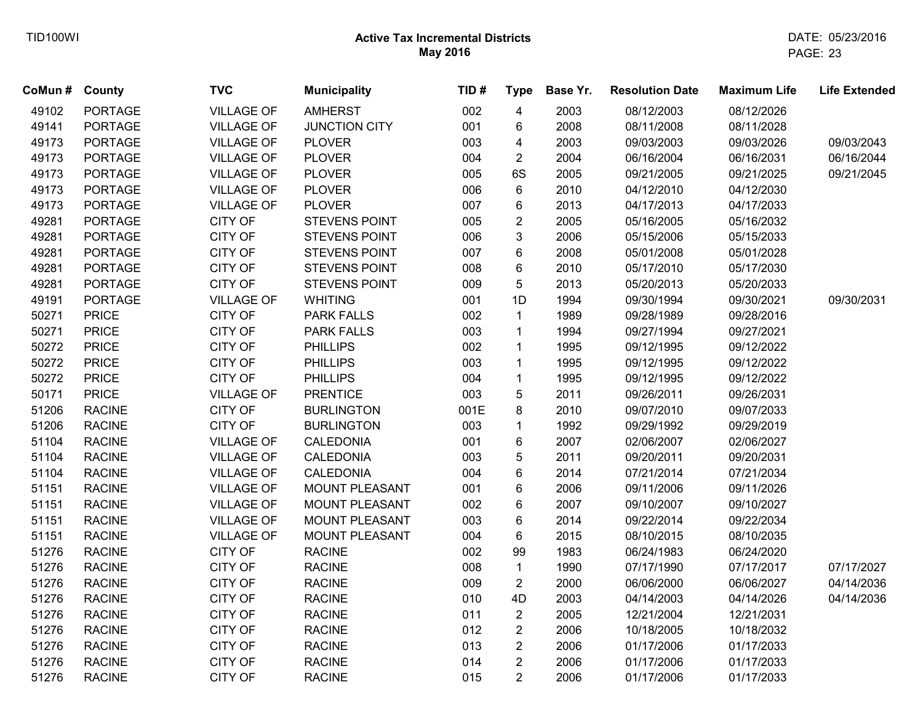| CoMun # County |                | <b>TVC</b>        | <b>Municipality</b>   | TID# | <b>Type</b>             | Base Yr. | <b>Resolution Date</b> | <b>Maximum Life</b> | <b>Life Extended</b> |
|----------------|----------------|-------------------|-----------------------|------|-------------------------|----------|------------------------|---------------------|----------------------|
| 49102          | <b>PORTAGE</b> | <b>VILLAGE OF</b> | <b>AMHERST</b>        | 002  | $\overline{\mathbf{4}}$ | 2003     | 08/12/2003             | 08/12/2026          |                      |
| 49141          | <b>PORTAGE</b> | <b>VILLAGE OF</b> | <b>JUNCTION CITY</b>  | 001  | 6                       | 2008     | 08/11/2008             | 08/11/2028          |                      |
| 49173          | <b>PORTAGE</b> | <b>VILLAGE OF</b> | <b>PLOVER</b>         | 003  | 4                       | 2003     | 09/03/2003             | 09/03/2026          | 09/03/2043           |
| 49173          | <b>PORTAGE</b> | <b>VILLAGE OF</b> | <b>PLOVER</b>         | 004  | $\overline{2}$          | 2004     | 06/16/2004             | 06/16/2031          | 06/16/2044           |
| 49173          | <b>PORTAGE</b> | <b>VILLAGE OF</b> | <b>PLOVER</b>         | 005  | 6S                      | 2005     | 09/21/2005             | 09/21/2025          | 09/21/2045           |
| 49173          | <b>PORTAGE</b> | <b>VILLAGE OF</b> | <b>PLOVER</b>         | 006  | 6                       | 2010     | 04/12/2010             | 04/12/2030          |                      |
| 49173          | <b>PORTAGE</b> | <b>VILLAGE OF</b> | <b>PLOVER</b>         | 007  | 6                       | 2013     | 04/17/2013             | 04/17/2033          |                      |
| 49281          | <b>PORTAGE</b> | CITY OF           | <b>STEVENS POINT</b>  | 005  | $\overline{c}$          | 2005     | 05/16/2005             | 05/16/2032          |                      |
| 49281          | <b>PORTAGE</b> | CITY OF           | STEVENS POINT         | 006  | 3                       | 2006     | 05/15/2006             | 05/15/2033          |                      |
| 49281          | <b>PORTAGE</b> | CITY OF           | STEVENS POINT         | 007  | 6                       | 2008     | 05/01/2008             | 05/01/2028          |                      |
| 49281          | <b>PORTAGE</b> | CITY OF           | STEVENS POINT         | 008  | 6                       | 2010     | 05/17/2010             | 05/17/2030          |                      |
| 49281          | <b>PORTAGE</b> | CITY OF           | STEVENS POINT         | 009  | 5                       | 2013     | 05/20/2013             | 05/20/2033          |                      |
| 49191          | <b>PORTAGE</b> | <b>VILLAGE OF</b> | <b>WHITING</b>        | 001  | 1D                      | 1994     | 09/30/1994             | 09/30/2021          | 09/30/2031           |
| 50271          | <b>PRICE</b>   | <b>CITY OF</b>    | <b>PARK FALLS</b>     | 002  | $\mathbf{1}$            | 1989     | 09/28/1989             | 09/28/2016          |                      |
| 50271          | <b>PRICE</b>   | CITY OF           | <b>PARK FALLS</b>     | 003  | $\mathbf{1}$            | 1994     | 09/27/1994             | 09/27/2021          |                      |
| 50272          | <b>PRICE</b>   | CITY OF           | <b>PHILLIPS</b>       | 002  | $\mathbf{1}$            | 1995     | 09/12/1995             | 09/12/2022          |                      |
| 50272          | <b>PRICE</b>   | CITY OF           | <b>PHILLIPS</b>       | 003  | $\mathbf{1}$            | 1995     | 09/12/1995             | 09/12/2022          |                      |
| 50272          | <b>PRICE</b>   | CITY OF           | <b>PHILLIPS</b>       | 004  | $\mathbf 1$             | 1995     | 09/12/1995             | 09/12/2022          |                      |
| 50171          | <b>PRICE</b>   | <b>VILLAGE OF</b> | <b>PRENTICE</b>       | 003  | 5                       | 2011     | 09/26/2011             | 09/26/2031          |                      |
| 51206          | <b>RACINE</b>  | CITY OF           | <b>BURLINGTON</b>     | 001E | 8                       | 2010     | 09/07/2010             | 09/07/2033          |                      |
| 51206          | <b>RACINE</b>  | CITY OF           | <b>BURLINGTON</b>     | 003  | $\mathbf{1}$            | 1992     | 09/29/1992             | 09/29/2019          |                      |
| 51104          | <b>RACINE</b>  | <b>VILLAGE OF</b> | CALEDONIA             | 001  | 6                       | 2007     | 02/06/2007             | 02/06/2027          |                      |
| 51104          | <b>RACINE</b>  | <b>VILLAGE OF</b> | CALEDONIA             | 003  | 5                       | 2011     | 09/20/2011             | 09/20/2031          |                      |
| 51104          | <b>RACINE</b>  | <b>VILLAGE OF</b> | CALEDONIA             | 004  | 6                       | 2014     | 07/21/2014             | 07/21/2034          |                      |
| 51151          | <b>RACINE</b>  | <b>VILLAGE OF</b> | <b>MOUNT PLEASANT</b> | 001  | 6                       | 2006     | 09/11/2006             | 09/11/2026          |                      |
| 51151          | <b>RACINE</b>  | <b>VILLAGE OF</b> | <b>MOUNT PLEASANT</b> | 002  | 6                       | 2007     | 09/10/2007             | 09/10/2027          |                      |
| 51151          | <b>RACINE</b>  | <b>VILLAGE OF</b> | MOUNT PLEASANT        | 003  | 6                       | 2014     | 09/22/2014             | 09/22/2034          |                      |
| 51151          | <b>RACINE</b>  | <b>VILLAGE OF</b> | MOUNT PLEASANT        | 004  | 6                       | 2015     | 08/10/2015             | 08/10/2035          |                      |
| 51276          | <b>RACINE</b>  | <b>CITY OF</b>    | <b>RACINE</b>         | 002  | 99                      | 1983     | 06/24/1983             | 06/24/2020          |                      |
| 51276          | <b>RACINE</b>  | CITY OF           | <b>RACINE</b>         | 008  | $\mathbf{1}$            | 1990     | 07/17/1990             | 07/17/2017          | 07/17/2027           |
| 51276          | <b>RACINE</b>  | CITY OF           | <b>RACINE</b>         | 009  | $\overline{2}$          | 2000     | 06/06/2000             | 06/06/2027          | 04/14/2036           |
| 51276          | <b>RACINE</b>  | CITY OF           | <b>RACINE</b>         | 010  | 4D                      | 2003     | 04/14/2003             | 04/14/2026          | 04/14/2036           |
| 51276          | <b>RACINE</b>  | <b>CITY OF</b>    | <b>RACINE</b>         | 011  | $\overline{2}$          | 2005     | 12/21/2004             | 12/21/2031          |                      |
| 51276          | <b>RACINE</b>  | CITY OF           | <b>RACINE</b>         | 012  | $\overline{2}$          | 2006     | 10/18/2005             | 10/18/2032          |                      |
| 51276          | <b>RACINE</b>  | CITY OF           | <b>RACINE</b>         | 013  | $\overline{2}$          | 2006     | 01/17/2006             | 01/17/2033          |                      |
| 51276          | <b>RACINE</b>  | CITY OF           | <b>RACINE</b>         | 014  | $\overline{2}$          | 2006     | 01/17/2006             | 01/17/2033          |                      |
| 51276          | <b>RACINE</b>  | <b>CITY OF</b>    | <b>RACINE</b>         | 015  | $\overline{2}$          | 2006     | 01/17/2006             | 01/17/2033          |                      |
|                |                |                   |                       |      |                         |          |                        |                     |                      |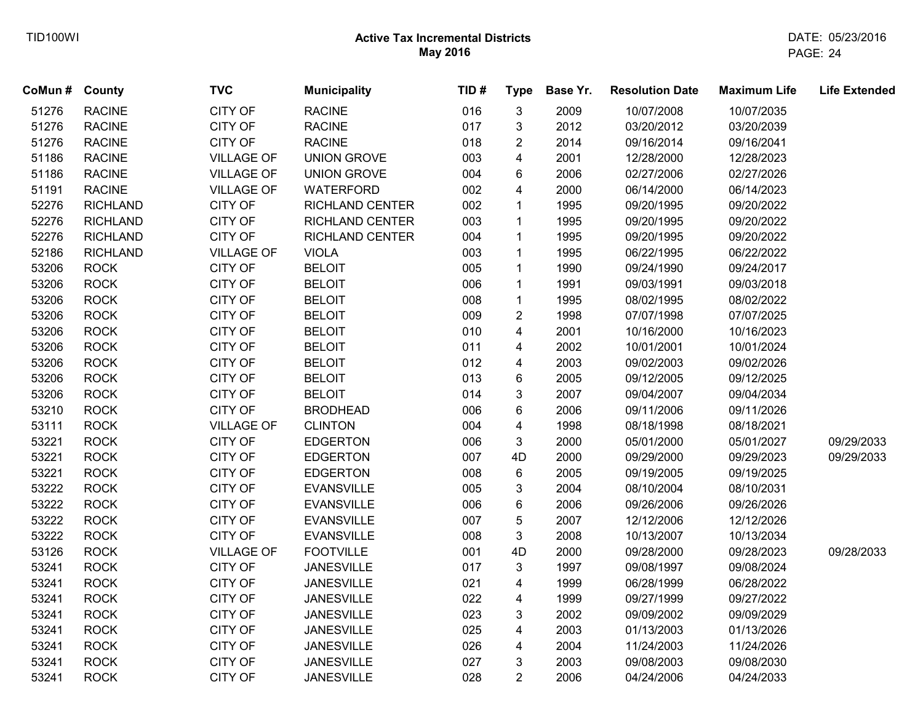| CoMun # | County          | <b>TVC</b>        | <b>Municipality</b>    | TID# | <b>Type</b>             | Base Yr. | <b>Resolution Date</b> | <b>Maximum Life</b> | <b>Life Extended</b> |
|---------|-----------------|-------------------|------------------------|------|-------------------------|----------|------------------------|---------------------|----------------------|
| 51276   | <b>RACINE</b>   | CITY OF           | <b>RACINE</b>          | 016  | 3                       | 2009     | 10/07/2008             | 10/07/2035          |                      |
| 51276   | <b>RACINE</b>   | CITY OF           | <b>RACINE</b>          | 017  | 3                       | 2012     | 03/20/2012             | 03/20/2039          |                      |
| 51276   | <b>RACINE</b>   | CITY OF           | <b>RACINE</b>          | 018  | $\overline{2}$          | 2014     | 09/16/2014             | 09/16/2041          |                      |
| 51186   | <b>RACINE</b>   | <b>VILLAGE OF</b> | <b>UNION GROVE</b>     | 003  | $\overline{\mathbf{4}}$ | 2001     | 12/28/2000             | 12/28/2023          |                      |
| 51186   | <b>RACINE</b>   | <b>VILLAGE OF</b> | <b>UNION GROVE</b>     | 004  | 6                       | 2006     | 02/27/2006             | 02/27/2026          |                      |
| 51191   | <b>RACINE</b>   | <b>VILLAGE OF</b> | <b>WATERFORD</b>       | 002  | 4                       | 2000     | 06/14/2000             | 06/14/2023          |                      |
| 52276   | <b>RICHLAND</b> | CITY OF           | <b>RICHLAND CENTER</b> | 002  | $\mathbf{1}$            | 1995     | 09/20/1995             | 09/20/2022          |                      |
| 52276   | <b>RICHLAND</b> | CITY OF           | <b>RICHLAND CENTER</b> | 003  | $\mathbf{1}$            | 1995     | 09/20/1995             | 09/20/2022          |                      |
| 52276   | <b>RICHLAND</b> | CITY OF           | <b>RICHLAND CENTER</b> | 004  | $\mathbf{1}$            | 1995     | 09/20/1995             | 09/20/2022          |                      |
| 52186   | <b>RICHLAND</b> | <b>VILLAGE OF</b> | <b>VIOLA</b>           | 003  | $\mathbf{1}$            | 1995     | 06/22/1995             | 06/22/2022          |                      |
| 53206   | <b>ROCK</b>     | CITY OF           | <b>BELOIT</b>          | 005  | $\mathbf{1}$            | 1990     | 09/24/1990             | 09/24/2017          |                      |
| 53206   | <b>ROCK</b>     | <b>CITY OF</b>    | <b>BELOIT</b>          | 006  | $\mathbf{1}$            | 1991     | 09/03/1991             | 09/03/2018          |                      |
| 53206   | <b>ROCK</b>     | CITY OF           | <b>BELOIT</b>          | 008  | $\mathbf{1}$            | 1995     | 08/02/1995             | 08/02/2022          |                      |
| 53206   | <b>ROCK</b>     | CITY OF           | <b>BELOIT</b>          | 009  | $\overline{2}$          | 1998     | 07/07/1998             | 07/07/2025          |                      |
| 53206   | <b>ROCK</b>     | CITY OF           | <b>BELOIT</b>          | 010  | $\overline{\mathbf{4}}$ | 2001     | 10/16/2000             | 10/16/2023          |                      |
| 53206   | <b>ROCK</b>     | CITY OF           | <b>BELOIT</b>          | 011  | $\overline{\mathbf{4}}$ | 2002     | 10/01/2001             | 10/01/2024          |                      |
| 53206   | <b>ROCK</b>     | CITY OF           | <b>BELOIT</b>          | 012  | $\overline{\mathbf{4}}$ | 2003     | 09/02/2003             | 09/02/2026          |                      |
| 53206   | <b>ROCK</b>     | CITY OF           | <b>BELOIT</b>          | 013  | 6                       | 2005     | 09/12/2005             | 09/12/2025          |                      |
| 53206   | <b>ROCK</b>     | CITY OF           | <b>BELOIT</b>          | 014  | 3                       | 2007     | 09/04/2007             | 09/04/2034          |                      |
| 53210   | <b>ROCK</b>     | <b>CITY OF</b>    | <b>BRODHEAD</b>        | 006  | 6                       | 2006     | 09/11/2006             | 09/11/2026          |                      |
| 53111   | <b>ROCK</b>     | <b>VILLAGE OF</b> | <b>CLINTON</b>         | 004  | $\overline{\mathbf{4}}$ | 1998     | 08/18/1998             | 08/18/2021          |                      |
| 53221   | <b>ROCK</b>     | CITY OF           | <b>EDGERTON</b>        | 006  | 3                       | 2000     | 05/01/2000             | 05/01/2027          | 09/29/2033           |
| 53221   | <b>ROCK</b>     | CITY OF           | <b>EDGERTON</b>        | 007  | 4D                      | 2000     | 09/29/2000             | 09/29/2023          | 09/29/2033           |
| 53221   | <b>ROCK</b>     | CITY OF           | <b>EDGERTON</b>        | 008  | 6                       | 2005     | 09/19/2005             | 09/19/2025          |                      |
| 53222   | <b>ROCK</b>     | CITY OF           | <b>EVANSVILLE</b>      | 005  | 3                       | 2004     | 08/10/2004             | 08/10/2031          |                      |
| 53222   | <b>ROCK</b>     | CITY OF           | <b>EVANSVILLE</b>      | 006  | 6                       | 2006     | 09/26/2006             | 09/26/2026          |                      |
| 53222   | <b>ROCK</b>     | CITY OF           | <b>EVANSVILLE</b>      | 007  | 5                       | 2007     | 12/12/2006             | 12/12/2026          |                      |
| 53222   | <b>ROCK</b>     | CITY OF           | <b>EVANSVILLE</b>      | 008  | 3                       | 2008     | 10/13/2007             | 10/13/2034          |                      |
| 53126   | <b>ROCK</b>     | <b>VILLAGE OF</b> | <b>FOOTVILLE</b>       | 001  | 4D                      | 2000     | 09/28/2000             | 09/28/2023          | 09/28/2033           |
| 53241   | <b>ROCK</b>     | CITY OF           | <b>JANESVILLE</b>      | 017  | $\mathfrak{S}$          | 1997     | 09/08/1997             | 09/08/2024          |                      |
| 53241   | <b>ROCK</b>     | CITY OF           | <b>JANESVILLE</b>      | 021  | $\overline{\mathbf{4}}$ | 1999     | 06/28/1999             | 06/28/2022          |                      |
| 53241   | <b>ROCK</b>     | CITY OF           | <b>JANESVILLE</b>      | 022  | $\overline{\mathbf{4}}$ | 1999     | 09/27/1999             | 09/27/2022          |                      |
| 53241   | <b>ROCK</b>     | CITY OF           | <b>JANESVILLE</b>      | 023  | 3                       | 2002     | 09/09/2002             | 09/09/2029          |                      |
| 53241   | <b>ROCK</b>     | CITY OF           | <b>JANESVILLE</b>      | 025  | 4                       | 2003     | 01/13/2003             | 01/13/2026          |                      |
| 53241   | <b>ROCK</b>     | CITY OF           | <b>JANESVILLE</b>      | 026  | 4                       | 2004     | 11/24/2003             | 11/24/2026          |                      |
| 53241   | <b>ROCK</b>     | CITY OF           | <b>JANESVILLE</b>      | 027  | 3                       | 2003     | 09/08/2003             | 09/08/2030          |                      |
| 53241   | <b>ROCK</b>     | CITY OF           | <b>JANESVILLE</b>      | 028  | $\overline{2}$          | 2006     | 04/24/2006             | 04/24/2033          |                      |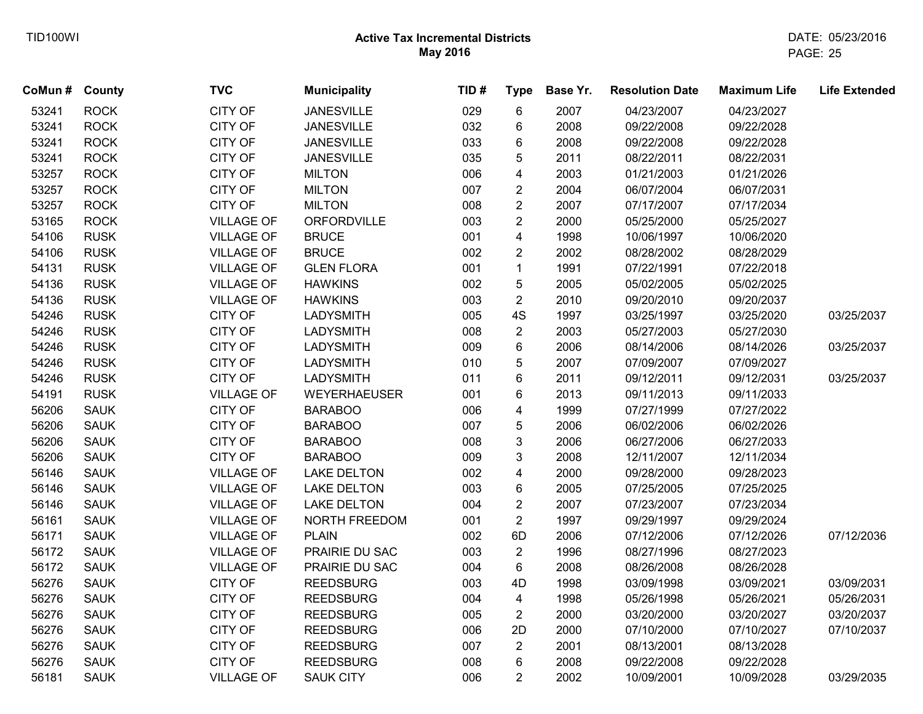| CoMun# | <b>County</b> | <b>TVC</b>        | <b>Municipality</b> | TID# | <b>Type</b>             | Base Yr. | <b>Resolution Date</b> | <b>Maximum Life</b> | <b>Life Extended</b> |
|--------|---------------|-------------------|---------------------|------|-------------------------|----------|------------------------|---------------------|----------------------|
| 53241  | <b>ROCK</b>   | <b>CITY OF</b>    | <b>JANESVILLE</b>   | 029  | 6                       | 2007     | 04/23/2007             | 04/23/2027          |                      |
| 53241  | <b>ROCK</b>   | <b>CITY OF</b>    | <b>JANESVILLE</b>   | 032  | 6                       | 2008     | 09/22/2008             | 09/22/2028          |                      |
| 53241  | <b>ROCK</b>   | <b>CITY OF</b>    | <b>JANESVILLE</b>   | 033  | 6                       | 2008     | 09/22/2008             | 09/22/2028          |                      |
| 53241  | <b>ROCK</b>   | <b>CITY OF</b>    | <b>JANESVILLE</b>   | 035  | 5                       | 2011     | 08/22/2011             | 08/22/2031          |                      |
| 53257  | <b>ROCK</b>   | <b>CITY OF</b>    | <b>MILTON</b>       | 006  | 4                       | 2003     | 01/21/2003             | 01/21/2026          |                      |
| 53257  | <b>ROCK</b>   | <b>CITY OF</b>    | <b>MILTON</b>       | 007  | $\overline{2}$          | 2004     | 06/07/2004             | 06/07/2031          |                      |
| 53257  | <b>ROCK</b>   | <b>CITY OF</b>    | <b>MILTON</b>       | 008  | $\overline{2}$          | 2007     | 07/17/2007             | 07/17/2034          |                      |
| 53165  | <b>ROCK</b>   | <b>VILLAGE OF</b> | ORFORDVILLE         | 003  | $\overline{2}$          | 2000     | 05/25/2000             | 05/25/2027          |                      |
| 54106  | <b>RUSK</b>   | <b>VILLAGE OF</b> | <b>BRUCE</b>        | 001  | $\overline{\mathbf{4}}$ | 1998     | 10/06/1997             | 10/06/2020          |                      |
| 54106  | <b>RUSK</b>   | <b>VILLAGE OF</b> | <b>BRUCE</b>        | 002  | $\overline{2}$          | 2002     | 08/28/2002             | 08/28/2029          |                      |
| 54131  | <b>RUSK</b>   | <b>VILLAGE OF</b> | <b>GLEN FLORA</b>   | 001  | $\mathbf{1}$            | 1991     | 07/22/1991             | 07/22/2018          |                      |
| 54136  | <b>RUSK</b>   | <b>VILLAGE OF</b> | <b>HAWKINS</b>      | 002  | 5                       | 2005     | 05/02/2005             | 05/02/2025          |                      |
| 54136  | <b>RUSK</b>   | <b>VILLAGE OF</b> | <b>HAWKINS</b>      | 003  | $\overline{2}$          | 2010     | 09/20/2010             | 09/20/2037          |                      |
| 54246  | <b>RUSK</b>   | <b>CITY OF</b>    | <b>LADYSMITH</b>    | 005  | 4S                      | 1997     | 03/25/1997             | 03/25/2020          | 03/25/2037           |
| 54246  | <b>RUSK</b>   | <b>CITY OF</b>    | <b>LADYSMITH</b>    | 008  | $\overline{2}$          | 2003     | 05/27/2003             | 05/27/2030          |                      |
| 54246  | <b>RUSK</b>   | <b>CITY OF</b>    | <b>LADYSMITH</b>    | 009  | 6                       | 2006     | 08/14/2006             | 08/14/2026          | 03/25/2037           |
| 54246  | <b>RUSK</b>   | <b>CITY OF</b>    | <b>LADYSMITH</b>    | 010  | 5                       | 2007     | 07/09/2007             | 07/09/2027          |                      |
| 54246  | <b>RUSK</b>   | <b>CITY OF</b>    | <b>LADYSMITH</b>    | 011  | 6                       | 2011     | 09/12/2011             | 09/12/2031          | 03/25/2037           |
| 54191  | <b>RUSK</b>   | <b>VILLAGE OF</b> | <b>WEYERHAEUSER</b> | 001  | 6                       | 2013     | 09/11/2013             | 09/11/2033          |                      |
| 56206  | <b>SAUK</b>   | <b>CITY OF</b>    | <b>BARABOO</b>      | 006  | 4                       | 1999     | 07/27/1999             | 07/27/2022          |                      |
| 56206  | <b>SAUK</b>   | <b>CITY OF</b>    | <b>BARABOO</b>      | 007  | 5                       | 2006     | 06/02/2006             | 06/02/2026          |                      |
| 56206  | <b>SAUK</b>   | <b>CITY OF</b>    | <b>BARABOO</b>      | 008  | 3                       | 2006     | 06/27/2006             | 06/27/2033          |                      |
| 56206  | <b>SAUK</b>   | <b>CITY OF</b>    | <b>BARABOO</b>      | 009  | 3                       | 2008     | 12/11/2007             | 12/11/2034          |                      |
| 56146  | <b>SAUK</b>   | <b>VILLAGE OF</b> | <b>LAKE DELTON</b>  | 002  | 4                       | 2000     | 09/28/2000             | 09/28/2023          |                      |
| 56146  | <b>SAUK</b>   | <b>VILLAGE OF</b> | <b>LAKE DELTON</b>  | 003  | 6                       | 2005     | 07/25/2005             | 07/25/2025          |                      |
| 56146  | <b>SAUK</b>   | <b>VILLAGE OF</b> | <b>LAKE DELTON</b>  | 004  | $\overline{2}$          | 2007     | 07/23/2007             | 07/23/2034          |                      |
| 56161  | <b>SAUK</b>   | <b>VILLAGE OF</b> | NORTH FREEDOM       | 001  | $\overline{2}$          | 1997     | 09/29/1997             | 09/29/2024          |                      |
| 56171  | <b>SAUK</b>   | <b>VILLAGE OF</b> | <b>PLAIN</b>        | 002  | 6D                      | 2006     | 07/12/2006             | 07/12/2026          | 07/12/2036           |
| 56172  | <b>SAUK</b>   | <b>VILLAGE OF</b> | PRAIRIE DU SAC      | 003  | $\overline{2}$          | 1996     | 08/27/1996             | 08/27/2023          |                      |
| 56172  | <b>SAUK</b>   | <b>VILLAGE OF</b> | PRAIRIE DU SAC      | 004  | 6                       | 2008     | 08/26/2008             | 08/26/2028          |                      |
| 56276  | <b>SAUK</b>   | <b>CITY OF</b>    | <b>REEDSBURG</b>    | 003  | 4D                      | 1998     | 03/09/1998             | 03/09/2021          | 03/09/2031           |
| 56276  | <b>SAUK</b>   | <b>CITY OF</b>    | <b>REEDSBURG</b>    | 004  | $\overline{\mathbf{4}}$ | 1998     | 05/26/1998             | 05/26/2021          | 05/26/2031           |
| 56276  | <b>SAUK</b>   | <b>CITY OF</b>    | <b>REEDSBURG</b>    | 005  | $\overline{2}$          | 2000     | 03/20/2000             | 03/20/2027          | 03/20/2037           |
| 56276  | <b>SAUK</b>   | <b>CITY OF</b>    | <b>REEDSBURG</b>    | 006  | 2D                      | 2000     | 07/10/2000             | 07/10/2027          | 07/10/2037           |
| 56276  | <b>SAUK</b>   | <b>CITY OF</b>    | <b>REEDSBURG</b>    | 007  | $\overline{2}$          | 2001     | 08/13/2001             | 08/13/2028          |                      |
| 56276  | <b>SAUK</b>   | <b>CITY OF</b>    | <b>REEDSBURG</b>    | 008  | 6                       | 2008     | 09/22/2008             | 09/22/2028          |                      |
| 56181  | <b>SAUK</b>   | <b>VILLAGE OF</b> | <b>SAUK CITY</b>    | 006  | $\overline{2}$          | 2002     | 10/09/2001             | 10/09/2028          | 03/29/2035           |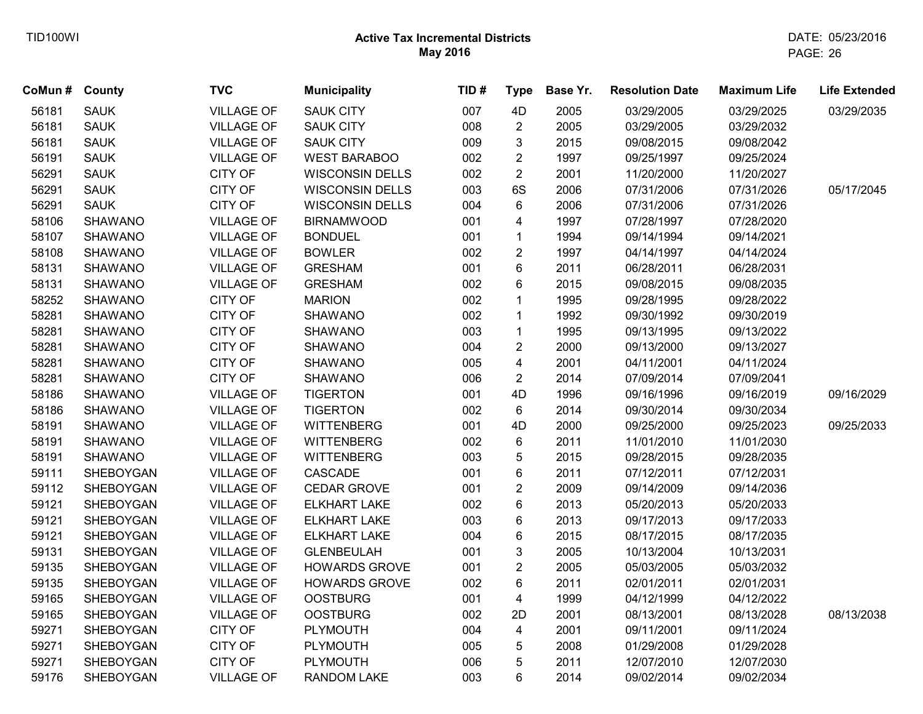| CoMun # County |                | <b>TVC</b>        | <b>Municipality</b>    | TID# | <b>Type</b>             | Base Yr. | <b>Resolution Date</b> | <b>Maximum Life</b> | <b>Life Extended</b> |
|----------------|----------------|-------------------|------------------------|------|-------------------------|----------|------------------------|---------------------|----------------------|
| 56181          | <b>SAUK</b>    | <b>VILLAGE OF</b> | <b>SAUK CITY</b>       | 007  | 4D                      | 2005     | 03/29/2005             | 03/29/2025          | 03/29/2035           |
| 56181          | <b>SAUK</b>    | <b>VILLAGE OF</b> | <b>SAUK CITY</b>       | 008  | $\overline{2}$          | 2005     | 03/29/2005             | 03/29/2032          |                      |
| 56181          | <b>SAUK</b>    | <b>VILLAGE OF</b> | <b>SAUK CITY</b>       | 009  | 3                       | 2015     | 09/08/2015             | 09/08/2042          |                      |
| 56191          | <b>SAUK</b>    | <b>VILLAGE OF</b> | <b>WEST BARABOO</b>    | 002  | $\overline{c}$          | 1997     | 09/25/1997             | 09/25/2024          |                      |
| 56291          | <b>SAUK</b>    | <b>CITY OF</b>    | <b>WISCONSIN DELLS</b> | 002  | $\overline{2}$          | 2001     | 11/20/2000             | 11/20/2027          |                      |
| 56291          | <b>SAUK</b>    | CITY OF           | <b>WISCONSIN DELLS</b> | 003  | 6S                      | 2006     | 07/31/2006             | 07/31/2026          | 05/17/2045           |
| 56291          | <b>SAUK</b>    | <b>CITY OF</b>    | <b>WISCONSIN DELLS</b> | 004  | 6                       | 2006     | 07/31/2006             | 07/31/2026          |                      |
| 58106          | SHAWANO        | <b>VILLAGE OF</b> | <b>BIRNAMWOOD</b>      | 001  | 4                       | 1997     | 07/28/1997             | 07/28/2020          |                      |
| 58107          | SHAWANO        | <b>VILLAGE OF</b> | <b>BONDUEL</b>         | 001  | $\mathbf{1}$            | 1994     | 09/14/1994             | 09/14/2021          |                      |
| 58108          | SHAWANO        | <b>VILLAGE OF</b> | <b>BOWLER</b>          | 002  | $\overline{2}$          | 1997     | 04/14/1997             | 04/14/2024          |                      |
| 58131          | SHAWANO        | <b>VILLAGE OF</b> | <b>GRESHAM</b>         | 001  | $\,6\,$                 | 2011     | 06/28/2011             | 06/28/2031          |                      |
| 58131          | SHAWANO        | <b>VILLAGE OF</b> | <b>GRESHAM</b>         | 002  | 6                       | 2015     | 09/08/2015             | 09/08/2035          |                      |
| 58252          | SHAWANO        | <b>CITY OF</b>    | <b>MARION</b>          | 002  | 1                       | 1995     | 09/28/1995             | 09/28/2022          |                      |
| 58281          | <b>SHAWANO</b> | <b>CITY OF</b>    | <b>SHAWANO</b>         | 002  | $\mathbf{1}$            | 1992     | 09/30/1992             | 09/30/2019          |                      |
| 58281          | <b>SHAWANO</b> | CITY OF           | <b>SHAWANO</b>         | 003  | $\mathbf{1}$            | 1995     | 09/13/1995             | 09/13/2022          |                      |
| 58281          | SHAWANO        | <b>CITY OF</b>    | <b>SHAWANO</b>         | 004  | $\overline{\mathbf{c}}$ | 2000     | 09/13/2000             | 09/13/2027          |                      |
| 58281          | <b>SHAWANO</b> | CITY OF           | <b>SHAWANO</b>         | 005  | $\overline{\mathbf{4}}$ | 2001     | 04/11/2001             | 04/11/2024          |                      |
| 58281          | <b>SHAWANO</b> | <b>CITY OF</b>    | <b>SHAWANO</b>         | 006  | $\overline{2}$          | 2014     | 07/09/2014             | 07/09/2041          |                      |
| 58186          | <b>SHAWANO</b> | <b>VILLAGE OF</b> | <b>TIGERTON</b>        | 001  | 4D                      | 1996     | 09/16/1996             | 09/16/2019          | 09/16/2029           |
| 58186          | <b>SHAWANO</b> | <b>VILLAGE OF</b> | <b>TIGERTON</b>        | 002  | 6                       | 2014     | 09/30/2014             | 09/30/2034          |                      |
| 58191          | <b>SHAWANO</b> | <b>VILLAGE OF</b> | <b>WITTENBERG</b>      | 001  | 4D                      | 2000     | 09/25/2000             | 09/25/2023          | 09/25/2033           |
| 58191          | <b>SHAWANO</b> | <b>VILLAGE OF</b> | <b>WITTENBERG</b>      | 002  | 6                       | 2011     | 11/01/2010             | 11/01/2030          |                      |
| 58191          | <b>SHAWANO</b> | <b>VILLAGE OF</b> | <b>WITTENBERG</b>      | 003  | 5                       | 2015     | 09/28/2015             | 09/28/2035          |                      |
| 59111          | SHEBOYGAN      | <b>VILLAGE OF</b> | CASCADE                | 001  | $\,6$                   | 2011     | 07/12/2011             | 07/12/2031          |                      |
| 59112          | SHEBOYGAN      | <b>VILLAGE OF</b> | <b>CEDAR GROVE</b>     | 001  | $\overline{c}$          | 2009     | 09/14/2009             | 09/14/2036          |                      |
| 59121          | SHEBOYGAN      | <b>VILLAGE OF</b> | <b>ELKHART LAKE</b>    | 002  | $\,6\,$                 | 2013     | 05/20/2013             | 05/20/2033          |                      |
| 59121          | SHEBOYGAN      | <b>VILLAGE OF</b> | <b>ELKHART LAKE</b>    | 003  | 6                       | 2013     | 09/17/2013             | 09/17/2033          |                      |
| 59121          | SHEBOYGAN      | <b>VILLAGE OF</b> | <b>ELKHART LAKE</b>    | 004  | 6                       | 2015     | 08/17/2015             | 08/17/2035          |                      |
| 59131          | SHEBOYGAN      | <b>VILLAGE OF</b> | <b>GLENBEULAH</b>      | 001  | 3                       | 2005     | 10/13/2004             | 10/13/2031          |                      |
| 59135          | SHEBOYGAN      | <b>VILLAGE OF</b> | <b>HOWARDS GROVE</b>   | 001  | $\overline{c}$          | 2005     | 05/03/2005             | 05/03/2032          |                      |
| 59135          | SHEBOYGAN      | <b>VILLAGE OF</b> | <b>HOWARDS GROVE</b>   | 002  | 6                       | 2011     | 02/01/2011             | 02/01/2031          |                      |
| 59165          | SHEBOYGAN      | <b>VILLAGE OF</b> | <b>OOSTBURG</b>        | 001  | $\overline{4}$          | 1999     | 04/12/1999             | 04/12/2022          |                      |
| 59165          | SHEBOYGAN      | <b>VILLAGE OF</b> | <b>OOSTBURG</b>        | 002  | 2D                      | 2001     | 08/13/2001             | 08/13/2028          | 08/13/2038           |
| 59271          | SHEBOYGAN      | <b>CITY OF</b>    | PLYMOUTH               | 004  | $\overline{4}$          | 2001     | 09/11/2001             | 09/11/2024          |                      |
| 59271          | SHEBOYGAN      | <b>CITY OF</b>    | PLYMOUTH               | 005  | 5                       | 2008     | 01/29/2008             | 01/29/2028          |                      |
| 59271          | SHEBOYGAN      | <b>CITY OF</b>    | PLYMOUTH               | 006  | 5                       | 2011     | 12/07/2010             | 12/07/2030          |                      |
| 59176          | SHEBOYGAN      | <b>VILLAGE OF</b> | <b>RANDOM LAKE</b>     | 003  | 6                       | 2014     | 09/02/2014             | 09/02/2034          |                      |
|                |                |                   |                        |      |                         |          |                        |                     |                      |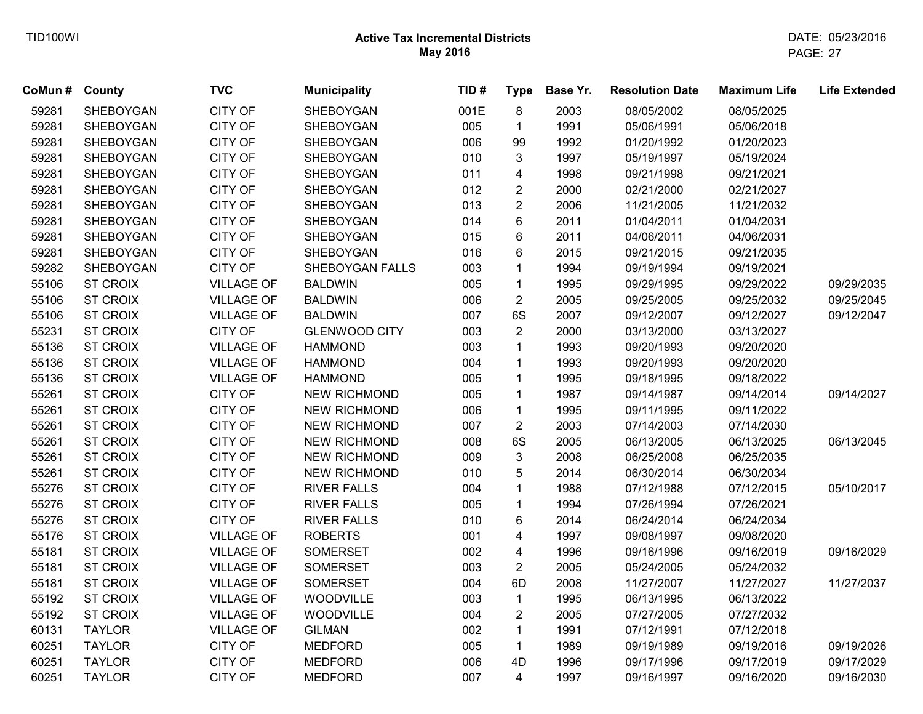| CoMun # County |                 | <b>TVC</b>        | <b>Municipality</b>  | TID# | <b>Type</b>             | Base Yr. | <b>Resolution Date</b> | <b>Maximum Life</b> | <b>Life Extended</b> |
|----------------|-----------------|-------------------|----------------------|------|-------------------------|----------|------------------------|---------------------|----------------------|
| 59281          | SHEBOYGAN       | <b>CITY OF</b>    | SHEBOYGAN            | 001E | 8                       | 2003     | 08/05/2002             | 08/05/2025          |                      |
| 59281          | SHEBOYGAN       | <b>CITY OF</b>    | SHEBOYGAN            | 005  | $\mathbf{1}$            | 1991     | 05/06/1991             | 05/06/2018          |                      |
| 59281          | SHEBOYGAN       | <b>CITY OF</b>    | SHEBOYGAN            | 006  | 99                      | 1992     | 01/20/1992             | 01/20/2023          |                      |
| 59281          | SHEBOYGAN       | <b>CITY OF</b>    | SHEBOYGAN            | 010  | 3                       | 1997     | 05/19/1997             | 05/19/2024          |                      |
| 59281          | SHEBOYGAN       | <b>CITY OF</b>    | SHEBOYGAN            | 011  | 4                       | 1998     | 09/21/1998             | 09/21/2021          |                      |
| 59281          | SHEBOYGAN       | <b>CITY OF</b>    | SHEBOYGAN            | 012  | $\overline{\mathbf{c}}$ | 2000     | 02/21/2000             | 02/21/2027          |                      |
| 59281          | SHEBOYGAN       | <b>CITY OF</b>    | SHEBOYGAN            | 013  | $\overline{c}$          | 2006     | 11/21/2005             | 11/21/2032          |                      |
| 59281          | SHEBOYGAN       | CITY OF           | SHEBOYGAN            | 014  | 6                       | 2011     | 01/04/2011             | 01/04/2031          |                      |
| 59281          | SHEBOYGAN       | CITY OF           | SHEBOYGAN            | 015  | 6                       | 2011     | 04/06/2011             | 04/06/2031          |                      |
| 59281          | SHEBOYGAN       | CITY OF           | SHEBOYGAN            | 016  | 6                       | 2015     | 09/21/2015             | 09/21/2035          |                      |
| 59282          | SHEBOYGAN       | <b>CITY OF</b>    | SHEBOYGAN FALLS      | 003  | $\mathbf{1}$            | 1994     | 09/19/1994             | 09/19/2021          |                      |
| 55106          | <b>ST CROIX</b> | <b>VILLAGE OF</b> | <b>BALDWIN</b>       | 005  | $\mathbf{1}$            | 1995     | 09/29/1995             | 09/29/2022          | 09/29/2035           |
| 55106          | <b>ST CROIX</b> | <b>VILLAGE OF</b> | <b>BALDWIN</b>       | 006  | $\overline{2}$          | 2005     | 09/25/2005             | 09/25/2032          | 09/25/2045           |
| 55106          | <b>ST CROIX</b> | <b>VILLAGE OF</b> | <b>BALDWIN</b>       | 007  | 6S                      | 2007     | 09/12/2007             | 09/12/2027          | 09/12/2047           |
| 55231          | <b>ST CROIX</b> | <b>CITY OF</b>    | <b>GLENWOOD CITY</b> | 003  | $\overline{2}$          | 2000     | 03/13/2000             | 03/13/2027          |                      |
| 55136          | <b>ST CROIX</b> | <b>VILLAGE OF</b> | <b>HAMMOND</b>       | 003  | $\mathbf{1}$            | 1993     | 09/20/1993             | 09/20/2020          |                      |
| 55136          | <b>ST CROIX</b> | <b>VILLAGE OF</b> | <b>HAMMOND</b>       | 004  | $\mathbf{1}$            | 1993     | 09/20/1993             | 09/20/2020          |                      |
| 55136          | <b>ST CROIX</b> | <b>VILLAGE OF</b> | <b>HAMMOND</b>       | 005  | $\mathbf{1}$            | 1995     | 09/18/1995             | 09/18/2022          |                      |
| 55261          | <b>ST CROIX</b> | <b>CITY OF</b>    | <b>NEW RICHMOND</b>  | 005  | $\mathbf 1$             | 1987     | 09/14/1987             | 09/14/2014          | 09/14/2027           |
| 55261          | <b>ST CROIX</b> | CITY OF           | <b>NEW RICHMOND</b>  | 006  | $\mathbf{1}$            | 1995     | 09/11/1995             | 09/11/2022          |                      |
| 55261          | <b>ST CROIX</b> | CITY OF           | <b>NEW RICHMOND</b>  | 007  | $\overline{c}$          | 2003     | 07/14/2003             | 07/14/2030          |                      |
| 55261          | <b>ST CROIX</b> | CITY OF           | <b>NEW RICHMOND</b>  | 008  | 6S                      | 2005     | 06/13/2005             | 06/13/2025          | 06/13/2045           |
| 55261          | <b>ST CROIX</b> | <b>CITY OF</b>    | <b>NEW RICHMOND</b>  | 009  | 3                       | 2008     | 06/25/2008             | 06/25/2035          |                      |
| 55261          | <b>ST CROIX</b> | <b>CITY OF</b>    | <b>NEW RICHMOND</b>  | 010  | 5                       | 2014     | 06/30/2014             | 06/30/2034          |                      |
| 55276          | <b>ST CROIX</b> | CITY OF           | <b>RIVER FALLS</b>   | 004  | $\mathbf{1}$            | 1988     | 07/12/1988             | 07/12/2015          | 05/10/2017           |
| 55276          | <b>ST CROIX</b> | <b>CITY OF</b>    | <b>RIVER FALLS</b>   | 005  | $\mathbf{1}$            | 1994     | 07/26/1994             | 07/26/2021          |                      |
| 55276          | <b>ST CROIX</b> | <b>CITY OF</b>    | <b>RIVER FALLS</b>   | 010  | 6                       | 2014     | 06/24/2014             | 06/24/2034          |                      |
| 55176          | <b>ST CROIX</b> | <b>VILLAGE OF</b> | <b>ROBERTS</b>       | 001  | 4                       | 1997     | 09/08/1997             | 09/08/2020          |                      |
| 55181          | <b>ST CROIX</b> | <b>VILLAGE OF</b> | <b>SOMERSET</b>      | 002  | $\overline{\mathbf{4}}$ | 1996     | 09/16/1996             | 09/16/2019          | 09/16/2029           |
| 55181          | <b>ST CROIX</b> | <b>VILLAGE OF</b> | <b>SOMERSET</b>      | 003  | $\overline{2}$          | 2005     | 05/24/2005             | 05/24/2032          |                      |
| 55181          | <b>ST CROIX</b> | <b>VILLAGE OF</b> | <b>SOMERSET</b>      | 004  | 6D                      | 2008     | 11/27/2007             | 11/27/2027          | 11/27/2037           |
| 55192          | <b>ST CROIX</b> | <b>VILLAGE OF</b> | WOODVILLE            | 003  | $\mathbf{1}$            | 1995     | 06/13/1995             | 06/13/2022          |                      |
| 55192          | <b>ST CROIX</b> | <b>VILLAGE OF</b> | WOODVILLE            | 004  | $\overline{2}$          | 2005     | 07/27/2005             | 07/27/2032          |                      |
| 60131          | <b>TAYLOR</b>   | <b>VILLAGE OF</b> | <b>GILMAN</b>        | 002  | $\mathbf{1}$            | 1991     | 07/12/1991             | 07/12/2018          |                      |
| 60251          | <b>TAYLOR</b>   | <b>CITY OF</b>    | <b>MEDFORD</b>       | 005  | $\mathbf{1}$            | 1989     | 09/19/1989             | 09/19/2016          | 09/19/2026           |
| 60251          | <b>TAYLOR</b>   | <b>CITY OF</b>    | <b>MEDFORD</b>       | 006  | 4D                      | 1996     | 09/17/1996             | 09/17/2019          | 09/17/2029           |
| 60251          | <b>TAYLOR</b>   | <b>CITY OF</b>    | <b>MEDFORD</b>       | 007  | 4                       | 1997     | 09/16/1997             | 09/16/2020          | 09/16/2030           |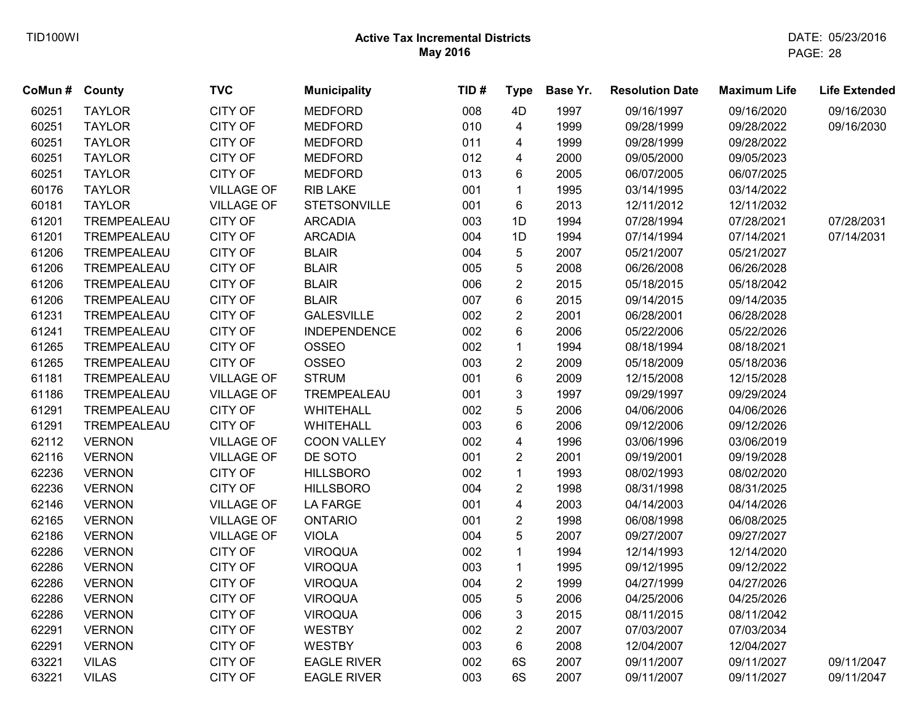| CoMun # County |               | <b>TVC</b>        | <b>Municipality</b> | TID# | <b>Type</b>             | Base Yr. | <b>Resolution Date</b> | <b>Maximum Life</b> | <b>Life Extended</b> |
|----------------|---------------|-------------------|---------------------|------|-------------------------|----------|------------------------|---------------------|----------------------|
| 60251          | <b>TAYLOR</b> | CITY OF           | <b>MEDFORD</b>      | 008  | 4D                      | 1997     | 09/16/1997             | 09/16/2020          | 09/16/2030           |
| 60251          | <b>TAYLOR</b> | CITY OF           | <b>MEDFORD</b>      | 010  | 4                       | 1999     | 09/28/1999             | 09/28/2022          | 09/16/2030           |
| 60251          | <b>TAYLOR</b> | CITY OF           | <b>MEDFORD</b>      | 011  | $\overline{4}$          | 1999     | 09/28/1999             | 09/28/2022          |                      |
| 60251          | <b>TAYLOR</b> | CITY OF           | <b>MEDFORD</b>      | 012  | $\overline{\mathbf{4}}$ | 2000     | 09/05/2000             | 09/05/2023          |                      |
| 60251          | <b>TAYLOR</b> | CITY OF           | <b>MEDFORD</b>      | 013  | 6                       | 2005     | 06/07/2005             | 06/07/2025          |                      |
| 60176          | <b>TAYLOR</b> | <b>VILLAGE OF</b> | RIB LAKE            | 001  | $\mathbf{1}$            | 1995     | 03/14/1995             | 03/14/2022          |                      |
| 60181          | <b>TAYLOR</b> | <b>VILLAGE OF</b> | <b>STETSONVILLE</b> | 001  | 6                       | 2013     | 12/11/2012             | 12/11/2032          |                      |
| 61201          | TREMPEALEAU   | CITY OF           | <b>ARCADIA</b>      | 003  | 1D                      | 1994     | 07/28/1994             | 07/28/2021          | 07/28/2031           |
| 61201          | TREMPEALEAU   | CITY OF           | <b>ARCADIA</b>      | 004  | 1D                      | 1994     | 07/14/1994             | 07/14/2021          | 07/14/2031           |
| 61206          | TREMPEALEAU   | CITY OF           | <b>BLAIR</b>        | 004  | $\overline{5}$          | 2007     | 05/21/2007             | 05/21/2027          |                      |
| 61206          | TREMPEALEAU   | CITY OF           | <b>BLAIR</b>        | 005  | $\mathbf 5$             | 2008     | 06/26/2008             | 06/26/2028          |                      |
| 61206          | TREMPEALEAU   | CITY OF           | <b>BLAIR</b>        | 006  | $\mathbf{2}$            | 2015     | 05/18/2015             | 05/18/2042          |                      |
| 61206          | TREMPEALEAU   | CITY OF           | <b>BLAIR</b>        | 007  | $\,6\,$                 | 2015     | 09/14/2015             | 09/14/2035          |                      |
| 61231          | TREMPEALEAU   | CITY OF           | <b>GALESVILLE</b>   | 002  | $\overline{2}$          | 2001     | 06/28/2001             | 06/28/2028          |                      |
| 61241          | TREMPEALEAU   | CITY OF           | <b>INDEPENDENCE</b> | 002  | 6                       | 2006     | 05/22/2006             | 05/22/2026          |                      |
| 61265          | TREMPEALEAU   | CITY OF           | <b>OSSEO</b>        | 002  | $\mathbf 1$             | 1994     | 08/18/1994             | 08/18/2021          |                      |
| 61265          | TREMPEALEAU   | CITY OF           | <b>OSSEO</b>        | 003  | $\overline{2}$          | 2009     | 05/18/2009             | 05/18/2036          |                      |
| 61181          | TREMPEALEAU   | <b>VILLAGE OF</b> | <b>STRUM</b>        | 001  | 6                       | 2009     | 12/15/2008             | 12/15/2028          |                      |
| 61186          | TREMPEALEAU   | <b>VILLAGE OF</b> | TREMPEALEAU         | 001  | $\mathbf{3}$            | 1997     | 09/29/1997             | 09/29/2024          |                      |
| 61291          | TREMPEALEAU   | CITY OF           | <b>WHITEHALL</b>    | 002  | 5                       | 2006     | 04/06/2006             | 04/06/2026          |                      |
| 61291          | TREMPEALEAU   | CITY OF           | <b>WHITEHALL</b>    | 003  | 6                       | 2006     | 09/12/2006             | 09/12/2026          |                      |
| 62112          | <b>VERNON</b> | <b>VILLAGE OF</b> | COON VALLEY         | 002  | $\overline{\mathbf{4}}$ | 1996     | 03/06/1996             | 03/06/2019          |                      |
| 62116          | <b>VERNON</b> | <b>VILLAGE OF</b> | DE SOTO             | 001  | $\overline{2}$          | 2001     | 09/19/2001             | 09/19/2028          |                      |
| 62236          | <b>VERNON</b> | CITY OF           | <b>HILLSBORO</b>    | 002  | $\mathbf{1}$            | 1993     | 08/02/1993             | 08/02/2020          |                      |
| 62236          | <b>VERNON</b> | CITY OF           | <b>HILLSBORO</b>    | 004  | $\overline{2}$          | 1998     | 08/31/1998             | 08/31/2025          |                      |
| 62146          | <b>VERNON</b> | <b>VILLAGE OF</b> | <b>LA FARGE</b>     | 001  | $\overline{\mathbf{4}}$ | 2003     | 04/14/2003             | 04/14/2026          |                      |
| 62165          | <b>VERNON</b> | <b>VILLAGE OF</b> | <b>ONTARIO</b>      | 001  | $\overline{2}$          | 1998     | 06/08/1998             | 06/08/2025          |                      |
| 62186          | <b>VERNON</b> | <b>VILLAGE OF</b> | <b>VIOLA</b>        | 004  | $\overline{5}$          | 2007     | 09/27/2007             | 09/27/2027          |                      |
| 62286          | <b>VERNON</b> | CITY OF           | <b>VIROQUA</b>      | 002  | $\mathbf{1}$            | 1994     | 12/14/1993             | 12/14/2020          |                      |
| 62286          | <b>VERNON</b> | CITY OF           | <b>VIROQUA</b>      | 003  | $\mathbf{1}$            | 1995     | 09/12/1995             | 09/12/2022          |                      |
| 62286          | <b>VERNON</b> | CITY OF           | <b>VIROQUA</b>      | 004  | $\overline{c}$          | 1999     | 04/27/1999             | 04/27/2026          |                      |
| 62286          | <b>VERNON</b> | CITY OF           | <b>VIROQUA</b>      | 005  | 5                       | 2006     | 04/25/2006             | 04/25/2026          |                      |
| 62286          | <b>VERNON</b> | CITY OF           | <b>VIROQUA</b>      | 006  | 3                       | 2015     | 08/11/2015             | 08/11/2042          |                      |
| 62291          | <b>VERNON</b> | CITY OF           | <b>WESTBY</b>       | 002  | $\overline{2}$          | 2007     | 07/03/2007             | 07/03/2034          |                      |
| 62291          | <b>VERNON</b> | CITY OF           | <b>WESTBY</b>       | 003  | 6                       | 2008     | 12/04/2007             | 12/04/2027          |                      |
| 63221          | <b>VILAS</b>  | CITY OF           | <b>EAGLE RIVER</b>  | 002  | 6S                      | 2007     | 09/11/2007             | 09/11/2027          | 09/11/2047           |
| 63221          | <b>VILAS</b>  | CITY OF           | <b>EAGLE RIVER</b>  | 003  | 6S                      | 2007     | 09/11/2007             | 09/11/2027          | 09/11/2047           |
|                |               |                   |                     |      |                         |          |                        |                     |                      |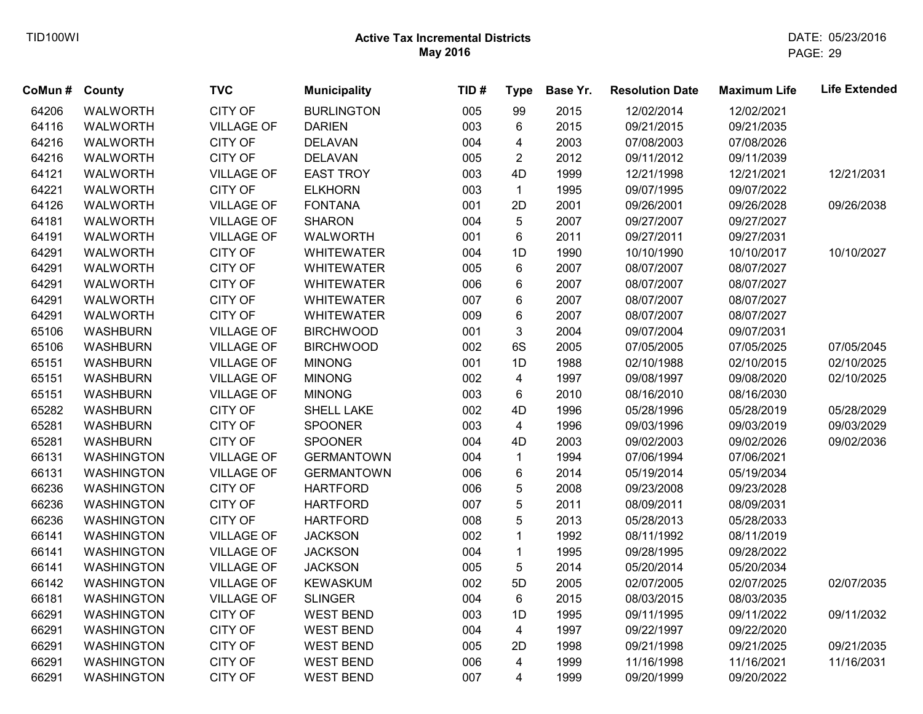| CoMun# | County            | <b>TVC</b>        | <b>Municipality</b> | TID# | <b>Type</b>             | Base Yr. | <b>Resolution Date</b> | <b>Maximum Life</b> | <b>Life Extended</b> |
|--------|-------------------|-------------------|---------------------|------|-------------------------|----------|------------------------|---------------------|----------------------|
| 64206  | <b>WALWORTH</b>   | <b>CITY OF</b>    | <b>BURLINGTON</b>   | 005  | 99                      | 2015     | 12/02/2014             | 12/02/2021          |                      |
| 64116  | WALWORTH          | <b>VILLAGE OF</b> | <b>DARIEN</b>       | 003  | 6                       | 2015     | 09/21/2015             | 09/21/2035          |                      |
| 64216  | <b>WALWORTH</b>   | <b>CITY OF</b>    | <b>DELAVAN</b>      | 004  | 4                       | 2003     | 07/08/2003             | 07/08/2026          |                      |
| 64216  | <b>WALWORTH</b>   | <b>CITY OF</b>    | <b>DELAVAN</b>      | 005  | $\overline{2}$          | 2012     | 09/11/2012             | 09/11/2039          |                      |
| 64121  | <b>WALWORTH</b>   | <b>VILLAGE OF</b> | <b>EAST TROY</b>    | 003  | 4D                      | 1999     | 12/21/1998             | 12/21/2021          | 12/21/2031           |
| 64221  | <b>WALWORTH</b>   | <b>CITY OF</b>    | <b>ELKHORN</b>      | 003  | $\mathbf{1}$            | 1995     | 09/07/1995             | 09/07/2022          |                      |
| 64126  | <b>WALWORTH</b>   | <b>VILLAGE OF</b> | <b>FONTANA</b>      | 001  | 2D                      | 2001     | 09/26/2001             | 09/26/2028          | 09/26/2038           |
| 64181  | <b>WALWORTH</b>   | <b>VILLAGE OF</b> | <b>SHARON</b>       | 004  | 5                       | 2007     | 09/27/2007             | 09/27/2027          |                      |
| 64191  | WALWORTH          | <b>VILLAGE OF</b> | <b>WALWORTH</b>     | 001  | 6                       | 2011     | 09/27/2011             | 09/27/2031          |                      |
| 64291  | <b>WALWORTH</b>   | <b>CITY OF</b>    | <b>WHITEWATER</b>   | 004  | 1D                      | 1990     | 10/10/1990             | 10/10/2017          | 10/10/2027           |
| 64291  | <b>WALWORTH</b>   | <b>CITY OF</b>    | <b>WHITEWATER</b>   | 005  | 6                       | 2007     | 08/07/2007             | 08/07/2027          |                      |
| 64291  | <b>WALWORTH</b>   | <b>CITY OF</b>    | <b>WHITEWATER</b>   | 006  | 6                       | 2007     | 08/07/2007             | 08/07/2027          |                      |
| 64291  | WALWORTH          | <b>CITY OF</b>    | <b>WHITEWATER</b>   | 007  | 6                       | 2007     | 08/07/2007             | 08/07/2027          |                      |
| 64291  | <b>WALWORTH</b>   | <b>CITY OF</b>    | <b>WHITEWATER</b>   | 009  | 6                       | 2007     | 08/07/2007             | 08/07/2027          |                      |
| 65106  | <b>WASHBURN</b>   | <b>VILLAGE OF</b> | <b>BIRCHWOOD</b>    | 001  | 3                       | 2004     | 09/07/2004             | 09/07/2031          |                      |
| 65106  | <b>WASHBURN</b>   | <b>VILLAGE OF</b> | <b>BIRCHWOOD</b>    | 002  | 6S                      | 2005     | 07/05/2005             | 07/05/2025          | 07/05/2045           |
| 65151  | <b>WASHBURN</b>   | <b>VILLAGE OF</b> | <b>MINONG</b>       | 001  | 1D                      | 1988     | 02/10/1988             | 02/10/2015          | 02/10/2025           |
| 65151  | <b>WASHBURN</b>   | <b>VILLAGE OF</b> | <b>MINONG</b>       | 002  | $\overline{\mathbf{4}}$ | 1997     | 09/08/1997             | 09/08/2020          | 02/10/2025           |
| 65151  | <b>WASHBURN</b>   | <b>VILLAGE OF</b> | <b>MINONG</b>       | 003  | 6                       | 2010     | 08/16/2010             | 08/16/2030          |                      |
| 65282  | <b>WASHBURN</b>   | <b>CITY OF</b>    | SHELL LAKE          | 002  | 4D                      | 1996     | 05/28/1996             | 05/28/2019          | 05/28/2029           |
| 65281  | <b>WASHBURN</b>   | <b>CITY OF</b>    | <b>SPOONER</b>      | 003  | $\overline{4}$          | 1996     | 09/03/1996             | 09/03/2019          | 09/03/2029           |
| 65281  | <b>WASHBURN</b>   | <b>CITY OF</b>    | <b>SPOONER</b>      | 004  | 4D                      | 2003     | 09/02/2003             | 09/02/2026          | 09/02/2036           |
| 66131  | <b>WASHINGTON</b> | <b>VILLAGE OF</b> | <b>GERMANTOWN</b>   | 004  | $\mathbf{1}$            | 1994     | 07/06/1994             | 07/06/2021          |                      |
| 66131  | <b>WASHINGTON</b> | <b>VILLAGE OF</b> | <b>GERMANTOWN</b>   | 006  | 6                       | 2014     | 05/19/2014             | 05/19/2034          |                      |
| 66236  | <b>WASHINGTON</b> | <b>CITY OF</b>    | <b>HARTFORD</b>     | 006  | 5                       | 2008     | 09/23/2008             | 09/23/2028          |                      |
| 66236  | <b>WASHINGTON</b> | <b>CITY OF</b>    | <b>HARTFORD</b>     | 007  | 5                       | 2011     | 08/09/2011             | 08/09/2031          |                      |
| 66236  | <b>WASHINGTON</b> | <b>CITY OF</b>    | <b>HARTFORD</b>     | 008  | 5                       | 2013     | 05/28/2013             | 05/28/2033          |                      |
| 66141  | <b>WASHINGTON</b> | <b>VILLAGE OF</b> | <b>JACKSON</b>      | 002  | $\mathbf{1}$            | 1992     | 08/11/1992             | 08/11/2019          |                      |
| 66141  | <b>WASHINGTON</b> | <b>VILLAGE OF</b> | <b>JACKSON</b>      | 004  | $\mathbf{1}$            | 1995     | 09/28/1995             | 09/28/2022          |                      |
| 66141  | <b>WASHINGTON</b> | <b>VILLAGE OF</b> | <b>JACKSON</b>      | 005  | 5                       | 2014     | 05/20/2014             | 05/20/2034          |                      |
| 66142  | <b>WASHINGTON</b> | <b>VILLAGE OF</b> | <b>KEWASKUM</b>     | 002  | 5D                      | 2005     | 02/07/2005             | 02/07/2025          | 02/07/2035           |
| 66181  | <b>WASHINGTON</b> | <b>VILLAGE OF</b> | <b>SLINGER</b>      | 004  | 6                       | 2015     | 08/03/2015             | 08/03/2035          |                      |
| 66291  | <b>WASHINGTON</b> | <b>CITY OF</b>    | <b>WEST BEND</b>    | 003  | 1D                      | 1995     | 09/11/1995             | 09/11/2022          | 09/11/2032           |
| 66291  | <b>WASHINGTON</b> | <b>CITY OF</b>    | <b>WEST BEND</b>    | 004  | $\overline{4}$          | 1997     | 09/22/1997             | 09/22/2020          |                      |
| 66291  | <b>WASHINGTON</b> | CITY OF           | <b>WEST BEND</b>    | 005  | 2D                      | 1998     | 09/21/1998             | 09/21/2025          | 09/21/2035           |
| 66291  | <b>WASHINGTON</b> | <b>CITY OF</b>    | <b>WEST BEND</b>    | 006  | $\overline{4}$          | 1999     | 11/16/1998             | 11/16/2021          | 11/16/2031           |
| 66291  | <b>WASHINGTON</b> | <b>CITY OF</b>    | <b>WEST BEND</b>    | 007  | 4                       | 1999     | 09/20/1999             | 09/20/2022          |                      |
|        |                   |                   |                     |      |                         |          |                        |                     |                      |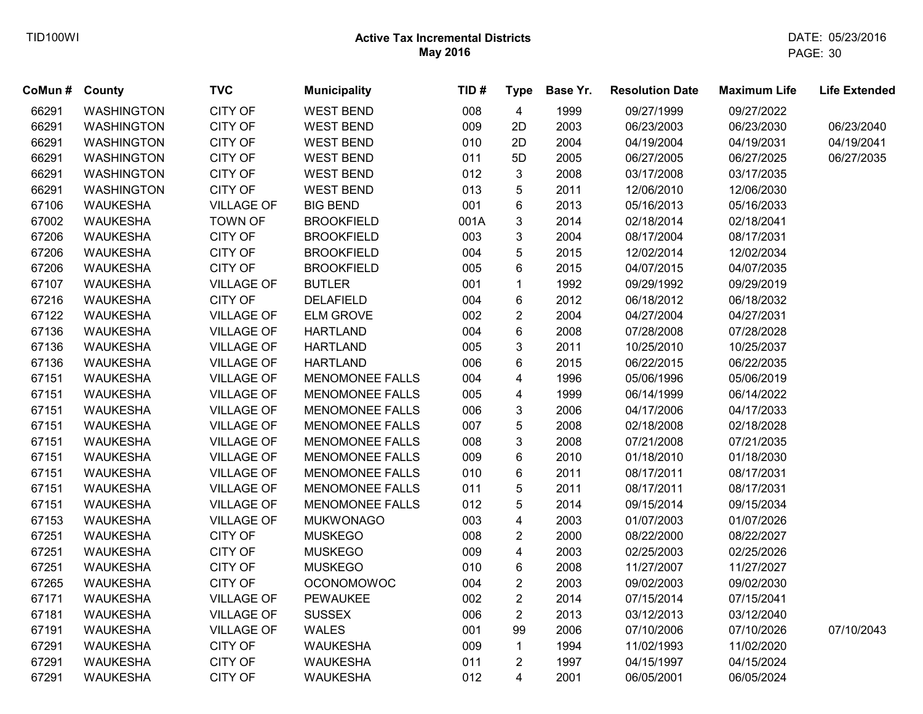| CoMun # County |                   | <b>TVC</b>        | <b>Municipality</b>    | TID# | <b>Type</b>             | Base Yr. | <b>Resolution Date</b> | <b>Maximum Life</b> | <b>Life Extended</b> |
|----------------|-------------------|-------------------|------------------------|------|-------------------------|----------|------------------------|---------------------|----------------------|
| 66291          | <b>WASHINGTON</b> | <b>CITY OF</b>    | <b>WEST BEND</b>       | 008  | $\overline{4}$          | 1999     | 09/27/1999             | 09/27/2022          |                      |
| 66291          | <b>WASHINGTON</b> | CITY OF           | <b>WEST BEND</b>       | 009  | 2D                      | 2003     | 06/23/2003             | 06/23/2030          | 06/23/2040           |
| 66291          | <b>WASHINGTON</b> | CITY OF           | <b>WEST BEND</b>       | 010  | 2D                      | 2004     | 04/19/2004             | 04/19/2031          | 04/19/2041           |
| 66291          | <b>WASHINGTON</b> | CITY OF           | <b>WEST BEND</b>       | 011  | 5D                      | 2005     | 06/27/2005             | 06/27/2025          | 06/27/2035           |
| 66291          | <b>WASHINGTON</b> | CITY OF           | <b>WEST BEND</b>       | 012  | 3                       | 2008     | 03/17/2008             | 03/17/2035          |                      |
| 66291          | <b>WASHINGTON</b> | <b>CITY OF</b>    | <b>WEST BEND</b>       | 013  | 5                       | 2011     | 12/06/2010             | 12/06/2030          |                      |
| 67106          | <b>WAUKESHA</b>   | <b>VILLAGE OF</b> | <b>BIG BEND</b>        | 001  | 6                       | 2013     | 05/16/2013             | 05/16/2033          |                      |
| 67002          | <b>WAUKESHA</b>   | <b>TOWN OF</b>    | <b>BROOKFIELD</b>      | 001A | $\mathfrak{S}$          | 2014     | 02/18/2014             | 02/18/2041          |                      |
| 67206          | <b>WAUKESHA</b>   | CITY OF           | <b>BROOKFIELD</b>      | 003  | $\mathfrak{S}$          | 2004     | 08/17/2004             | 08/17/2031          |                      |
| 67206          | <b>WAUKESHA</b>   | CITY OF           | <b>BROOKFIELD</b>      | 004  | 5                       | 2015     | 12/02/2014             | 12/02/2034          |                      |
| 67206          | <b>WAUKESHA</b>   | CITY OF           | <b>BROOKFIELD</b>      | 005  | 6                       | 2015     | 04/07/2015             | 04/07/2035          |                      |
| 67107          | <b>WAUKESHA</b>   | <b>VILLAGE OF</b> | <b>BUTLER</b>          | 001  | $\mathbf{1}$            | 1992     | 09/29/1992             | 09/29/2019          |                      |
| 67216          | <b>WAUKESHA</b>   | <b>CITY OF</b>    | <b>DELAFIELD</b>       | 004  | 6                       | 2012     | 06/18/2012             | 06/18/2032          |                      |
| 67122          | <b>WAUKESHA</b>   | <b>VILLAGE OF</b> | <b>ELM GROVE</b>       | 002  | $\overline{c}$          | 2004     | 04/27/2004             | 04/27/2031          |                      |
| 67136          | <b>WAUKESHA</b>   | <b>VILLAGE OF</b> | <b>HARTLAND</b>        | 004  | 6                       | 2008     | 07/28/2008             | 07/28/2028          |                      |
| 67136          | <b>WAUKESHA</b>   | <b>VILLAGE OF</b> | <b>HARTLAND</b>        | 005  | 3                       | 2011     | 10/25/2010             | 10/25/2037          |                      |
| 67136          | <b>WAUKESHA</b>   | <b>VILLAGE OF</b> | <b>HARTLAND</b>        | 006  | 6                       | 2015     | 06/22/2015             | 06/22/2035          |                      |
| 67151          | <b>WAUKESHA</b>   | <b>VILLAGE OF</b> | <b>MENOMONEE FALLS</b> | 004  | $\overline{\mathbf{4}}$ | 1996     | 05/06/1996             | 05/06/2019          |                      |
| 67151          | <b>WAUKESHA</b>   | <b>VILLAGE OF</b> | <b>MENOMONEE FALLS</b> | 005  | 4                       | 1999     | 06/14/1999             | 06/14/2022          |                      |
| 67151          | <b>WAUKESHA</b>   | <b>VILLAGE OF</b> | <b>MENOMONEE FALLS</b> | 006  | 3                       | 2006     | 04/17/2006             | 04/17/2033          |                      |
| 67151          | <b>WAUKESHA</b>   | <b>VILLAGE OF</b> | <b>MENOMONEE FALLS</b> | 007  | 5                       | 2008     | 02/18/2008             | 02/18/2028          |                      |
| 67151          | <b>WAUKESHA</b>   | <b>VILLAGE OF</b> | <b>MENOMONEE FALLS</b> | 008  | 3                       | 2008     | 07/21/2008             | 07/21/2035          |                      |
| 67151          | <b>WAUKESHA</b>   | <b>VILLAGE OF</b> | <b>MENOMONEE FALLS</b> | 009  | $\,6$                   | 2010     | 01/18/2010             | 01/18/2030          |                      |
| 67151          | <b>WAUKESHA</b>   | <b>VILLAGE OF</b> | <b>MENOMONEE FALLS</b> | 010  | 6                       | 2011     | 08/17/2011             | 08/17/2031          |                      |
| 67151          | <b>WAUKESHA</b>   | <b>VILLAGE OF</b> | <b>MENOMONEE FALLS</b> | 011  | 5                       | 2011     | 08/17/2011             | 08/17/2031          |                      |
| 67151          | <b>WAUKESHA</b>   | <b>VILLAGE OF</b> | <b>MENOMONEE FALLS</b> | 012  | 5                       | 2014     | 09/15/2014             | 09/15/2034          |                      |
| 67153          | <b>WAUKESHA</b>   | <b>VILLAGE OF</b> | <b>MUKWONAGO</b>       | 003  | $\overline{\mathbf{4}}$ | 2003     | 01/07/2003             | 01/07/2026          |                      |
| 67251          | <b>WAUKESHA</b>   | <b>CITY OF</b>    | <b>MUSKEGO</b>         | 008  | $\overline{c}$          | 2000     | 08/22/2000             | 08/22/2027          |                      |
| 67251          | <b>WAUKESHA</b>   | CITY OF           | <b>MUSKEGO</b>         | 009  | $\overline{\mathbf{4}}$ | 2003     | 02/25/2003             | 02/25/2026          |                      |
| 67251          | <b>WAUKESHA</b>   | CITY OF           | <b>MUSKEGO</b>         | 010  | 6                       | 2008     | 11/27/2007             | 11/27/2027          |                      |
| 67265          | <b>WAUKESHA</b>   | CITY OF           | <b>OCONOMOWOC</b>      | 004  | $\overline{2}$          | 2003     | 09/02/2003             | 09/02/2030          |                      |
| 67171          | <b>WAUKESHA</b>   | <b>VILLAGE OF</b> | <b>PEWAUKEE</b>        | 002  | $\overline{2}$          | 2014     | 07/15/2014             | 07/15/2041          |                      |
| 67181          | <b>WAUKESHA</b>   | <b>VILLAGE OF</b> | <b>SUSSEX</b>          | 006  | $\overline{2}$          | 2013     | 03/12/2013             | 03/12/2040          |                      |
| 67191          | <b>WAUKESHA</b>   | <b>VILLAGE OF</b> | <b>WALES</b>           | 001  | 99                      | 2006     | 07/10/2006             | 07/10/2026          | 07/10/2043           |
| 67291          | <b>WAUKESHA</b>   | <b>CITY OF</b>    | <b>WAUKESHA</b>        | 009  | $\mathbf{1}$            | 1994     | 11/02/1993             | 11/02/2020          |                      |
| 67291          | <b>WAUKESHA</b>   | CITY OF           | <b>WAUKESHA</b>        | 011  | $\overline{2}$          | 1997     | 04/15/1997             | 04/15/2024          |                      |
| 67291          | <b>WAUKESHA</b>   | <b>CITY OF</b>    | <b>WAUKESHA</b>        | 012  | $\overline{4}$          | 2001     | 06/05/2001             | 06/05/2024          |                      |
|                |                   |                   |                        |      |                         |          |                        |                     |                      |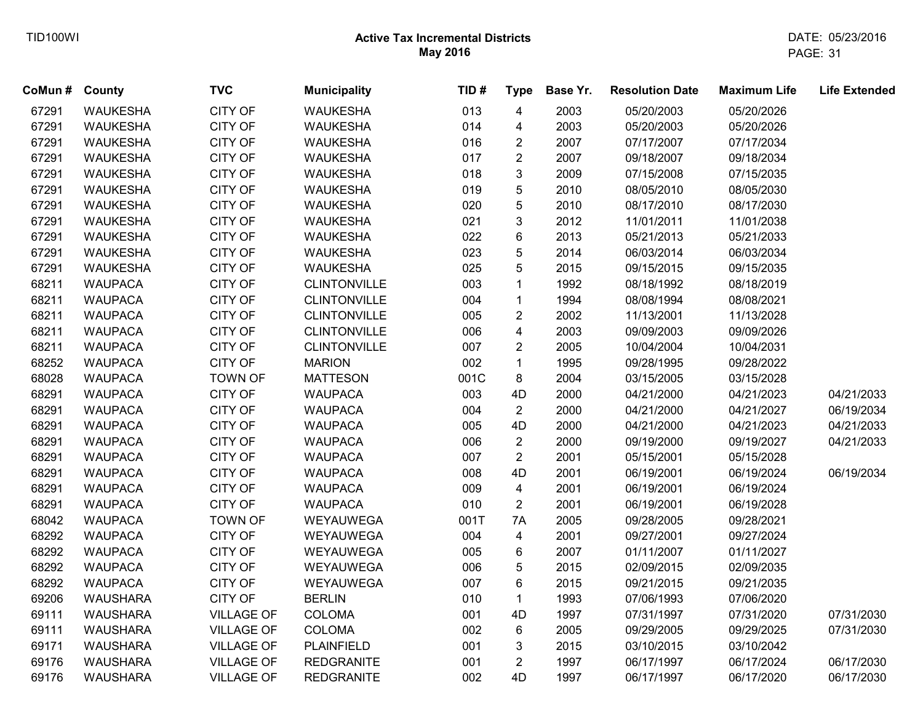| CoMun # | County          | <b>TVC</b>        | <b>Municipality</b> | TID# | <b>Type</b>             | Base Yr. | <b>Resolution Date</b> | <b>Maximum Life</b> | <b>Life Extended</b> |
|---------|-----------------|-------------------|---------------------|------|-------------------------|----------|------------------------|---------------------|----------------------|
| 67291   | <b>WAUKESHA</b> | <b>CITY OF</b>    | <b>WAUKESHA</b>     | 013  | $\overline{4}$          | 2003     | 05/20/2003             | 05/20/2026          |                      |
| 67291   | <b>WAUKESHA</b> | <b>CITY OF</b>    | <b>WAUKESHA</b>     | 014  | 4                       | 2003     | 05/20/2003             | 05/20/2026          |                      |
| 67291   | <b>WAUKESHA</b> | <b>CITY OF</b>    | <b>WAUKESHA</b>     | 016  | $\overline{\mathbf{c}}$ | 2007     | 07/17/2007             | 07/17/2034          |                      |
| 67291   | <b>WAUKESHA</b> | <b>CITY OF</b>    | <b>WAUKESHA</b>     | 017  | $\overline{2}$          | 2007     | 09/18/2007             | 09/18/2034          |                      |
| 67291   | <b>WAUKESHA</b> | CITY OF           | <b>WAUKESHA</b>     | 018  | 3                       | 2009     | 07/15/2008             | 07/15/2035          |                      |
| 67291   | <b>WAUKESHA</b> | <b>CITY OF</b>    | <b>WAUKESHA</b>     | 019  | 5                       | 2010     | 08/05/2010             | 08/05/2030          |                      |
| 67291   | <b>WAUKESHA</b> | <b>CITY OF</b>    | <b>WAUKESHA</b>     | 020  | 5                       | 2010     | 08/17/2010             | 08/17/2030          |                      |
| 67291   | <b>WAUKESHA</b> | <b>CITY OF</b>    | <b>WAUKESHA</b>     | 021  | 3                       | 2012     | 11/01/2011             | 11/01/2038          |                      |
| 67291   | <b>WAUKESHA</b> | CITY OF           | <b>WAUKESHA</b>     | 022  | 6                       | 2013     | 05/21/2013             | 05/21/2033          |                      |
| 67291   | <b>WAUKESHA</b> | <b>CITY OF</b>    | <b>WAUKESHA</b>     | 023  | 5                       | 2014     | 06/03/2014             | 06/03/2034          |                      |
| 67291   | <b>WAUKESHA</b> | CITY OF           | <b>WAUKESHA</b>     | 025  | 5                       | 2015     | 09/15/2015             | 09/15/2035          |                      |
| 68211   | <b>WAUPACA</b>  | <b>CITY OF</b>    | <b>CLINTONVILLE</b> | 003  | $\mathbf 1$             | 1992     | 08/18/1992             | 08/18/2019          |                      |
| 68211   | <b>WAUPACA</b>  | <b>CITY OF</b>    | <b>CLINTONVILLE</b> | 004  | $\mathbf{1}$            | 1994     | 08/08/1994             | 08/08/2021          |                      |
| 68211   | <b>WAUPACA</b>  | CITY OF           | <b>CLINTONVILLE</b> | 005  | $\overline{2}$          | 2002     | 11/13/2001             | 11/13/2028          |                      |
| 68211   | <b>WAUPACA</b>  | CITY OF           | <b>CLINTONVILLE</b> | 006  | 4                       | 2003     | 09/09/2003             | 09/09/2026          |                      |
| 68211   | <b>WAUPACA</b>  | CITY OF           | <b>CLINTONVILLE</b> | 007  | $\overline{2}$          | 2005     | 10/04/2004             | 10/04/2031          |                      |
| 68252   | <b>WAUPACA</b>  | CITY OF           | <b>MARION</b>       | 002  | $\mathbf{1}$            | 1995     | 09/28/1995             | 09/28/2022          |                      |
| 68028   | <b>WAUPACA</b>  | <b>TOWN OF</b>    | <b>MATTESON</b>     | 001C | 8                       | 2004     | 03/15/2005             | 03/15/2028          |                      |
| 68291   | <b>WAUPACA</b>  | CITY OF           | <b>WAUPACA</b>      | 003  | 4D                      | 2000     | 04/21/2000             | 04/21/2023          | 04/21/2033           |
| 68291   | <b>WAUPACA</b>  | CITY OF           | <b>WAUPACA</b>      | 004  | $\overline{2}$          | 2000     | 04/21/2000             | 04/21/2027          | 06/19/2034           |
| 68291   | <b>WAUPACA</b>  | CITY OF           | <b>WAUPACA</b>      | 005  | 4D                      | 2000     | 04/21/2000             | 04/21/2023          | 04/21/2033           |
| 68291   | <b>WAUPACA</b>  | CITY OF           | <b>WAUPACA</b>      | 006  | $\overline{2}$          | 2000     | 09/19/2000             | 09/19/2027          | 04/21/2033           |
| 68291   | <b>WAUPACA</b>  | CITY OF           | <b>WAUPACA</b>      | 007  | $\overline{2}$          | 2001     | 05/15/2001             | 05/15/2028          |                      |
| 68291   | <b>WAUPACA</b>  | CITY OF           | <b>WAUPACA</b>      | 008  | 4D                      | 2001     | 06/19/2001             | 06/19/2024          | 06/19/2034           |
| 68291   | <b>WAUPACA</b>  | CITY OF           | <b>WAUPACA</b>      | 009  | $\overline{\mathbf{4}}$ | 2001     | 06/19/2001             | 06/19/2024          |                      |
| 68291   | <b>WAUPACA</b>  | CITY OF           | <b>WAUPACA</b>      | 010  | $\overline{2}$          | 2001     | 06/19/2001             | 06/19/2028          |                      |
| 68042   | <b>WAUPACA</b>  | <b>TOWN OF</b>    | WEYAUWEGA           | 001T | 7A                      | 2005     | 09/28/2005             | 09/28/2021          |                      |
| 68292   | <b>WAUPACA</b>  | CITY OF           | WEYAUWEGA           | 004  | 4                       | 2001     | 09/27/2001             | 09/27/2024          |                      |
| 68292   | <b>WAUPACA</b>  | CITY OF           | WEYAUWEGA           | 005  | 6                       | 2007     | 01/11/2007             | 01/11/2027          |                      |
| 68292   | <b>WAUPACA</b>  | CITY OF           | WEYAUWEGA           | 006  | 5                       | 2015     | 02/09/2015             | 02/09/2035          |                      |
| 68292   | <b>WAUPACA</b>  | <b>CITY OF</b>    | WEYAUWEGA           | 007  | 6                       | 2015     | 09/21/2015             | 09/21/2035          |                      |
| 69206   | <b>WAUSHARA</b> | CITY OF           | <b>BERLIN</b>       | 010  | $\mathbf{1}$            | 1993     | 07/06/1993             | 07/06/2020          |                      |
| 69111   | <b>WAUSHARA</b> | <b>VILLAGE OF</b> | <b>COLOMA</b>       | 001  | 4D                      | 1997     | 07/31/1997             | 07/31/2020          | 07/31/2030           |
| 69111   | <b>WAUSHARA</b> | <b>VILLAGE OF</b> | COLOMA              | 002  | 6                       | 2005     | 09/29/2005             | 09/29/2025          | 07/31/2030           |
| 69171   | <b>WAUSHARA</b> | <b>VILLAGE OF</b> | <b>PLAINFIELD</b>   | 001  | 3                       | 2015     | 03/10/2015             | 03/10/2042          |                      |
| 69176   | <b>WAUSHARA</b> | <b>VILLAGE OF</b> | <b>REDGRANITE</b>   | 001  | $\overline{2}$          | 1997     | 06/17/1997             | 06/17/2024          | 06/17/2030           |
| 69176   | <b>WAUSHARA</b> | <b>VILLAGE OF</b> | <b>REDGRANITE</b>   | 002  | 4D                      | 1997     | 06/17/1997             | 06/17/2020          | 06/17/2030           |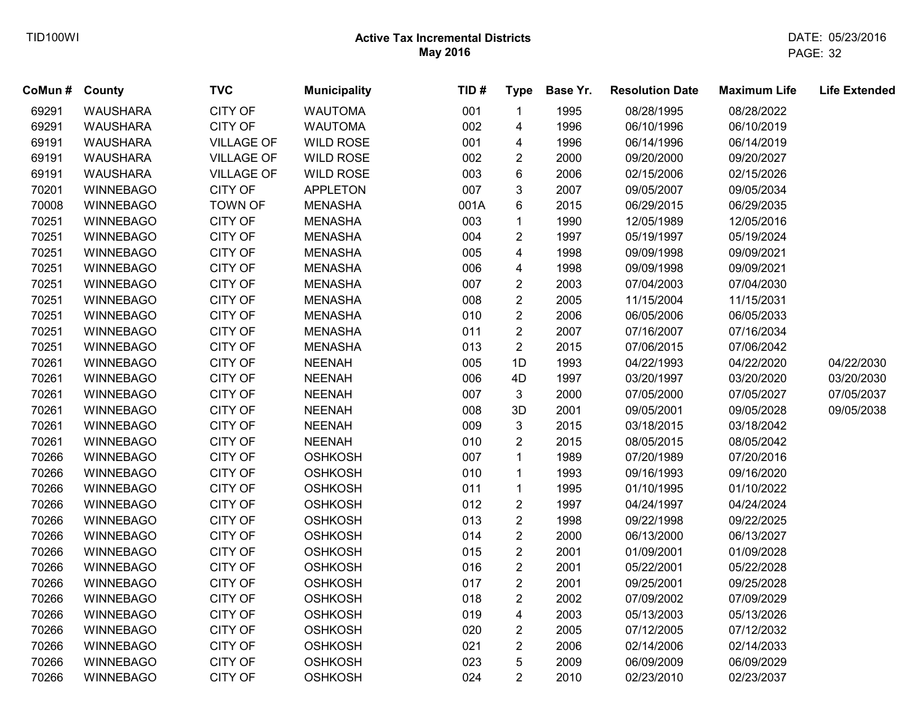| CoMun # County |                  | <b>TVC</b>        | <b>Municipality</b> | TID# | <b>Type</b>             | Base Yr. | <b>Resolution Date</b> | <b>Maximum Life</b> | <b>Life Extended</b> |
|----------------|------------------|-------------------|---------------------|------|-------------------------|----------|------------------------|---------------------|----------------------|
| 69291          | <b>WAUSHARA</b>  | <b>CITY OF</b>    | <b>WAUTOMA</b>      | 001  | $\mathbf{1}$            | 1995     | 08/28/1995             | 08/28/2022          |                      |
| 69291          | <b>WAUSHARA</b>  | CITY OF           | <b>WAUTOMA</b>      | 002  | 4                       | 1996     | 06/10/1996             | 06/10/2019          |                      |
| 69191          | <b>WAUSHARA</b>  | <b>VILLAGE OF</b> | <b>WILD ROSE</b>    | 001  | 4                       | 1996     | 06/14/1996             | 06/14/2019          |                      |
| 69191          | <b>WAUSHARA</b>  | <b>VILLAGE OF</b> | <b>WILD ROSE</b>    | 002  | $\overline{2}$          | 2000     | 09/20/2000             | 09/20/2027          |                      |
| 69191          | <b>WAUSHARA</b>  | <b>VILLAGE OF</b> | <b>WILD ROSE</b>    | 003  | 6                       | 2006     | 02/15/2006             | 02/15/2026          |                      |
| 70201          | <b>WINNEBAGO</b> | <b>CITY OF</b>    | <b>APPLETON</b>     | 007  | 3                       | 2007     | 09/05/2007             | 09/05/2034          |                      |
| 70008          | <b>WINNEBAGO</b> | <b>TOWN OF</b>    | <b>MENASHA</b>      | 001A | 6                       | 2015     | 06/29/2015             | 06/29/2035          |                      |
| 70251          | <b>WINNEBAGO</b> | CITY OF           | <b>MENASHA</b>      | 003  | $\mathbf{1}$            | 1990     | 12/05/1989             | 12/05/2016          |                      |
| 70251          | <b>WINNEBAGO</b> | CITY OF           | <b>MENASHA</b>      | 004  | $\sqrt{2}$              | 1997     | 05/19/1997             | 05/19/2024          |                      |
| 70251          | <b>WINNEBAGO</b> | <b>CITY OF</b>    | <b>MENASHA</b>      | 005  | $\overline{\mathbf{4}}$ | 1998     | 09/09/1998             | 09/09/2021          |                      |
| 70251          | <b>WINNEBAGO</b> | <b>CITY OF</b>    | <b>MENASHA</b>      | 006  | 4                       | 1998     | 09/09/1998             | 09/09/2021          |                      |
| 70251          | <b>WINNEBAGO</b> | <b>CITY OF</b>    | <b>MENASHA</b>      | 007  | $\sqrt{2}$              | 2003     | 07/04/2003             | 07/04/2030          |                      |
| 70251          | <b>WINNEBAGO</b> | <b>CITY OF</b>    | <b>MENASHA</b>      | 008  | $\boldsymbol{2}$        | 2005     | 11/15/2004             | 11/15/2031          |                      |
| 70251          | <b>WINNEBAGO</b> | CITY OF           | <b>MENASHA</b>      | 010  | $\boldsymbol{2}$        | 2006     | 06/05/2006             | 06/05/2033          |                      |
| 70251          | <b>WINNEBAGO</b> | <b>CITY OF</b>    | <b>MENASHA</b>      | 011  | $\sqrt{2}$              | 2007     | 07/16/2007             | 07/16/2034          |                      |
| 70251          | <b>WINNEBAGO</b> | <b>CITY OF</b>    | <b>MENASHA</b>      | 013  | $\overline{2}$          | 2015     | 07/06/2015             | 07/06/2042          |                      |
| 70261          | <b>WINNEBAGO</b> | <b>CITY OF</b>    | <b>NEENAH</b>       | 005  | 1D                      | 1993     | 04/22/1993             | 04/22/2020          | 04/22/2030           |
| 70261          | <b>WINNEBAGO</b> | <b>CITY OF</b>    | <b>NEENAH</b>       | 006  | 4D                      | 1997     | 03/20/1997             | 03/20/2020          | 03/20/2030           |
| 70261          | <b>WINNEBAGO</b> | CITY OF           | <b>NEENAH</b>       | 007  | 3                       | 2000     | 07/05/2000             | 07/05/2027          | 07/05/2037           |
| 70261          | <b>WINNEBAGO</b> | <b>CITY OF</b>    | <b>NEENAH</b>       | 008  | 3D                      | 2001     | 09/05/2001             | 09/05/2028          | 09/05/2038           |
| 70261          | <b>WINNEBAGO</b> | <b>CITY OF</b>    | <b>NEENAH</b>       | 009  | 3                       | 2015     | 03/18/2015             | 03/18/2042          |                      |
| 70261          | <b>WINNEBAGO</b> | <b>CITY OF</b>    | <b>NEENAH</b>       | 010  | $\overline{2}$          | 2015     | 08/05/2015             | 08/05/2042          |                      |
| 70266          | <b>WINNEBAGO</b> | <b>CITY OF</b>    | <b>OSHKOSH</b>      | 007  | $\mathbf{1}$            | 1989     | 07/20/1989             | 07/20/2016          |                      |
| 70266          | <b>WINNEBAGO</b> | <b>CITY OF</b>    | <b>OSHKOSH</b>      | 010  | $\mathbf{1}$            | 1993     | 09/16/1993             | 09/16/2020          |                      |
| 70266          | <b>WINNEBAGO</b> | <b>CITY OF</b>    | <b>OSHKOSH</b>      | 011  | $\mathbf{1}$            | 1995     | 01/10/1995             | 01/10/2022          |                      |
| 70266          | <b>WINNEBAGO</b> | <b>CITY OF</b>    | <b>OSHKOSH</b>      | 012  | $\overline{\mathbf{c}}$ | 1997     | 04/24/1997             | 04/24/2024          |                      |
| 70266          | <b>WINNEBAGO</b> | <b>CITY OF</b>    | <b>OSHKOSH</b>      | 013  | $\overline{c}$          | 1998     | 09/22/1998             | 09/22/2025          |                      |
| 70266          | <b>WINNEBAGO</b> | <b>CITY OF</b>    | <b>OSHKOSH</b>      | 014  | $\boldsymbol{2}$        | 2000     | 06/13/2000             | 06/13/2027          |                      |
| 70266          | <b>WINNEBAGO</b> | <b>CITY OF</b>    | <b>OSHKOSH</b>      | 015  | $\overline{c}$          | 2001     | 01/09/2001             | 01/09/2028          |                      |
| 70266          | <b>WINNEBAGO</b> | <b>CITY OF</b>    | <b>OSHKOSH</b>      | 016  | $\overline{2}$          | 2001     | 05/22/2001             | 05/22/2028          |                      |
| 70266          | <b>WINNEBAGO</b> | <b>CITY OF</b>    | <b>OSHKOSH</b>      | 017  | $\overline{c}$          | 2001     | 09/25/2001             | 09/25/2028          |                      |
| 70266          | <b>WINNEBAGO</b> | <b>CITY OF</b>    | <b>OSHKOSH</b>      | 018  | $\overline{2}$          | 2002     | 07/09/2002             | 07/09/2029          |                      |
| 70266          | <b>WINNEBAGO</b> | <b>CITY OF</b>    | <b>OSHKOSH</b>      | 019  | $\overline{\mathbf{4}}$ | 2003     | 05/13/2003             | 05/13/2026          |                      |
| 70266          | <b>WINNEBAGO</b> | <b>CITY OF</b>    | <b>OSHKOSH</b>      | 020  | $\boldsymbol{2}$        | 2005     | 07/12/2005             | 07/12/2032          |                      |
| 70266          | <b>WINNEBAGO</b> | <b>CITY OF</b>    | <b>OSHKOSH</b>      | 021  | $\boldsymbol{2}$        | 2006     | 02/14/2006             | 02/14/2033          |                      |
| 70266          | <b>WINNEBAGO</b> | <b>CITY OF</b>    | <b>OSHKOSH</b>      | 023  | 5                       | 2009     | 06/09/2009             | 06/09/2029          |                      |
| 70266          | WINNEBAGO        | <b>CITY OF</b>    | <b>OSHKOSH</b>      | 024  | $\overline{2}$          | 2010     | 02/23/2010             | 02/23/2037          |                      |